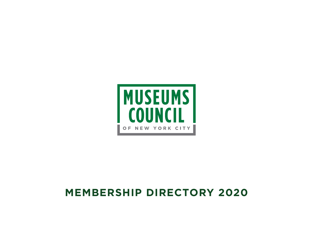# **MEMBERSHIP DIRECTORY 2020**

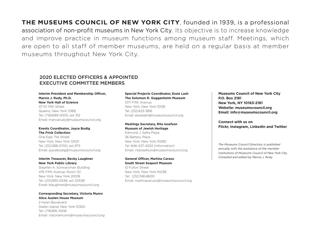**THE MUSEUMS COUNCIL OF NEW YORK CITY**, founded in 1939, is a professional association of non-profit museums in New York City. Its objective is to increase knowledge and improve practice in museum functions among museum staff. Meetings, which are open to all staff of member museums, are held on a regular basis at member museums throughout New York City.

### 2020 ELECTED OFFICERS & APPOINTED EXECUTIVE COMMITTEE MEMBERS

#### **Interim President and Membership Officer, Marcia J. Rudy, Ph.D. New York Hall of Science**

47-01 111th Street Queens, New York 11368 Tel: (718)699-0005, ext 312 Email: marciarudy@museumscouncil.org

#### **Events Coordinator, Joyce Bodig The Frick Collection**

One East 71st Street New York, New York 10021 Tel: (212)288-0700, ext 875 Email: joycebodig@museumscouncil.org

#### **Interim Treasurer, Becky Laughner New York Public Library**

Stephen A. Schwarzman Building 476 Fifth Avenue, Room 121 New York, New York 20018 Tel: (212)930-0538, ext 20538 Email: blaughner@museumscouncil.org

#### **Corresponding Secretary, Victoria Munro Alice Austen House Museum**

2 Hylan Boulevard Staten Island, New York 10305 Tel: (718)816-4506 Email: vistoriamunro@museumscouncil.org

#### **Special Projects Coordinator, Essie Lash The Solomon R. Guggenheim Museum**

1071 Fifth Avenue New York, New York 10128 Tel: (212)423-3816 Email: essielash@museumscouncil.org

#### **Meetings Secretary, Rita Iosefson Museum of Jewish Heritage**

Edmond J. Safra Plaza 36 Battery Place New York, New York 10280 Tel: 646-437-4202 (information) Email: ritaiosefson@museumscouncil.org

#### **General Officer, Martina Caruso South Street Seaport Museum**

12 Fulton Street New York, New York 10038 Tel: (212)748-8600 Email: martinacaruso@museumscouncil.org **Museums Council of New York City P.O. Box 2181 New York, NY 10163-2181 Website: museumscouncil.org Email: info@museumscouncil.org**

**Connect with us on Flickr, Instagram, LinkedIn and Twitter**

*The Museums Council Directory is published annually with the assistance of the member institutions of Museums Council of New York City. Compiled and edited by Marcia J. Rudy.*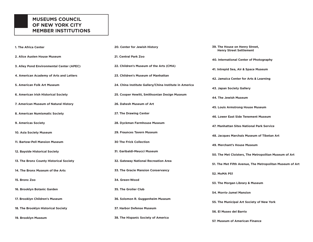### **MUSEUMS COUNCIL OF NEW YORK CITY MEMBER INSTITUTIONS**

| 1. The Africa Center                      | 20. Center for Jewish History                          | 39. The House on Henry Street,<br><b>Henry Street Settlement</b> |
|-------------------------------------------|--------------------------------------------------------|------------------------------------------------------------------|
| 2. Alice Austen House Museum              | 21. Central Park Zoo                                   | 40. International Center of Photography                          |
| 3. Alley Pond Environmental Center (APEC) | 22. Children's Museum of the Arts (CMA)                | 41. Intrepid Sea, Air & Space Museum                             |
| 4. American Academy of Arts and Letters   | 23. Children's Museum of Manhattan                     | 42. Jamaica Center for Arts & Learning                           |
| 5. American Folk Art Museum               | 24. China Institute Gallery/China Institute in America | 43. Japan Society Gallery                                        |
| 6. American Irish Historical Society      | 25. Cooper Hewitt, Smithsonian Design Museum           | 44. The Jewish Museum                                            |
| 7. American Museum of Natural History     | 26. Dahesh Museum of Art                               |                                                                  |
| 8. American Numismatic Society            | 27. The Drawing Center                                 | 45. Louis Armstrong House Museum                                 |
|                                           |                                                        | 46. Lower East Side Tenement Museum                              |
| 9. Americas Society                       | 28. Dyckman Farmhouse Museum                           | 47. Manhattan Sites National Park Service                        |
| 10. Asia Society Museum                   | 29. Fraunces Tavern Museum                             | 48. Jacques Marchais Museum of Tibetan Art                       |
| 11. Bartow-Pell Mansion Museum            | <b>30 The Frick Collection</b>                         | 49. Merchant's House Museum                                      |
| 12. Bayside Historical Society            | 31. Garibaldi-Meucci Museum                            | 50. The Met Cloisters, The Metropolitan Museum of Art            |
| 13. The Bronx County Historical Society   | 32. Gateway National Recreation Area                   | 51. The Met Fifth Avenue, The Metropolitan Museum of Art         |
| 14. The Bronx Museum of the Arts          | 33. The Gracie Mansion Conservancy                     | 52. MoMA PS1                                                     |
| 15. Bronx Zoo                             | 34. Green-Wood                                         | 53. The Morgan Library & Museum                                  |
| 16. Brooklyn Botanic Garden               | 35. The Grolier Club                                   | <b>54. Morris-Jumel Mansion</b>                                  |
| 17. Brooklyn Children's Museum            | 36. Solomon R. Guggenheim Museum                       |                                                                  |
|                                           |                                                        | 55. The Municipal Art Society of New York                        |
| 18. The Brooklyn Historical Society       | 37. Harbor Defense Museum                              | 56. El Museo del Barrio                                          |
| 19. Brooklyn Museum                       | <b>38. The Hispanic Society of America</b>             | 57. Museum of American Finance                                   |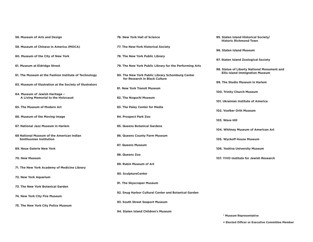| 58. Museum of Arts and Design                                         | 76. New York Hall of Science                                                      | 95. Staten Island Historical Society/<br><b>Historic Richmond Town</b> |
|-----------------------------------------------------------------------|-----------------------------------------------------------------------------------|------------------------------------------------------------------------|
| 59. Museum of Chinese in America (MOCA)                               | 77. The New-York Historical Society                                               | 96. Staten Island Museum                                               |
| 60. Museum of the City of New York                                    | 78. The New York Public Library                                                   | 97. Staten Island Zoological Society                                   |
| 61. Museum at Eldridge Street                                         | 79. The New York Public Library for the Performing Arts                           | 98. Statue of Liberty National Monument and                            |
| 61. The Museum at the Fashion Institute of Technology                 | 80. The New York Public Library Schomburg Center<br>for Research in Black Culture | <b>Ellis Island Immigration Museum</b>                                 |
| 63. Museum of Illustration at the Society of Illustrators             | 81. New York Transit Museum                                                       | 99. The Studio Museum in Harlem                                        |
| 64. Museum of Jewish Heritage -<br>A Living Memorial to the Holocaust | 82. The Noguchi Museum                                                            | 100. Trinity Church Museum                                             |
| 65. The Museum of Modern Art                                          | 83. The Paley Center for Media                                                    | 101. Ukrainian Institute of America                                    |
| 66. Museum of the Moving Image                                        | 84. Prospect Park Zoo                                                             | 102. Voelker Orth Museum                                               |
| 67. National Jazz Museum in Harlem                                    | 85. Queens Botanical Gardens                                                      | 103. Wave Hill                                                         |
| 68 National Museum of the American Indian                             | 86. Queens County Farm Museum                                                     | 104. Whitney Museum of American Art                                    |
| <b>Smithsonian Institution</b>                                        |                                                                                   | 105. Wyckoff House Museum                                              |
| 69. Neue Galerie New York                                             | 87. Queens Museum                                                                 | 106. Yeshiva University Museum                                         |
| 70. New Museum                                                        | 88. Queens Zoo                                                                    | 107. YIVO Institute for Jewish Research                                |
| 71. The New York Academy of Medicine Library                          | 89. Rubin Museum of Art                                                           |                                                                        |
| 72. New York Aquarium                                                 | 90. SculptureCenter                                                               |                                                                        |
| 73. The New York Botanical Garden                                     | 91. The Skyscraper Museum                                                         |                                                                        |
| 74. New York City Fire Museum                                         | 92. Snug Harbor Cultural Center and Botanical Garden                              |                                                                        |
| 75. The New York City Police Museum                                   | 93. South Street Seaport Museum                                                   |                                                                        |
|                                                                       | 94. Staten Island Children's Museum                                               | * Museum Representative                                                |

**+ Elected Officer or Executive Committee Member**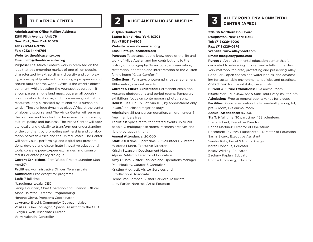### **1 THE AFRICA CENTER**

**Administrative Office Mailing Address: 1280 Fifth Avenue, Unit 7H New York, New York 10029 Tel: (212)444-9795 Fax: (212)444-9796 Website: theafricacenter.org Email: info@theafricacenter.org**

**Purpose:** The Africa Center's work is premised on the idea that this emerging market of one billion people, characterized by extraordinary diversity and complexity, is inescapably relevant to building a prosperous and secure future for the world. Africa is the world's oldest continent, while boasting the youngest population; it encompasses a huge land mass, but a small population in relation to its size; and it possesses great natural resources, only surpassed by its enormous human potential. These unique dynamics place Africa at the center of global discourse, and The Africa Center will serve as the platform and hub for this discussion. Encompassing culture, policy, and business, The Africa Center will operate locally and globally to transform our understanding of the continent by promoting partnership and collaboration between Africa and the United States. The Center will host visual, performing, and digital arts presentations; develop and disseminate innovative educational tools; convene peer-to-peer exchanges; and sponsor results-oriented policy dialogue.

**Current Exhibitions:** Ezra Wube: Project Junction (Jan-Aug20)

**Facilities:** Administrative Offices, Teranga cafe **Admission:** Free except for programs **Staff:** 7 full time \*Uzodinma Iweala, CEO Jenny Hourihan, Chief Operation and Financial Officer Alana Hairston, Director, Programming Henone Girma, Programs Coordinator Lawrence Ekechi, Community Outreach Liaison Vasilis C. Onwuaduegbo, Special Assistant to the CEO Evelyn Owen, Associate Curator Velky Valentin, Controller

## **2 ALICE AUSTEN HOUSE MUSEUM**

**2 Hylan Boulevard Staten Island, New York 10305 Tel: (718)816-4506 Website: www.aliceausten.org Email: info@aliceausten.org**

**Purpose:** To advance public knowledge of the life and work of Alice Austen and her contributions to the history of photography. To encourage preservation, restoration, operation and interpretation of the Austen family home "Clear Comfort."

**Collections:** Furniture, photographs, paper ephemera, 19th-century decorative arts

**Current & Future Exhibitions:** Permanent exhibition: Austen's photographs and period rooms; Temporary exhibitions focus on contemporary photography. **Hours:** Tues- Fri 1-5, Sat-Sun 11-5, by appointment only

in Jan/Feb; closed major holidays

**Admission:** \$5 per person donation, children under 6 free, members free

**Facilities:** Space rental for catered events up to 200 people, 3 multipurpose rooms, research archives and library by appointment

**Annual Attendance:** 20,000

**Staff:** 3 full time, 5 part time, 20 volunteers, 2 interns \*Victoria Munro, Executive Director Kristin Swanson, Development Manager Alyssa DeMarco, Director of Education Amy O'Hara, Visitor Services and Operations Manager Paul Moakley, Curator & Caretaker Kristine Alegretti, Visitor Services and Collections Associate Henne Van Kampen, Visitor Services Associate

Lucy Farfan-Narcisse, Artist Educator

## **ALLEY POND ENVIRONMENTAL 3 CENTER (APEC)**

**228-06 Northern Boulevard Douglaston, New York 11362 Tel: (718)229-4000 Fax: (718)229-0376 Website: www.alleypond.com Email: info@alleypond.com**

**Purpose:** An environmental education center that is dedicated to educating children and adults in the New York metropolitan area, protecting and preserving Alley Pond Park, open spaces and water bodies, and advocating for sustainable environmental policies and practices. **Collections:** Nature exhibits, live animals

**Current & Future Exhibitions:** Live animal room **Hours:** Mon-Fri 9-4:30, Sat & Sun: Hours vary, call for info **Admission:** Free to general public; varies for groups **Facilities:** Picnic area, nature trails, windmill, parking lot,

pre-K room, live animal room

#### **Annual Attendance:** 83,000

**Staff:** 9 full time, 30 part time, 458 volunteers \*Irene Scheid, Executive Director Carlos Martinez, Director of Operations Rosemarie Favuzza-Papachristou, Director of Education Sasha Sicard, Executive Assistant Sandra Katz, Fiscal & Grants Analyst Karen Donahue, Educator Kasey Wilding, Educator Zachary Kaplan, Educator Bonnie Bromberg, Educator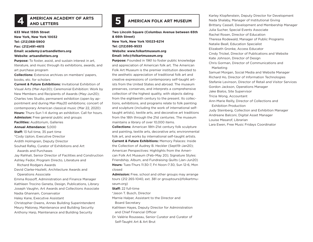## **EXAMERICAN ACADEMY OF ARTS AMERICAN FOLK ART MUSEUM**

**633 West 155th Street New York, New York 10032 Tel: (212)368-5900 Fax: (212)491-4615 Email: academy@artsandletters.org Website: artsandletters.org**

**Purpose:** To foster, assist, and sustain interest in art, literature, and music through its exhibitions, awards, and art purchase program

**Collections:** Extensive archives on members' papers, books, etc. for scholars

**Current & Future Exhibitions:** Invitational Exhibition of Visual Arts (Mar-Apr20); Ceremonial Exhibition: Work by New Members and Recipients of Awards (May-Jun20); Charles Ives Studio, permanent exhibition (open by appointment and during Mar-May20 exhibitions; concert of contemporary American classical music (Mar 22, 2020) **Hours:** Thurs-Sun 1-4 during an exhibition. Call for hours. **Admission:** Free general public and groups **Facilities:** Auditorium, Galleries **Annual Attendance:** 5,000 **Staff:** 13 full time, 35 part time \*Cody Upton, Executive Director Ardith Holmgrain, Deputy Director Souhad Rafey, Curator of Exhibitions and Art Awards and Purchases Jay Rahhali, Senior Director of Facilities and Construction Ashley Fedor, Program Directo, Literature and Richard Rodgers Awards David Clarke-Hazlett, Architecture Awards and Operations Associate Emma Rossoff, Administration and Finance Manager Kathleen Trocino Geneta, Design, Publications, Library Joseph Vaughn, Art Awards and Collections Associate Nadia Ghannam, Conservator Haley Kane, Executive Assistant

Christopher Owens, Annex Building Superintendent Meury Maloney, Maintenance and Building Security Anthony Harp, Maintenance and Building Security

**Two Lincoln Square (Columbus Avenue between 65th & 66th Street) New York, New York 10023-6214 Tel: (212)595-9533 Website: www.folkartmuseum.org Email: info@folkartmuseum.org**

**Purpose:** Founded in 1961 to foster public knowledge and appreciation of American folk art. The American Folk Art Museum is the premier institution devoted to the aesthetic appreciation of traditional folk art and creative expressions of contemporary self-taught artists from the United States and abroad. The museum preserves, conserves, and interprets a comprehensive collection of the highest quality, with objects dating from the eighteenth century to the present. Its collections, exhibitions, and programs relate to folk painting and sculpture (including the work of international selftaught artists), textile arts, and decorative art traditions from the 18th through the 21st centuries. The museum maintains a library of over 10,000 items.

**Collections:** American 18th-21st century folk sculpture and painting, textile arts, decorative arts; environmental folk art, and works by international self-taught artists. **Current & Future Exhibitions:** Memory Palaces: Inside the Collection of Audrey B. Heckler (Sept19–Jan20); American Perspectives: Highlights from the American Folk Art Museum (Feb–May 20); Signature Styles: Friendship, Album, and Fundraising Quilts (Jan-Jun20) **Hours:** Tues-Thurs 11:30-7, Fri Noon-7:30, Sun 12-6, Mon closed

**Admission:** Free, school and other groups may arrange tours (212 265-1040, ext. 381 or grouptours@folkartmuseum.org)

**Staff:** 22 full-time

\*Jason T. Busch, Director

Marnie Halper, Assistant to the Director and

Board Secretary

- Kathleen Hayes, Deputy Director for Administration and Chief Financial Officer
- Dr. Valérie Rousseau, Senior Curator and Curator of Self-Taught Art & Art Brut

Karley Klopfenstein, Deputy Director for Development Nada Shalaby, Manager of Institutional Giving Brittany Cassell, Development and Membership Manager Julia Sucher, Special Events Associate Rachel Rosen, Director of Education Theresa Rodewald, Manager of Public Programs Natalie Beall, Education Specialist Elizabeth Gronke, Access Educator Cindy Trickel, Director of Publications and Website Kate Johnson, Director of Design Chris Gorman, Director of Communications and Marketing Samuel Morgan, Social Media and Website Manager Richard Ho, Director of Information Technologies Stefanie Levinson, Director of Retail and Visitor Services Gordon Jackson, Operations Manager Jake Bialos, Site Supervisor Tricia Wong, Accountant Ann-Marie Reilly, Director of Collections and Exhibition Production Judy Steinberg, Collection and Exhibition Manager Andreane Balconi, Digital Asset Manager Louise Masarof, Librarian

Lara Ewen, Free Music Fridays Coordinator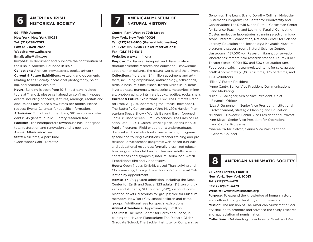# **AMERICAN IRISH 6 HISTORICAL SOCIETY**

**991 Fifth Avenue New York, New York 10028 Tel: (212)288-2263 Fax: (212)628-7927 Website: www.aihs.org Email: aihs@aihs.org Purpose:** To document and publicize the contribution of

the Irish in America. Founded in 1897

**Collections:** Archives, newspapers, books, artwork **Current & Future Exhibitions:** Artwork and documents relating to the Society, occasional photography, painting, and sculpture exhibits

**Hours:** Building is open from 10-5 most days; guided tours at 11 and 2, please call ahead to confirm. In-house events including concerts, lectures, readings, recitals and discussions take place a few times per month. Please request Events Calendar for specific information. **Admission:** Tours free to members; \$10 seniors and students; \$15 general public. Library research free **Facilities:** The headquarters townhouse has undergone total restoration and renovation and is now open.

**Annual Attendance:** n/a

**Staff:** 4 full time, 4 part-time \*Christopher Cahill, Director

# **AMERICAN MUSEUM OF 7 NATURAL HISTORY**

**Central Park West at 79th Street New York, New York 10024 Tel: (212)769-5100 (General information) Tel: (212)769-5200 (Ticket reservations) Fax: (212)769-5018 Website: www.amnh.org**

**Purpose:** To discover, interpret, and disseminate – through scientific research and education – knowledge about human cultures, the natural world, and the universe **Collections:** More than 34 million specimens and artifacts, including amphibians, anthropology, arthropods, birds, dinosaurs, films, fishes, frozen DNA tissue, gems, invertebrates, mammals, manuscripts, meteorites, minerals, photographs, prints, rare books, reptiles, rocks, shells **Current & Future Exhibitions:** T.rex: The Ultimate Predator (thru Aug20), Addressing the Statue (now open), The Butterfly Conservatory (thru May20); Hayden Planetarium Space Show - Worlds Beyond Earth (opened Jan20); Giant Screen Film - Volcanoes: The Fires of Creation (Jan-Jul20), Colors (working title, opens Mar20) Public Programs: Field expeditions; undergraduate, doctoral and post-doctoral science training programs; special and touring exhibitions; teacher training and professional development programs; web-based curricula and educational resources; formally organized education programs for children, families and adults; scientific conferences and symposia; inter-museum loan; AMNH Expeditions; film and video festival

**Hours:** Open 7 days 10-5:45, closed Thanksgiving and Christmas day; Library: Tues-Thurs 2-5:30; Special Collection by appointment

**Admission:** Suggested admission, including the Rose Center for Earth and Space: \$23 adults, \$18 senior citizens and students, \$13 children (2-12); discount combination tickets, discounts for groups; free for Museum members, New York City school children and camp groups. Additional fees for special exhibitions **Annual Attendance:** Approximately 5 million **Facilities:** The Rose Center for Earth and Space, including the Hayden Planetarium; The Richard Gilder Graduate School; The Sackler Institute for Comparative

Genomics; The Lewis B. and Dorothy Cullman Molecular Systematics Program; The Center for Biodiversity and Conservation; The David S. and Ruth L. Gottesman Center for Science Teaching and Learning; Parallel Computing Cluster; molecular laboratories: scanning electron microscope; Internet 2 connection, National Center for Science Literacy, Education and Technology; Moveable Museum program; discovery room; Natural Science Center; classrooms, 487,000 vol. Research library; conservation laboratories; remote field research stations. LeFrak IMAX Theater (seats 1,000); 150 and 300 seat auditoriums, Food court; café, museum-related items for sale; garage **Staff:** Approximately 1,000 full time, 375 part-time, and 1,184 volunteers

\*Ellen V. Futter, President

\*Anne Canty, Senior Vice President Communications and Marketing

\*Ellen C. Gallagher, Senior Vice President, Chief Financial Officer

\*Lisa J. Gugenheim, Senior Vice President Institutional Advancement, Strategic Planning and Education \*Michael J. Novacek, Senior Vice President and Provost \*Ann Siegel, Senior Vice President for Operations and Capital Programs

\*Sheree Carter-Galvan, Senior Vice President and General Counsel



**75 Varick Street, Floor 11 New York, New York 10013 Tel: (212)571-4470 Fax: (212)571-4479 Website: www.numismatics.org Purpose:** To expand the knowledge of human history and culture through the study of numismatics.

**Mission:** The mission of The American Numismatic Society shall be to promote and advance the study, research, and appreciation of numismatics.

**Collections:** Outstanding collections of Greek and Ro-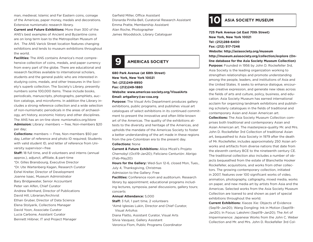man, medieval, Islamic and Far Eastern coins, coinage of the Americas, paper money, medals and decorations. Extensive numismatic research library.

**Current and Future Exhibitions:** More than 300 of the ANS's best examples of Ancient and Byzantine coins are on long term loan to the Metropolitan Museum of Art. The ANS Varick Street location features changing exhibitions and lends to museum exhibitions throughout the world.

**Facilities:** The ANS contains America's most comprehensive collection of coins, medals, and paper currency from every part of the globe. There are educational and research facilities available to international scholars, students and the general public who are interested in studying coins, medals, and other treasures in the Society's superb collection. The Society's Library, presently numbers some 100,000 items. These include books, periodicals, manuscripts, photographs, pamphlets, auction catalogs, and microforms. In addition the Library includes a strong reference collection and a wide selection of non-numismatic periodicals in the areas of archaeology, art history, economic history and other disciplines. The ANS has an on-line store: numismatics.org/store **Admission:** Library: members — free, Non-members \$20 per day;

**Collections:** members — Free, Non-members \$50 per day, Letter of reference and photo ID required; Students with valid student ID, and letter of reference from University supervisor—free

**Staff:** 18 full time, and 8 volunteers and interns (annual approx.), adjunct, affiliate, & part-time \*Dr. Gilles Bransbourg, Executive Director \*Dr. Ute Wartenberg Kagan, Research Curator Eshel Kreiter, Director of Development Joanne Isaac, Museum Administrator Bary Bridgewater, Senior Accountant Peter van Alfen, Chief Curator Andrew Reinhard, Director of Publications David Hill, Librarian/Archivist Ethan Gruber, Director of Data Science Elena Stolyarik, Collections Manager David Yoon, Associate Curator Lucia Carbone, Assistant Curator Bennett Hiibner, IT and Project Manager

Garfield Miller, Office Assistant Disnarda Pinilla-Bell, Curatorial Research Assistant Emma Pratte, Membership Assistant Alan Roche, Photographer James Woodstock, Library Cataloguer

### **9 AMERICAS SOCIETY**

**680 Park Avenue (at 68th Street) New York, New York 10021 Tel: (212)249-8950 Fax: (212)249-1880 Website: www.americas-society.org/VisualArts Email: artgallery@as-coa.org**

**Purpose:** The Visual Arts Department produces gallery exhibitions, public programs, and publishes visual art catalogues of select exhibitions in its continued commitment to present the innovative and often little-known art of the Americas. The quality of the exhibitions attests to the diversity and heritage of the Americas, and upholds the mandate of the Americas Society to foster a better understanding of the art made in these regions from the pre-Colombian era to the present day. **Collections:** None

**Current & Future Exhibitions:** Alice Miceli's Projeto Chernobyl (Oct19-Jan20); Feliciano Centurión: Abrigo (Feb-May20)

**Hours for the Gallery:** Wed-Sun 12-6, closed Mon, Tues., July 4, Thanksgiving, Christmas

Admission to the Gallery: Free

**Facilities:** Conference room and auditorium. Research library by appointment; educational programs including lectures, symposia, panel discussions, gallery tours; concerts

#### **Annual Attendance:** 5,000

**Staff:** 3 full, 1 part time, 2 volunteers \*Aimé Iglesias Lukin, Director and Chief Curator, Visual ArtsAss

Diana Flatto, Assistant Curator, Visual Arts

Silvia Vasquez, Gallery Assistant

Veronica Flom, Public Programs Coordinator

**10 ASIA SOCIETY MUSEUM**

**725 Park Avenue (at East 70th Street) New York, New York 10021 Tel: (212)288-6400 Fax: (212) 517-7246 Website: http://asiasociety.org/museum**

**http://museum.asiasociety.org/collection/explore (Online database for the Asia Society Museum Collection) Purpose:** Founded in 1956 by John D. Rockefeller 3rd, Asia Society is the leading organization working to strengthen relationships and promote understanding among the people, leaders, and institutions of Asia and the United States. It seeks to enhance dialogue, encourage creative expression, and generate new ideas across the fields of arts and culture, policy, business, and education. Asia Society Museum has earned international acclaim for organizing landmark exhibitions and publishing scholarly catalogues in the fields of traditional and contemporary Asian and Asian American art.

**Collections:** The Asia Society Museum Collection comprises both traditional and contemporary Asian and Asian American art. The masterpiece-quality Mr. and Mrs. John D. Rockefeller 3rd Collection of traditional Asian art, bequeathed to Asia Society in 1979 after the death of Mr. Rockefeller, includes approximately 250 Asian artworks and artifacts from diverse nations that date from the eleventh century BCE to the nineteenth century CE. The traditional collection also includes a number of objects bequeathed from the estate of Blanchette Hooker Rockefeller, acquisitions, and works from other collectors. The growing contemporary collection, initiated in 2007, features over 100 significant works of video, animation, photography, calligraphy, mixed media, works on paper, and new media art by artists from Asia and the Americas. Selected works from the Asia Society Museum Collection are loaned to and shown as part of special exhibitions throughout the world.

**Current Exhibitions:** Xiaoze Xie: Objects of Evidence (Sep19–Jan20); Wang Dongling: Ink in Motion (Sept19– Jan20); In Focus: Lakshmi (Sept19–Jan20); The Art of Impermanence: Japanese Works from the John C. Weber Collection and Mr. and Mrs. John D. Rockefeller 3rd Col-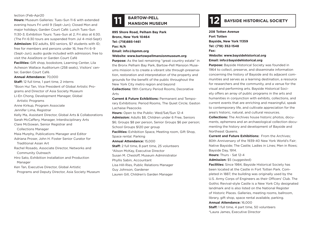#### lection (Feb-Apr20

**Hours:** Museum Galleries: Tues–Sun 11-6 with extended evening hours Fri until 9 (Sept–Jun); Closed Mon and major holidays; Garden Court Café: Lunch Tues–Sun 11:30-3; Exhibition Tours: Tues–Sun at 2, Fri also at 6:30. (The Fri 6:30 tours are suspended from Jul 4–mid-Sept) **Admission:** \$12 adults, \$10 seniors, \$7 students with ID; free for members and persons under 16, free Fri 6–9 (Sept–Jun); audio guide included with admission; free to visit the AsiaStore or Garden Court Café

**Facilities:** Gift shop, bookstore, Learning Center, Lila Acheson Wallace Auditorium (258 seats), Visitors' center, Garden Court Café.

#### **Annual Attendance:** 70,000

**Staff:** 12 full time, 1 part time, 2 interns \*Boon Hui Tan, Vice President of Global Artistic Programs and Director of Asia Society Museum Li-En Chong, Development Manager, Global

Artistic Programs

Anne Kirkup, Program Associate

Jennifer Lima, Registrar

Kelly Ma, Assistant Director, Global Arts & Collaborations Sarah McCaffery, Manager, Interdisciplinary Arts

Clare McGowan, Senior Registrar and

Collections Manager

Maia Murphy, Publications Manager and Editor Adriana Proser, John H. Foster Senior Curator for Traditional Asian Art

Rachel Rosado, Associate Director, Networks and Community Outreach

Hiro Sato, Exhibition Installation and Production Manager

Ken Tan, Executive Director, Global Artistic

Programs and Deputy Director, Asia Society Museum



# **BARTOW-PELL 12 BAYSIDE HISTORICAL SOCIETY**

**895 Shore Road, Pelham Bay Park Bronx, New York 10464 Tel: (718)885-1461 Fax: N/A Email: info@bpmm.org Website: www.bartowpellmansionmuseum.org**

**Purpose:** As the last remaining "great country estate" in the Bronx Pelham Bay Park, Bartow-Pell Mansion Museums mission is to create a vibrant site through preservation, restoration and interpretation of the property and grounds for the benefit of the public throughout the New York City metro region and beyond

**Collections:** 19th Century Period Rooms, Decorative Arts

**Current & Future Exhibitions:** Permanent and Temporary Exhibitions: Period Rooms, The Quiet Circle; Gaston Lachaise Peacocks

**Hours:** Open to the Public: Wed/Sat/Sun 12-4 **Admission:** Adults \$8, Children under 6 Free, Seniors \$6; Groups \$8 per person, Senior Groups \$6 per person; School Groups \$120 per group

**Facilities:** Exhibition Space, Meeting room, Gift Shop, Space rental. Parking

**Annual Attendance:** 15,000

**Staff:** 2 full time, 8 part time, 25 volunteers

\*Alison McKay, Executive Director

Susan M. Chesloff, Museum Administrator

Phyllis Sabin, Accountant

Lisa Hill-Ries, Public Relations Manager

Guy Johnson, Gardener

Lauren Gill, Children's Garden Manager

**208 Totten Avenue Fort Totten Bayside, New York 11359 Tel: (718) 352-1548 Fax: Website: www.baysidehistorical.org Email: info@baysidehistorical.org**

**Purpose:** Bayside Historical Society was founded in 1964 to collect, preserve, and disseminate information concerning the history of Bayside and its adjacent communities and serves as a learning destination, a resource for researchers and the community, and a venue for the visual and performing arts. Bayside Historical Society offers an array of public programs in the arts and humanities in conjunction with exhibits, collections, and current events that are enriching and meaningful, speak to contemporary life, and cultivate appreciation for the area's historic, natural, and cultural resources.

**Collections:** The Archives house historic photos, documents, ephemera and an archaeological collection documenting the history and development of Bayside and Northeast Queens.

**Current and Future Exhibitions:** From the Archives: 80th Anniversary of the 1939-40 New York World's Fair; Native Bayside; The Castle; Ladies in Lines; Men in Rows; Bayside Day, 1914.

**Hours:** Thurs - Sat 12-4

**Admission:** \$5 (suggested)

**Facilities:** Since 1984, Bayside Historical Society has been located at the Castle in Fort Totten Park. Completed in 1887, the building was originally used by the U.S. Army Corps of Engineers as their Officers' Club. The Gothic Revival-style Castle is a New York City designated landmark and is also listed on the National Register of Historic Places. Galleries, meeting rooms, ballroom, library, gift shop, space rental available, parking.

**Annual Attendance:** 16,000

**Staff:** 1 full time, 4 part time, 50 volunteers \*Laura James, Executive Director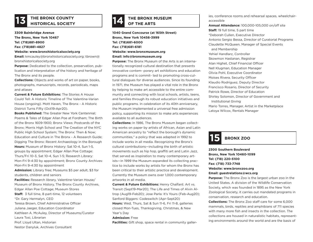## **THE BRONX COUNTY 13 HISTORICAL SOCIETY**

**3309 Bainbridge Avenue The Bronx, New York 10467 Tel: (718)881-8900 Fax: (718)881-4827 Website: www.bronxhistoricalsociety.org**

**Email:** kmcauley@bronxhistoricalsociety.org; tbrown@ bronxhistoricalsociety.org

**Purpose:** Dedicated to the collection, preservation, publication and interpretation of the history and heritage of The Bronx and its people.

**Collections:** Objects and works of art on paper, books, photographs, manuscripts, records, periodicals, maps and atlases

**Current & Future Exhibitions:** The Stories A House Could Tell: A Historic Timeline of The Valentine-Varian House (ongoing). Mott Haven, The Bronx - A Historic District Turns Fifty (Oct19-Apr20).

**Books Published:** The Greater New York Centennial; Poems & Tales of Edgar Allan Poe at Fordham; The Birth of the Bronx 1609-1900; Bronx Views: Postcards of the Bronx; Morris High School and The Creation of the NYC Public High School System; The Bronx: Then & Now; Education and Culture in The Bronx - A Research Guide; Digging The Bronx: Recent Archaeology in the Borough **Hours:** Museum of Bronx History: Sat 10-4, Sun 1-5, groups by appointment; Edgar Allan Poe Cottage: Thurs/Fri 10-3, Sat 10-4, Sun 1-5; Research Library: Mon-Fri 9-4:30 by appointment; Bronx County Archives: Mon-Fri 9-4:30 by appointment

**Admission:** Library free; Museums \$5 per adult, \$3 for students, children and seniors

**Facilities:** Research library, Valentine-Varian House/ Museum of Bronx History, The Bronx County Archives, Edgar Allan Poe Cottage; Museum Stores **Staff:** 3 full time, 8 part-time, 12 volunteers \*Dr. Gary Hermalyn, CEO Teresa Brown, Chief Administrative Officer Juliana Jaeger, Education Coordinator Kathleen A. McAuley, Director of Museums/Curator Laura Tosi, Librarian Prof. Lloyd Ultan, Historian

Nestor Danyluk, Archives Consultant

# **THE BRONX MUSEUM 14 OF THE ARTS**

**1040 Grand Concourse (at 165th Street) Bronx, New York 10456-3999 Tel: (718)681-6000 Fax: (718)681-6181 Website: www.bronxmuseum.org Email: info@bronxmuseum.org**

**Purpose:** The Bronx Museum of the Arts is an internationally recognized cultural destination that presents innovative contem- porary art exhibitions and education programs and is commit- ted to promoting cross-cultural dialogues for diverse audiences. Since its founding in 1971, the Museum has played a vital role in the Bronx by helping to make art accessible to the entire community and connecting with local schools, artists, teens, and families through its robust education initiatives and public programs. In celebration of its 40th anniversary, the Museum implemented a universal free admission policy, supporting its mission to make arts experiences available to all audiences.

**Collections:** In 1986, The Bronx Museum began collecting works on paper by artists of African, Asian and Latin American ancestry to "reflect the borough's dynamic communities," a policy that was adapted in 1992 to include works in all media. Recognizing the Bronx's cultural contributions—including the birth of artistic movements such as hip hop, graffiti art and Latin Jazz, that served as inspiration to many contemporary artists—in 1999 the Museum expanded its collecting practice to include works by artists for whom the Bronx has been critical to their artistic practice and development. Currently the Museum owns over 1,000 contemporary artworks in all media.

**Current & Future Exhibitions:** Henry Chalfant: Art vs. Transit (Sept19-Mar20); The Life and Times of Alvin Altrop (Aug19-Feb20); Jose Parla: It's Yours (Feb-Aug20); Sanford Biggers: Codeswitch (Apr-Sept20) **Hours:** Wed, Thurs, Sat & Sun 11-6, Fri 11-8, galleries closed Mon-Tues, Thanksgiving, Christmas, & New Year's Day

#### **Admission:** Free

**Facilities:** Gift shop, space rental in community galler-

ies, conference rooms and rehearsal spaces, wheelchairaccessible **Annual Attendance:** 100,000-105,000 on/off site **Staff:** 19 full time, 5 part time \*Deborah Cullen, Executive Director Antonio Sergio Bessa, Director of Curatorial Programs Claudette McQueen, Manager of Special Events and Membership Yehiel Handlarz, Controller Skowmon Hastanan, Registrar Alan Highet, Chief Financial Officer Nell Klugman, Education Manager Olivia Pohl, Executive Coordinator Moises Rivera, Security Officer Klaudio Rodriguez, Deputy Director Francisco Rosario, Director of Security Patrick Rowe, Director of Education Shirley Solomon, Director of Government and Institutional Giving Mario Torres, Manager, Artist in the Marketplace Latoya Wilcox, Rentals Manager



**2300 Southern Boulevard Bronx, New York 10460-1099 Tel: (718) 220-5100 Fax: (718) 733-7748 Website: www.bronxzoo.org Email: guestrelations@wcs.org**

**Purpose:** The Bronx Zoo is the largest urban zoo in the United States. A division of the Wildlife Conservation Society, which was founded in 1895 as the New York Zoological Society, it carries out mandated programs in conservation, research and education.

**Collections:** The Bronx Zoo staff care for some 6,000 mammals, birds, reptiles and amphibians of 711 species with many more fish and insects in the collection. The collections are housed in naturalistic habitats, representing environments around the world and are the basis of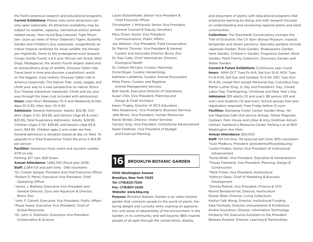the Park's extensive research and educational programs. **Current Exhibitions:** Please note some attractions are only open seasonally. All attraction availability may be subject to weather, capacity, mechanical and/or animalrelated issues. Year-round Bug Carousel; Tiger Mountain: close up views of Amur (Siberian) Tigers; Butterfly Garden and Children's Zoo (seasonal); JungleWorld, an indoor tropical rainforest for Asian wildlife; the Himalayan Highlands, home to the endangered snow leopard; Congo Gorilla Forest, a 6.5 acre African rain forest; Wild Dogs; Madagascar, the world's fourth largest island and an extraordinary array of wildlife. Dinosaur Safari ride: Travel back in time and discover a prehistoric world on the biggest, most realistic Dinosaur Safari ride in America (seasonal); The Nature Trek: Jump, wiggle, and climb your way to a new perspective on nature; Bronx Zoo Treetop Adventure (seasonal): Climb and zip your way through the trees (not included with admissions) **Hours:** (Apr-Nov) Weekdays 10–5 and Weekends & Holidays 10–5:30; (Nov-Apr) 10–4:30

**Admission:** General Admission: Adults: \$22.95, Children (Ages 3-12): \$14.95, and Seniors (Age 65 & over): \$20.95; Total Experience Admission: Adults: \$39.95, Children (Ages 3-12): \$29.95, and Seniors (Age 65 & over): \$34.95. Children ages 2 and under are free. General admission is donation based all day on Wed. To upgrade to a Total Experience Ticket the price is \$14.95 per person

**Facilities:** Numerous food, snack and souvenir outlets: ATM on site

Parking: \$17 cars; \$20 buses

**Annual Attendance:** 1,680,740 (fiscal year 2019)

**Staff:** 2,084 full and part time, ~348 volunteers

\*Dr. Cristián Samper, President and Chief Executive Officer

\*Robert G. Menzi, Executive Vice President, Chief Operating Officer

- \*James J. Breheny, Executive Vice President and General Director, Zoos and Aquarium & Director, Bronx Zoo
- \*John F. Calvelli, Executive Vice President, Public Affairs
- \*Paula Hayes, Executive Vice President, Chief of Global Resources
- \*Dr. John G. Robinson, Executive Vice President, Conservation & Science

Laura Stolzenthaler, Senior Vice President & Chief Financial Officer Christopher J. McKenzie, Senior Vice President, General Counsel & Deputy Secretary Mary Dixon, Senior Vice President, Communications, Public Affairs Joe Walston, Vice President, Field Conservation Dr. Patrick Thomas, Vice President & General Curator and Associate Director, Bronx Zoo Dr. Paul Calle, Chief Veterinarian, Director, Zoological Health Dr. Colleen McCann, Curator, Mammals Donal Boyer, Curator, Herpetology Kathleen LaMattina, Curator, Animal Encounters Nilda Ferrer, Curator and Registrar, Animal Management Services Bob Gavlik, Executive Director of Operations Susan Chin, Vice President, Planning and Design & Chief Architect Karen Tingley, Director of WCS Education Niko Radjenovic, Vice President, Business Services Jelle Boots, Vice President, Human Resources Randi Winter, Director, Visitor Services Carolyn Gray, Vice President, Institutional Advancement Karen Feldman, Vice President of Budget and Financial Planning



**1000 Washington Avenue Brooklyn, New York 11225 Tel: (718)623-7200 Fax: (718)857-2430 Website: www.bbg.org**

**Purpose:** Brooklyn Botanic Garden is an urban botanic garden that connects people to the world of plants, fostering delight and curiosity while inspiring an appreciation and sense of stewardship of the environment. In the Garden, in its community, and well beyond, BBG inspires people of all ages through the conservation, display,

and enjoyment of plants; with educational programs that emphasize learning by doing; and with research focused on understanding and conserving regional plants and plant communities.

**Collections:** The Steinhardt Conservatory includes the Trail of Evolution, the CV Starr Bonsai Museum, tropical, temperate and desert pavilions. Specialty gardens include Japanese Garden, Rose Garden, Shakespeare Garden, Herb Garden, Children's Garden, Fragrance Garden, Rock Garden, Plant Family Collection, Discovery Garden and Water Garden.

**Current & Future Exhibitions:** Continuous year round **Hours:** MAR-OCT Tues-Fri 8-6, Sat-Sun 10-6; NOV Tues-Fri 8-4:30, Sat-Sun and holidays 10-4:30; DEC Tues-Sun 10-4:30; closed Mon except Memorial Day, Columbus Day, Martin Luther King, Jr. Day and Presidents' Day; Closed Labor Day, Thanksgiving, Christmas and New Year's Day **Admission:** \$15 adults (12 and over); \$8 seniors (65 and over) and students (12 and over); School groups free (preregistration required); Free Friday before 12 noon **Facilities:** Steinberg Visitor Center, Garden Shop, Yellow Magnolia Café (full service dining), Yellow Magnolia Canteen, Palm House and Lillian & Amy Goldman Atrium (rental); Gardener's Resource Center, Parking Lot at 900 Washington Ave (fee)

#### **Annual Attendance:** 820,000

**Staff:** 154 full time, 119 seasonal part time, 800 volunteers \*Scot Medbury, President (presidentsoffice@bbg.org) \*Leslie Findlen, Senior Vice President of Institutional Advancement

\*Sonal Bhatt, Vice President, Education & Interpretation \*Tracey Faireland, Vice President, Planning, Design & '

Construction

\*Mark Fisher, Vice President, Horticulture

\*Kathryn Glass, Chief of Marketing & Business ' Development

\*Dorota Rashid, Vice President, Finance & CFO Ronnit Bendavid-Val, Director, Horticulture Rowan Blaik, Director, Living Collections Kaitlyn Falk Wong, Director, Institutional Funding Kate Fermoile, Director, Interpretation & Exhibitions Andrei Gourianov, Director, Information Technology Kimberly Hill, Executive Assistant to the President Barbara Kurland, Director, Learning & Partnerships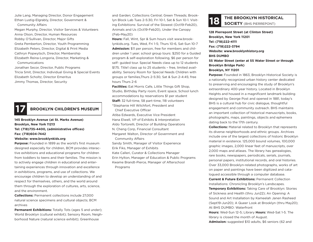Julie Lang, Managing Director, Donor Engagement Ethan Lustig-Elgrably, Director, Government & Community Affairs

Megan Murphy, Director, Visitor Services & Volunteers Anna Olson, Director, Human Resources Robby O'Sullivan, Director, Major Gifts Greta Pemberton, Director, Youth Programming Elizabeth Peters, Director, Digital & Print Media Cathryn Popwytsch, Director, Membership Elizabeth Reina-Longoria, Director, Marketing & Communications Jonathan Secor, Director, Public Programs

Tricia Smit, Director, Individual Giving & Special Events Elizabeth Scholtz, Director Emeritus Jimmy Thomas, Director, Security

### **17 BROOKLYN CHILDREN'S MUSEUM**

### **145 Brooklyn Avenue (at St. Marks Avenue) Brooklyn, New York 11213 Tel: (718)735-4400, (administrative offices) Fax: (718)604-7442**

#### **Website: www.brooklynkids.org**

**Purpose:** Founded in 1899 as the world's first museum designed especially for children, BCM provides interactive exhibitions and educational programs for children from toddlers to teens and their families. The mission is to actively engage children in educational and entertaining experiences through innovation and excellence in exhibitions, programs, and use of collections. We encourage children to develop an understanding of and respect for themselves, others, and the world around them through the exploration of cultures, arts, science, and the environment.

**Collections:** Permanent collections include 27,000 natural science specimens and cultural objects; BCM archives

**Permanent Exhibitions:** Totally Tots (ages 5 and under); World Brooklyn (cultural exhibit); Sensory Room, Neighborhood Nature (natural science exhibit); Greenhouse

and Garden; Collections Central; Green Threads; Brooklyn Block Lab Tues 2-5:30, Fri 10-1, Sat & Sun 10-1. Visiting Exhibitions: Survival of the Slowest (Oct19-Feb20), Animals and Us (Oct19-Feb20), Under the Canopy (Feb-May20)

**Hours:** Fall, Wint, Spr & Sum hours visit www.brooklynkids.org. Tues, Wed, Fri 1-5; Thurs 10-6, Sat-Sun 10-7 **Admission:** \$11 per person, free for members and children under 1 year; school group tours: \$250 for a Guided program & self-exploration following, \$6 per person for self- guided tour. Special Needs class up to 12 students \$175. Title1 class up to 25 students – free, limited availability. Sensory Room for Special Needs Children with groups or families,Thurs 2-5:30, Sat & Sun 2-4:45; free hours Thurs 2-6

**Facilities:** Eat Morris Cafe, Little Things Gift Shop, Studio, Birthday Party room, Event space, School lunch accommodations by reservations \$1 per student **Staff:** 32 full-time, 58 part-time, 118 volunteers \*Stephanie Hill Wilchfort, President and Chief Executive Officer

Atiba Edwards, Executive Vice President Hana Elwell, VP of Exhibits & Interpretation Aldo Tortorelli, Director of Building Operations N. Cheng Corp, Financial Consultant

Margaret Walton, Director of Government and Community Affairs

Sandy Smith, Manager of Visitor Experience Erik Fiks, Manager of Exhibits Kate Calleri, Curator & Collections Manager Erin Hylton, Manager of Education & Public Programs Kwame Brandt-Pierce, Manager of Afterschool Programs

# **THE BROOKLYN HISTORICAL SOCIETY** (BHS PIERREPONT)

**128 Pierrepont Street (at Clinton Street) Brooklyn, New York 11201 Tel: (718)222-4111 Fax: (718)222-3794 Website: www.brooklynhistory.org BHS DUMBO 55 Water Street (enter at 55 Water Street or through Brooklyn Bridge Park) Brooklyn, NY 11201**

**Purpose:** Founded in 1863, Brooklyn Historical Society is a nationally recognized urban history center dedicated to preserving and encouraging the study of Brooklyn's extraordinary 400-year history. Located in Brooklyn Heights and housed in a magnificent landmark building designed by George Post and opened in 1881, today's BHS is a cultural hub for civic dialogue, thoughtful engagement and community outreach. BHS maintains an important collection of historical manuscripts, books, photographs, maps, paintings, objects and ephemera dating back to the 17th century.

**Collections:** Material related to Brooklyn that represents its diverse neighborhoods and ethnic groups. Archives include one of the largest collections of historic Brooklyn material in existence. 125,000 bound volumes, 100,000 graphic images, 2,000 linear feet of manuscripts, over 2,000 maps and atlases. The library has genealogies, rare books, newspapers, periodicals, serials, journals, personal papers, institutional records, and oral histories. Over 33,000 Brooklyn-related photographs, works of art on paper and paintings have been digitized and catalogued accessible through a computer database.

**Current & Future Exhibitions:** Permanent Collection Installations: Chronicling Brooklyn's Landscapes.

**Temporary Exhibitions:** Taking Care of Brooklyn: Stories of Sickness and Health (thru Jun22); An Opening: A Sound and Art Installation by Kameelah Janen Rasheed (Sept19-Jun20); A Queer Look at Brooklyn (thru May20); At BHS DUMBO: Waterfront

**Hours:** Wed-Sun 12-5; Library **Hours:** Wed-Sat 1-5. The library is closed the month of August.

**Admission:** suggested \$10 adults, \$6 seniors (62 and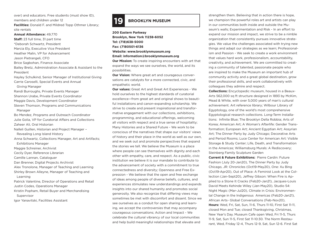over) and educators. Free students (must show ID), members and children under 12

**Facilities:** Donald F. and Mildred Topp Othmer Library; site rentals

**Annual Attendance:** 49,770 **Staff:** 23 full time, 31 part time \*Deborah Schwartz, President Marcia Ely, Executive Vice President Heather Malin, VP for Advancement Jason Pietrangeli, CFO Brice Sagbohan, Finance Associate Bailey Bretz, Administration Associate & Assistant to the President Hayley Schulkind, Senior Manager of Institutional Giving Carrie Caroselli, Special Events and Annual Giving Manager Randi Burroughs, Private Events Manager Shannon Urabe, Private Events Coordinator Maggie Davis, Development Coordinator Steven Thomson, Programs and Communications Manager Bo Mendez, Programs and Outreach Coordinator Julie Golia, VP for Curatorial Affairs and Collections Zaheer Ali, Oral Historian Nalleli Guillen, Historian and Project Manager – Revealing Long Island History Anna Schwartz, Collections Manager, Art and Artifacts; Exhibitions Manager Maggie Schreiner, Archivist Cecily Dyer, Reference Librarian Camille Lannan, Cataloguer Dan Brenner, Digital Projects Archivist Alex Tronolone, Manager of Teaching and Learning Shirley Brown Alleyne, Manager of Teaching and Learning Patrick Valentine, Director of Operations and Retail Justin Codes, Operations Manager Kristin Popham, Retail Buyer and Merchandising Supervisor Igor Yanavitski, Facilities Assistant

## **BROOKLYN MUSEUM**

**200 Eastern Parkway Brooklyn, New York 11238-6052 Tel: (718)638-5000 Fax: (7180501-6136 Website: www.brooklynmuseum.org Email: information@brooklynmuseum.org Our Mission:** To create inspiring encounters with art that

expand the ways we see ourselves, the world, and its possibilities.

**Our Vision:** Where great art and courageous conversations are catalysts for a more connected, civic, and empathetic world.

**Our values:** Great Art and Great Art Experiences - We hold ourselves to the highest standards of curatorial excellence—from great art and original shows to beautiful installations and canon-expanding scholarship. We strive to create and present inspirational and transformative engagement with our collections, exhibitions, programming, and educational offerings, welcoming all visitors with respect and a true sense of hospitality; Many Histories and a Shared Future - We work to be conscious of the narratives that shape our visitors' views of history and their place in the world as well as our own, and we seek out and promote perspectives that expand the stories we tell. We believe the Museum is a place where people can see themselves with dignity and each other with empathy, care, and respect. As a public, civic institution we believe it is our mandate to contribute to the advancement of society with a commitment to true connectedness and diversity; Openness and Free Expression - We believe that the open and free exchange of ideas among people of diverse beliefs, cultures, and experiences stimulates new understandings and expands insights into our shared humanity and promotes social generosity. We also recognize that differing views may sometimes be met with discomfort and dissent. Since we see ourselves as a conduit for open sharing and learning, we accept the controversies that may accompany courageous conversations; Action and Impact - We celebrate the cultural vibrancy of our local communities and help build meaningful relationships that elevate and

strengthen them. Believing that in action there is hope, we champion the powerful roles art and artists can play in our communities both inside and outside the Museum's walls; Experimentation and Risk - In an effort to expand our mission and impact, we strive to be a nimble organization that consistently pursues innovative strategies. We value the challenges associated with trying new things and adapt our strategies as we learn; Professionalism and Passion - We seek to create a work environment that values hard work, professionalism, accountability, creativity, and achievement. We are committed to creating a community of talented, passionate people who are inspired to make the Museum an important hub of community activity and a great global destination, grow their professional skills, and work collaboratively with colleagues they admire and respect.

**Collections:** Encyclopedic museum, housed in a Beaux-Arts 562,000 sq ft structure designed in 1893 by McKim, Mead & White, with over 5,000 years of man's cultural achievement. Art reference library; Wilbour Library of Egyptology, one of the world's most comprehensive Egyptological research collections. Long-Term Installations: Infinite Blue; The Brooklyn Della Robbia; Arts of Korea; American Art; A Woman's Afterlife: Gender Transformation; European Art; Ancient Egyptian Art; Assyrian Art; The Dinner Party by Judy Chicago; Decorative Arts and Period Rooms; Luce Center for American Art: Visible Storage & Study Center; Life, Death, and Transformation in the Americas; Williamsburg Murals: A Rediscovery; Steinberg Family Sculpture Garden

**Current & Future Exhibitions:** Pierre Cardin: Future Fashion (July 20-Jan20), The Dinner Party by Judy Chicago, JR: Chronicles (Oct19-May20), One: Xu Bing (Oct19-Apr20), Out of Place: A Feminist Look at the Collection (Jan-Sept20), Jeffrey Gibson: When Fire is Applied to a Stone It Cracks (Feb20-Jan21), Jacques-Louis David Meets Kehinde Wiley (Jan-May20), Studio 54: Night Magic (Mar-Jul20), Climate in Crisis: Environmental Change in the Indigenous Americas (Feb20-Jan21), African Arts- Global Conversations (Feb-Nov20), **Hours:** Wed, Fri, Sat, Sun, 11-6, Thurs 11-10, First Sat 11-11, closed Mon and Tue; closed Thanksgiving, Christmas, New Year's Day. Museum Cafe open Wed, Fri 11-5, Thurs 11-9, Sat, Sun 11-5, First Sat 11-10:30. The Norm Restaurant, Wed, Friday 12-4, Thurs 12-9, Sat, Sun 12-6. First Sat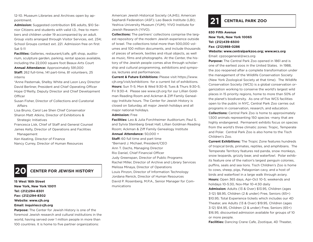12-10. Museum Libraries and Archives open by appointment.

**Admission:** Suggested contribution \$16 adults, \$10 Senior Citizens and students with valid I.D., free to members and children under 19 accompanied by an adult. Group visits arranged through Visitor Services, ext. 234; School Groups contact ext. 221. Admission free on first Sat 5-11

**Facilities:** Galleries, restaurant/cafe, gift shop, auditorium, sculpture garden, parking, rental spaces available, including the 22,000 square foot Beaux-Arts Court **Annual Attendance:** Approximately 591,000 **Staff:** 262 full-time, 141 part-time, 81 volunteers, 25 interns

\*Anne Pasternak, Shelby White and Leon Levy Director David Berliner, President and Chief Operating Officer Hope O'Reilly, Deputy Director and Chief Development **Officer** 

Susan Fisher, Director of Collections and Curatorial Affairs

Lisa Bruno, Carol Lee Shen Chief Conservator Sharon Matt Atkins, Director of Exhibitions & Strategic Initiatives

Francesca Lisk, Chief of Staff and General Counsel James Kelly, Director of Operations and Facilities Management

Ken Keating, Director of Finance Nancy Currey, Director of Human Resources

### **20 CENTER FOR JEWISH HISTORY**

#### **15 West 16th Street**

#### **New York, New York 10011 Tel: (212)294-8301 Fax: (212)294-8302 Website: www.cjh.org**

### **Email: inquiries@cjh.org**

**Purpose:** The Center for Jewish History is one of the foremost Jewish research and cultural institutions in the world, having served over 1 million people in more than 100 countries. It is home to five partner organizations:

American Jewish Historical Society (AJHS); American Sephardi Federation (ASF); Leo Baeck Institute (LBI); Yeshiva University Museum (YUM); YIVO Institute for Jewish Research (YIVO).

**Collections:** The partners' collections comprise the largest repository of the modern Jewish experience outside of Israel. The collections total more than 500,000 volumes and 100 million documents, and include thousands of pieces of artwork, textiles and ritual objects, as well as music, films and photographs. At the Center, the history of the Jewish people comes alive through scholarship and cultural programming, exhibitions and symposia, lectures and performances.

**Current & Future Exhibitions:** Please visit https://www. cjh.org/visit/exhibitions for a current list of exhibitions. **Hours:** Sun 11-5; Mon & Wed 9:30-8; Tues & Thurs 9:30-5; Fri 9:30-4. Please see www.cjh.org for our Lillian Goldman Reading Room and Ackman & Ziff Family Genealogy Institute hours. The Center for Jewish History is closed on Saturday, all major Jewish holidays and all major national holidays.

#### **Admission:** Free

**Facilities:** Leo & Julia Forchheimer Auditorium; Paul S. and Sylvia Steinberg Great Hall; Lillian Goldman Reading Room; Ackman & Ziff Family Genealogy Institute **Annual Attendance:** 50,000 + **Staff:** 60 full time and part time \*Bernard J. Michael, President/CEO

Ann T. Dachs, Managing Director Rio Daniel, Chief Financial Officer Judy Greenspan, Director of Public Programs Rachel Miller, Director of Archive and Library Services Melissa Minaya, Director of Operations Louis Pinzon, Director of Information Technology Jordana Renick, Director of Human Resources David P. Rosenberg, M.P.A., Senior Manager for Communications

## **21 CENTRAL PARK ZOO**

### **830 Fifth Avenue New York, New York 10065 Tel: (212)439-6500 Fax: (212)988-0286**

#### **Website: www.centralparkzoo.org; www.wcs.org**

Email: cpzoogeneral@wcs.org

**Purpose:** The Central Park Zoo opened in 1861 and is one of the earliest zoos in the United States. In 1988, the zoo reopened after a complete transformation under the management of the Wildlife Conservation Society (New York Zoological Society at that time). The Wildlife Conservation Society (WCS) is a global conservation organization working to conserve the world's largest wild places in 15 priority regions, home to more than 50% of the planet's biodiversity. As one of five WCS facilities open to the public in NYC, Central Park Zoo carries out programs in conservation, research, and education. **Collections:** Central Park Zoo is home to approximately 1,500 animals representing 150 species -many that are highly endangered. Permanent exhibits focus on species from the world's three climatic zones: Tropic, Temperate and Polar. Central Park Zoo is also home to the Tisch Children's Zoo.

**Current Exhibitions:** The Tropic Zone features hundreds of tropical birds, primates, reptiles, and amphibians. The Temperate Territory features red panda, snow monkeys, snow leopards, grizzly bear, and waterfowl. Polar exhibits feature one of the nation's largest penguin colonies, puffins, seals and sea lions. Tisch Children's Zoo is home to cows, sheep, pigs, Patagonian cavy, and a host of birds and waterfowl in a large walk through aviary. **Hours:** Open 365 days, Apr-Oct 10-5; weekends and holidays 10-5:30, Nov-Mar 10-4:30 daily **Admission:** Adults (13 & Over) \$13.95, Children (ages 3-12) \$8.95, Children (2 & under) Free, Seniors (65+) \$10.95; Total Experience tickets which includes our 4D Theater, are Adults (13 & Over) \$19.95, Children (ages 3-12) \$14.95, Children (2 & under) Free, Seniors (65+) \$16.95; discounted admission available for groups of 10 or more people.

**Facilities:** Dancing Crane Cafe, Zootique, 4D Theater,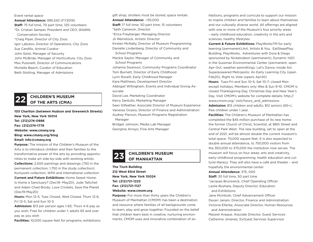### Event rental space **Annual Attendance:** 995,542 (FY2019) **Staff:** 75 full time, 70 part time, 120 volunteers \*Dr. Cristian Samper, President and CEO, Wildlife Conservation Society \*Craig Piper, Director of City Zoos Igor Labutov, Director of Operations, City Zoos Sue Cardillo, Animal Curator John Geist, Manager of Security John McBride, Manager of Horticulture, City Zoos Max Pulsinelli, Director of Communications Michelle Beach, Curator of Education Beth Stolting, Manager of Admissions



# **CHILDREN'S MUSEUM 22 OF THE ARTS (CMA)**

**103 Charlton (between Hudson and Greenwich Streets) New York, New York 10014 Tel: (212)274-0986 Fax: (212)274-1776 Website: www.cmany.org Blog: www.cmany.org/blog Email: info@cmany.org Purpose:** The mission of the Children's Museum of the

Arts is to introduce children and their families to the transformative power of the arts by providing opportunities to make art side-by-side with working artists. **Collections:** 2,500 paintings and drawings (750 in the permanent collection; 1,750 in the study collection): Kuniyoshi collection, WPA and International collection **Current and Future Exhibitions:** Home Sweet Home: Is Home a Sanctuary? (Dec19- May20), Jude Tallichet and Adam Chad Brody: Love Crickets, Save the Planet (Dec19-May20)

**Hours:** Mon 12-5, Tues Closed, Wed Closed, Thurs 12-6, Fri 12-5, Sat and Sun 10-5

**Admission:** \$13 per person ages 1-65; Thurs 4-6 pay as you wish; Free for children under 1; adults 65 and over pay as you wish

**Facilities:** 10,000 square feet for programs; exhibitions;

gift shop; strollers must be stored; space rentals **Annual Attendance:** ~135,000 **Staff:** 17 full time; 50 part time; 15 volunteers \*Seth Cameron, Director \*Erica Freyberger, Managing Director Jil Weinstock, Artistic Director Kirsten McNally, Director of Museum Programming Danielle Lindenberg, Director of Community and School Programs Mackie Saylor, Manager of Community and School Programs Johanne Swanson, Community Programs Coordinator Tom Burnett, Director of Early Childhood Lynn Roselli, Early Childhood Manager Kara Matthews, Development Director Abbigail Willingham, Events and Individual Giving Associate David Lee, Marketing Coordinator Kerry Santullo, Marketing Manager Sean Gilfeather, Associate Director of Museum Experience Vanessa Ocasio, Director of Finance and Administration Audrey Pierson, Museum Programs Registration Manager Bridget Johnson, Media Lab Manager Georgina Arroyo, Fine Arts Manager

# **CHILDREN'S MUSEUM 23 OF MANHATTAN**

**The Tisch Building 212 West 83rd Street New York, New York 10024 Tel: (212)721-1223 Fax: (212)721-1127 Website: www.cmom.org**

**Purpose:** For more than thirty years the Children's Museum of Manhattan (CMOM) has been a destination and resource where families of all backgrounds come to learn, play and grow together. Founded on the belief that children learn best in creative, nurturing environments, CMOM uses and innovative combination of exhibitions, programs and curricula to support our mission to inspire children and families to learn about themselves and our culturally diverse world. All offerings are aligned with one or more of the Museum's four priority areas – early childhood education, creativity in the arts and sciences, healthy lifestyles.

**Current & Future Exhibitions:** PlayWorksTM for early learning (permanent);Art, Artists & You, EatSleepPlay: Building, PlayWorks, Adventures with Dora & Diego sponsored by Nickelodeon (permanent); Dynamic H2O in the Sussman Environmental Center (permanent, open Apr-Oct, weather permitting); Let's Dance, Inside Art, Superpowered Metropolis: An Early Learning City (open Feb20), Right to Vote (opens Apr20)

**Hours:** Tues-Fri and Sun 10-5, Sat 10-7; closed Mon except holidays, Members only Wes & Sun 9-10. CMOM is closed Thanksgiving Day, Christmas Day and New Year's Day. Visit CMOM's website for complete details: http:// www.cmom.org/ visit/hours\_and\_admissions **Admission:** \$15 children and adults, \$12 seniors (65+), free children under 1 year.

**Facilities:** The Children's Museum of Manhattan has completed the \$45 million purchase of its new home: the former Church of Christ, Scientist, at 96th Street and Central Park West. The new building, set to open at the end of 2021, will be almost double the current museum's total space: 70,000 square feet. It is also expected to double annual attendance, to 750,000 visitors from the 350,000 to 375,000 the institution now serves. The museum will focus on four areas: arts and creativity, early-childhood programming, health education and cultural literacy. They will also have a café and theater – and hopefully the environmental center.

**Annual Attendance:** 375, 000

**Staff:** 30 full time, 50 part time \*Jacques Brunswick, Chief Operating Officer Leslie Bushara, Deputy Director, Education and Exhibitions

Jane McIntosh, Chief Advancement Officer Devan Jairam, Director, Finance and Administration Victoria Ellerbe, Associate Director, Human Resources and Administration

Massiel Araque, Assciate Director, Guest Services Catherine Jimenez, ExGuest Services Supervisor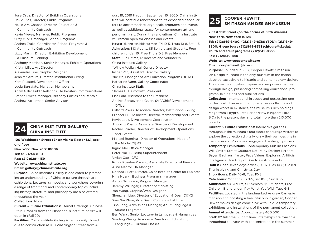Jose Ortiz, Director of Building Operations David Rios, Director, Public Programs Nellie A.V. Chaban, Director, Education & Community Outreach Kevin Nieves, Manager, Public Programs Suzy Mirvis, Manager, School Programs Andrea Zrake, Coordinator, School Programs & Community Outreach Lizzy Martin, Director, Exhibition Development & Museum Planning Anthony Martinez, Senior Manager, Exhibits Operations Kristin Lilley, Art Director Alexandra Tirer, Graphic Designer Jennifer Arcure, Director, Institutional Giving Kara Pusateri, Development Officer Lucia Burrafato, Manager, Membership Adam Miller, Public Relations – Rubenstein Communications Brenna Sweet, Manager, Birthday Parties and Rentals Andrew Ackerman, Senior Advisor

**CHINA INSTITUTE GALLERY/ 24 CHINA INSTITUTE**

**100 Washington Street (Enter via 40 Rector St.), second floor New York, New York 10006 Tel: (212)744-8181 Fax: (212)628-4159 Website: www.chinainstitute.org Email: gallery@chinainstitute.org Purpose:** China Institute Gallery is dedicated to promoting an understanding of Chinese culture through art exhibitions. Lectures, symposia, and workshops covering a range of traditional and contemporary topics including history, literature, and philosophy are also offered throughout the year.

**Collections:** None

**Current & Future Exhibitions:** Eternal Offerings: Chinese Ritual Bronzes from the Minneapolis Institute of Art will open in (Fall'20)

**Facilities:** China Institute Gallery is temporarily closed due to construction at 100 Washington Street from August 19, 2019 through September 15, 2020. China Institute will continue renovations to its expanded headquarters to accommodate large-scale programs and events as well as additional space for contemporary art and performing art. During the renovations, China Institute will remain open for classes and events. **Hours:** (during exhibitions) Mon–Fri 10-5, Thurs 10-8, Sat 11-5. **Admission:** \$10 Adults, \$5 Seniors and Students, Free children under 16; Free Thurs 5-8, Free Members **Staff:** 51 full time, 12 docents and volunteers China Institute Gallery: \*Willow Weilan Hai, Gallery Director Insher Pan, Assistant Director, Gallery Yue Ma, Manager of Art Education Program (DCTA) Katharine Vann, Gallery Coordinator China Institute **Staff:** \*James B. Heimowitz, President Lisa Lam. Assistant to the President Andrea Sanseverino Galan, SVP/Chief Development **Officer** Clifford Preiss. Associate Director, Institutional Giving Michael Liu, Associate Director, Membership and Events Kevin Laux, Development Coordinator Jingping Zhang, Associate Director of Development Rachel Strader, Director of Development Operations and Events Michael Buening., Director of Operations; Head of the Model CI@CI Ingrid Mei, Office Manager Peter Mai., Building Superintendent Vivian Cao, CFO Roura Rosales-Rosario, Associate Director of Finance Alina Mentor, HR Manager Dorinda Elliott, Director, China Institute Center for Business Nina Huang, Business Programs Manager Aaron Nicholson, Program Manager Jeremy Willinger, Director of Marketing Yao Wang, Graphic/Web Designer Shenzhan Liao, Director of Education & Dean CI@CI Xiao Xia Zhou, Vice Dean, Confucius Institute Tina Fang, Admissions Manager, Adult Language & Studio Programs Ben Wang, Senior Lecturer in Language & Humanities Wanling Zhang, Associate Director of Education, Language & Cultural Classes

# **25 COOPER HEWITT, SMITHSONIAN DESIGN MUSEUM**

**2 East 91st Street (on the corner of Fifth Avenue) New York, New York 10128**

**Tel: (212)849-8400; (212)849-8386 (TDD); (212)849- 8300; Group tours (212)849-8351 (chtours@si.edu); Youth and adult programs (212)849-8353 Fax: (212)849-8401**

### **Website: www.cooperhewitt.org**

#### **Email: cooperhewitt@si.edu**

**Purpose:** Founded in 1897, Cooper Hewitt, Smithsonian Design Museum is the only museum in the nation devoted exclusively to historic and contemporary design. The museum educates, inspires and empowers people through design, presenting compelling educational programs, exhibitions and publications.

**Collections:** International in scope and possessing one of the most diverse and comprehensive collections of design works in existence, the museum's rich holdings range from Egypt's Late Period/New Kingdom (1100 B.C.) to the present day and total more than 210,000 objects.

**Current & Future Exhibitions:** Interactive galleries throughout the museum's four floors encourage visitors to explore the collection digitally, draw their own designs in the Immersion Room, and engage in the design process. **Temporary Exhibitions:** Contemporary Muslim Fashions; Willi Smith: Street Couture; Nature by Design; Herbert Bayer: Bauhaus Master; Face Values: Exploring Artificial Intelligence; Jon Gray of Ghetto Gastro Selects **Hours:** Open seven days a week, 10-6, Tues 10-8; Closed Thanksgiving and Christmas Day

**Shop Hours:** Daily, 10-6, Tues 10-8;

**Café hours:** Mon thru Fri 8-5, Sat 10-5, Sun 10-5

**Admission:** \$18 Adults, \$12 Seniors, \$9 Students, Free Children 18 and under; Pay What You Wish Tues 6-8 **Facilities:** Located in the landmarked Andrew Carnegie mansion and boasting a beautiful public garden, Cooper Hewitt makes design come alive with unique temporary exhibitions and installations of the permanent collection. **Annual Attendance:** Approximately 400,000 **Staff:** 82 full time, 16 part time. Internships are available throughout the year with concentration in the summer.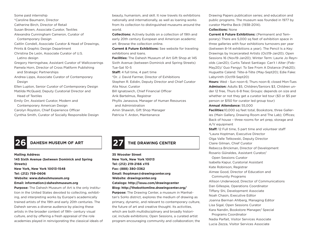Some paid internship \*Caroline Baumann, Director Catherine Birch, Director of Retail Susan Brown, Associate Curator, Textiles Alexandra Cunningham Cameron, Curator of Contemporary Design Caitlin Condell, Associate Curator & Head of Drawings, Prints & Graphic Design Department Christina De León, Associate Curator of U.S. Latino design Gregory Herringshaw, Assistant Curator of Wallcoverings Pamela Horn, Director of Cross Platform Publishing and Strategic Partnerships Andrea Lipps, Associate Curator of Contemporary Design Ellen Lupton, Senior Curator of Contemporary Design Matilda McQuaid, Deputy Curatorial Director and Head of Textiles Emily Orr, Assistant Curator, Modern and Contemporary American Design Carolyn Royston, Chief Experience Officer Cynthia Smith, Curator of Socially Responsible Design

beauty, humanism, and skill. It now travels its exhibitions nationally and internationally, as well as loaning works from its collection to distinguished museums around the world.

**Collections:** Actively builds on a collection of 19th and early 20th century European and American academic art. Browse the collection online.

**Current & Future Exhibitions:** See website for traveling exhibitions and loans.

**Facilities:** The Dahesh Museum of Art Gift Shop at 145 Sixth Avenue (between Dominick and Spring Streets) Tue-Sat 10-5

**Staff:** 4 full time, 4 part time

\*Dr. J. David Farmer, Director of Exhibitions

Stephen R. Edidin, Deputy Director and Chief Curator

Alia Nour, Curator

Bill Ignatowich, Chief Financial Officer

Arik Bartelmus, Registrar

Phyllis Janasova, Manager of Human Resources

and Administration

Amin Shawish, Gift Shop Manager

Patricia Y. Ardon, Maintenance

**Mailing Address 145 Sixth Avenue (between Dominick and Spring Streets) New York, New York 10013-1548 Tel: (212) 759-0606 Website: www.daheshmuseum.org Email: information@daheshmuseum.org**

**Purpose:** The Dahesh Museum of Art is the only institution in the United States devoted to collecting, exhibiting, and interpreting works by Europe's academically trained artists of the 19th and early 20th centuries. The Dahesh serves a diverse audience by placing these artists in the broader context of 19th- century visual culture, and by offering a fresh appraisal of the role academies played in reinvigorating the classical ideals of



### **26 DAHESH MUSEUM OF ART 27 THE DRAWING CENTER**

**35 Wooster Street New York, New York 10013 Tel: (212) 219-2166 x115 Fax: (888) 380-3362 Email: lhoptman@drawingcenter.org Website: drawingcenter.org Catalogs: http://issuu.com/drawingcenter Blog: http://thebottomline.drawingcenter.org/ Purpose:** The Drawing Center, a museum in Manhattan's SoHo district, explores the medium of drawing as primary, dynamic, and relevant to contemporary culture, the future of art and creative thought. Its activities, which are both multidisciplinary and broadly historical, include exhibitions; Open Sessions, a curated artist

program encouraging community and collaboration; the

Drawing Papers publication series; and education and public programs. The museum was founded in 1977 by curator Martha Beck (1938-2014).

#### **Collections:** None

**Current & Future Exhibitions:** (Permanent and Temporary) There are 5,000 sq feet of exhibition space in three galleries with four exhibitions turnovers per year (between 8–14 exhibitions a year). The Pencil Is a Key: Drawings by Incarcerated Artists (Oct19-Jan20); Open Sessions 16 (Nov19-Jan20); Winter Term: Laurie Jo Reynolds (Jan20); Curtis Talwst Santiago: Can't I Alter (Feb-May20)/ Guo Fengyi: To See From A Distance (Feb20); Huguette Caland: Tête-á-Tête (May-Sept20); Edie Fake: Labyrinth (Oct19-Sept20)

**Hours:** Wed - Sun noon-6; Thurs noon-8; closed Mon-Tues **Admission:** Adults \$5, Children/Seniors \$3, Children under 12 free, Thurs 6-8 free; Groups: depends on size and whether or not they get a curator led tour (\$3 or \$5 per person or \$150 for curator led group tour)

#### **Annual Attendance:** 55,000

**Facilities:**10,000 sq feet total, Bookstore, three Galleries (Main Gallery, Drawing Room and The Lab); Offices; Back of house – three rooms for art prep, storage and A/V equipment

**Staff:** 12 Full time, 5 part time and volunteer staff \*Laura Hoptman, Executive Director Olga Valle Tetkowski, Deputy Director Claire Gilman, Chief Curator Rebecca Brickman, Director of Development Rosario Güiraldes, Assistant Curator/ Open Sessions Curator Isabella Kapur, Curatorial Assistant Kate Robinson, Registrar Aimee Good, Director of Education and Community Programs Allison Underwood, Director of Communications Dan Gillespie, Operations Coordinator Tiffany Shi, Development Associate Noah Chasin, Executive Editor Joanna Berman Ahlberg, Managing Editor Lisa Sigal, Open Sessions Curator Kara Nandin, Bookstore Manager/ Special Programs Coordinator Nadia Parfait, Visitor Services Associate Lucia Zezza, Visitor Services Associate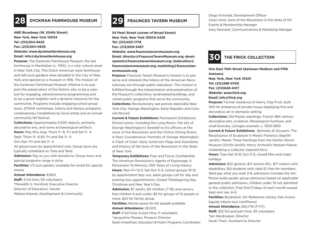

**4881 Broadway (W. 204th Street) New York, New York 10034 Tel: (212)304-9422 Fax: (212)304-0635 Website: www.dyckmanfarmhouse.org Email: info@dyckmanfarmhouse.org**

**Purpose:** The Dyckman Farmhouse Museum, the last farmhouse in Manhattan (c. 1784), is a vital cultural asset in New York City. This Dutch American style farmhouse and half-acre gardens were donated to the City of New York and opened as a museum in 1916. The mission of the Dyckman Farmhouse Museum Alliance is to support the preservation of the historic site, to be a catalyst for engaging, adventuresome programming and to be a good neighbor and a dynamic resource for the community. Programs include engaging school group tours, STEAM workshops, history and literacy programs, contemporary installations by local artists and an annual community fall festival.

**Collections:** Approximately 6,500 objects, primarily decorative arts, and some archaeological artifacts **Hours:** May thru Aug: Thurs 11– 8, Fri and Sat 11– 4 Sept: Thurs 11– 6:30, Fri and Sat 11– 4 Oct–Apr: Fri and Sat 11– 4 All group tours by appointment only. Group tours are typically scheduled on Tues and Wed **Admission:** Pay as you wish donations; Group tours and special programs range in price **Facilities:** 1/2 acre garden, available for rental for special events

#### **Annual Attendance:** 8,900

**Staff:** 3 full time, 50 volunteers \*Meredith S. Horsford, Executive Director Director of Education, Vacant Melissa Kiewiet, Development & Community

### **28 DYCKMAN FARMHOUSE MUSEUM 29 FRAUNCES TAVERN MUSEUM**

**54 Pearl Street (corner of Broad Street) New York, New York 10004-2429 Tel: (212)425-1778 Fax: (212)509-3467 Website: www.frauncestavernmuseum.org Email: director@FrauncesTavernMuseum.org; development@frauncestavernmuseum.org; 2education@ frauncestavernmuseum.org; marketing@frauncestavernmuseum.org**

**Purpose:** Fraunces Tavern Museum's mission is to preserve and interpret the history of the American Revolutionary era through public education. This mission is fulfilled through the interpretation and preservation of the Museum's collections, landmarked buildings, and varied public programs that serve the community. **Collections:** Revolutionary war period, especially New York City, George Washington, Early Republic and Colonial Revival

**Current & Future Exhibitions:** Permanent Exhibitions: Period rooms, including the Long Room, the site of George Washington's farewell to his officers at the close of the Revolution and the Clinton Dining Room; A Stoic Countenance: Portraits of George Washington; A Flash of Color: Early American Flags and Standards; and History of the Sons of the Revolution in the State of New York.

**Temporary Exhibitions:** Fear and Force; Confidential: The American Revolution's Agents of Espionage; A Monument To Memory: 300 Years of Living History **Hours:** Mon-Fri 12-5, Sat-Sun 11-5, school groups 10-12 by appointment Sep-Jun, adult groups call for day and evening tour appointments. Closed Thanksgiving Day, Christmas and New Year's Day

**Admission:** \$7 adults, \$4 children (7-18) and seniors, free children 6 and under; \$5 for groups of 15 people or more, \$20 for family group

**Facilities:** Rental space for 60 people available **Annual Attendance:** 28,000

**Staff:** 5 full time, 6 part time, 11 volunteers

\*Jacqueline Masseo, Museum Director

Sarah KneeShaw, Education & Public Programs Coordinator

Diego Foronda, Development Officer Colyn Hunt, Sons of the Revolution in the State of NY Events & Membership Manager Amy Kennard, Communications & Marketing Manager

### **30 THE FRICK COLLECTION**

**One East 70th Street (between Madison and Fifth Avenues) New York, New York 10021 Tel: (212)288-0700 Fax: (212)628-4417 Website: www.frick.org Email: info@frick.org**

**Purpose:** Former residence of Henry Clay Frick, built 1913-14; ambiance of private house displaying fine and decorative art in domestic setting

**Collections:** Old Master paintings, French 18th century decorative arts, sculpture, Renaissance furniture, and small bronzes, Limoges enamels, c. 1500-1900

**Current & Future Exhibitions:** Bertoldo di Giovanni: The Renaissance of Sculpture in Medici Florence (Sept19- Jan20); Manet: Three Paintings from the Norton Simon Museum (Oct19-Jan20); Henry Arnhold's Meissen Palace: Celebrating a Collector (opened Nov)

**Hours:** Tues-Sat 10-6; Sun 11-5, closed Mon and major holidays

**Admission:** \$22 general, \$17 seniors 65+, \$17 visitors with disabilities, \$12 students with valid ID, free for members. Wed pay what you wish 2-6; admission includes the Art-Phone audio guide; group admission based on applicable general public admission, children under 10 not admitted to the collection. Free first Fridays of each month except Sept and Jan, 6-9.

**Facilities:** Bookstore, Art Reference Library, free Acoustiguide Inform tour (ArtPhone) **Annual Attendance:** 265,778 (FY17)

**Staff:** 252 full and part time, 55 volunteers \*Ian Wardropper, Director Sarah Thein, Assistant to Director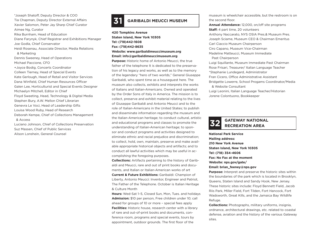\*Joseph Shatoff, Deputy Director & COO Tia Chapman, Deputy Director External Affairs Xavier Salomon, Peter Jay Sharp Chief Curator Aimee Ng, Curator Rika Burnham, Head of Education Diane Farynyk, Chief Registrar and Exhibitions Manager Joe Godla, Chief Conservator Heidi Rosenau, Associate Director, Media Relations & Marketing Dennis Sweeney, Head of Operations Michael Paccione, CFO +Joyce Bodig, Concerts Coordinator Colleen Tierney, Head of Special Events Kate Gerlough, Head of Retail and Visitor Services Dana Winfield, Chief Human Resources Officer Galen Lee, Horticulturist and Special Events Designer Michaelyn Mitchell, Editor in Chief Floyd Sweeting, Head, Technology & Digital Media Stephen Bury, A.W. Mellon Chief Librarian Genevra Le Voci, Head of Leadership Gifts Louisa Wood Ruby, Head of Research Deborah Kempe, Chief of Collections Management & Access

Luciano Johnson, Chief of Collections Preservation Suz Massen, Chief of Public Services Alison Lonshein, General Counsel

## **31 GARIBALDI MEUCCI MUSEUM**

**420 Tompkins Avenue Staten Island, New York 10305 Tel: (718)442-1608 Fax: (718)442-8635 Website: www.garibaldimeuccimuseum.org Email: info@garibaldimeuccimuseum.org**

**Purpose:** Historic home of Antonio Meucci, the true father of the telephone It is dedicated to the preservation of his legacy and works, as well as to the memory of the legendary "hero of two worlds," General Giuseppe Garibaldi, who spent time as a houseguest here. The museum also collects, exhibits and interprets the works of Italians and Italian-Americans. Owned and operated by the Order Sons of Italy in America. The mission is to collect, preserve and exhibit material relating to the lives of Giuseppe Garibaldi and Antonio Meucci and to the role of Italian-Americans in the United States; to publish and disseminate information regarding the museum and the Italian-American heritage; to conduct cultural, artistic and educational programs and classes to promote the understanding of Italian-American heritage; to sponsor and conduct programs and activities designed to eliminate ethnic and racial prejudice and discrimination; to collect, hold, own, maintain, preserve and make available appropriate historical objects and artifacts; and to conduct all lawful activities which may be useful in accomplishing the foregoing purposes.

**Collections:** Artifacts pertaining to the history of Garibaldi and Meucci, rare and out of print books and documents, and Italian or Italian-American works of art

**Current & Future Exhibitions:** Garibaldi: Champion of Liberty, Antonio Meucci: Inventor, Engineer and Patriot, The Father of the Telephone. October is Italian Heritage & Culture Month

**Hours:** Wed-Sat 1–5, Closed Sun, Mon, Tues. and holidays **Admission:** \$10 per person, Free children under 10; call ahead for groups of 10 or more – special fees apply **Facilities:** Historic house, research center with a library of rare and out-of-print books and documents, conference room, programs and special events, tours by appointment, outdoor grounds. The first floor of the

museum is wheelchair accessible, but the restroom is on the second floor.

**Annual Attendance:** 12,000, on/off site programs **Staff:** 4 part time, 20 volunteers Anthony Naccarato, NYS OSIA Pres.& Museum Pres. Joseph Sciame, Museum CEO & Chairman Emeritus Carl Ciaccio Museum Chairperson Ciro Capano, Museum Vice-Chairman Madeline Matteucci, Museum Immediate Past Chairperson Luigi Squillante, Museum Immediate Past Chairman Rose Frisari, Treasurer/ Italian Language Teacher \*Stephanie Lundegard, Administrator Fran Cicero, Office Administrative Assistant Bridgette Lowerre, School Progams Coordinator/Media & Website Consultant Luigi Leonini, Italian Language Teacher/Historian Jorene Colontuono, Bookkeeper



## **GATEWAY NATIONAL 32 RECREATION AREA**

**National Park Service Mailing address: 210 New York Avenue Staten Island, New York 10305 Tel: (718) 354-4606 Fax: No Fax at the moment Website: nps.gov/gate/ Email: brian\_feeney@nps.gov**

**Purpose:** Interpret and preserve the historic sites within the boundaries of the park which is located in Brooklyn, Queens, Staten Island and Sandy Hook, New Jersey. These historic sites include: Floyd Bennett Field, Jacob Riis Park, Miller Field, Fort Tilden, Fort Hancock, Fort Wadsworth, Great Kills, and the Jamaica Bay Wildlife Refuge.

**Collections:** Photographs, military uniforms, insignia, ordnance, architectural drawings, etc. related to coastal defense, aviation and the history of the various Gateway sites.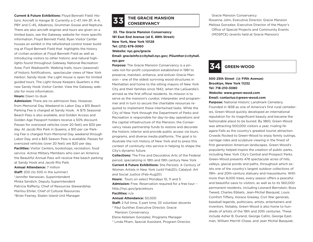**Current & Future Exhibitions:** Floyd Bennett Field: Historic Aircraft in Hangar B: Currently a C-47, HH-3F, A-4, PBY and C-45, Albatross, Grumman Goose and Neptune. There are also aircraft engines and tours are given on a limited basis, see the Gateway website for more specific information. Floyd Bennett Field, Ryan Visitor Center houses an exhibit in the refurbished control tower building at Floyd Bennett Field that highlights the history of civilian aviation at Floyd Bennett Field as well as introducing visitors to other historic and natural highlights found throughout Gateway National Recreation Area; Fort Wadsworth: Walking trails, tours (seasonal) of historic fortifications, spectacular views of New York Harbor; Sandy Hook: the Light House is open for limited guided tours. The Light House Keepers Quarters is the new Sandy Hook Visitor Center. View the Gateway website for more information.

**Hours:** Dawn to dusk

**Admission:** There are no admission fees. However, from Memorial Day Weekend to Labor Day a \$15 Beach Parking Fee is charged at Sandy Hook. A \$75 Seasonal Beach Pass is also available, and Golden Access and Golden Age Passport holders receive a 50% discount. Passes for oversized vehicles (over 20 feet) are \$30 per day. At Jacob Riis Park in Queens, a \$10 per car Parking Fee is charged from Memorial Day weekend through Labor Day, and a \$65 Season Pass is available. Passes for oversized vehicles (over 20 feet) are \$20 per day. **Facilities:** Visitor Centers, bookshops, recreation, food service. Active Military Members who own an America

the Beautiful Annual Pass will receive free beach parking at Sandy Hook and Jacob Riis Park.

**Annual Attendance:** 7 million **Staff:** 200 (to 500 in the summer) \*Jennifer Nersesian, Superintendent Minka Sendich, Deputy Superintendent Patricia Rafferty, Chief of Resources Stewardship Marilou Ehrler, Chief of Cultural Resources \*Brian Feeney, Staten Island Unit Manager

# **THE GRACIE MANSION 33 CONSERVANCY**

 **33. The Gracie Mansion Conservancy 181 East End Avenue (at E. 88th Street) New York, New York 10128 Tel: (212) 676-3060 Website: nyc.gov/gracie Email: gracieinfo@cityhall.nyc.gov; PGunther@cityhall. nyc.gov**

**Purpose:** The Gracie Mansion Conservancy is a private not-for-profit corporation established in 1981 to preserve, maintain, enhance, and enliven Gracie Mansion – one of the oldest surviving wood structures in Manhattan and home to the sitting mayors of New York City and their families since 1942, when the LaGuardia's arrived as the first official residents. Its mission is to serve as the mansion's curator, interpreter, and programmer and in turn to secure the charitable resources required to implement these intertwined tasks. While the City of New York through the Department of Parks and Recreation is responsible for day-to-day operations and the capital infrastructure of the Mansion, the Conservancy raises partnership funds to restore and decorate the historic interior and provide public access via tours, programs, and diverse media platforms. The goal is to illustrate the rich history of New York and to press this context of continuity into service in helping to shape the City's dynamic future.

**Collections:** The Fine and Decorative Arts of the Federal period, specializing in 18th and 19th century New York **Current & Future Exhibitions:** She Persists: A Century of Women Artists in New York (until Feb20); Catalyst: Art and Social Justice (Feb-Aug20)

**Hours:** Tours on select Mondays 10, 11 and 5

**Admission:** Free. Reservation required for a free tour – http://nyc.gov/gracietours

**Facilities:** n/a

#### **Annual Attendance:** 50,000

**Staff:** 2 full time, 5 part time, 33 volunteer docents

\* Paul Gunther, Executive Director, Gracie Mansion Conservancy

Elena Ketelsen Gonzalez, Programs Manager

\* Linda Pham, Special Assistant, Program Director,

 Gracie Mansion Conservancy Roxanne John, Executive Director, Gracie Mansion Melissa Gonzalez, Executive Director of the Mayor's Office of Special Projects and Community Events (MOSPCE) (events held at Gracie Mansion)

## **34 GREEN-WOOD**

### **500 25th Street (@ Fifth Avenue) Brooklyn, New York 11232 Tel: 718-210-3080 Website: www.green-wood.com Email: contactus@green-wood.com**

**Purpose:** National Historic Landmark Cemetery. Founded in 1838 as one of America's first rural cemeteries, Green-Wood quickly developed an international reputation for its magnificent beauty and became the fashionable place to be buried. By 1860, Green-Wood was attracting 500,000 visitors a year, rivaling Niagara Falls as the country's greatest tourist attraction. Crowds flocked to Green-Wood to enjoy family outings, carriage rides and sculpture viewing in the finest of first generation American landscapes. Green-Wood's popularity helped inspire the creation of public parks, including New York City's Central and Prospect Parks. Green-Wood presents 478 spectacular acres of hills, valleys, glacial ponds and paths, throughout which exists one of the country's largest outdoor collections of 19th- and 20th-century statuary and mausoleums. With more than 8,000 trees, every season offers a peaceful and beautiful oasis to visitors, as well as to its 560,000 permanent residents, including Leonard Bernstein, Boss Tweed, Charles Ebbets, Jean-Michel Basquiat, Louis Comfort Tiffany, Horace Greeley, Civil War generals, baseball legends, politicians, artists, entertainers and inventors. Notably, Green-Wood is also home to hundreds of artists of the 19th and 20th centuries. These include Asher B. Durand, George Catlin, George Eastman, William Merritt Chase, and Jean Michel Basquiat;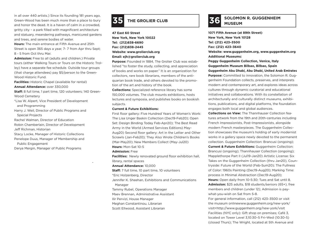in all over 440 artists.) Since its founding 181 years ago, Green-Wood has been much more than a place to bury and honor the dead. It is a haven of calm in a crowded, gritty city – a park filled with magnificent architecture and statuary, meandering pathways, manicured gardens and trees, and serene bodies of water.

**Hours:** The main entrance at Fifth Avenue and 25th Street is open 365 days a year, 7- 7 from Apr thru Sept; 8 - 5 from Oct thru Mar.

**Admission:** Free to all (adults and children.) Private tours (either Walking Tours or Tours on the Historic Trolley) have a separate fee schedule. Outside tour groups (that charge attendees) pay \$5/person to the Green-Wood Historic Fund.

**Facilities:** Historic Chapel (available for rental) **Annual Attendance:** over 330,000

**Staff:** 8 full time, 1 part time, 120 volunteers; 140 Green-

Wood Cemetery

\*Lisa W. Alpert, Vice President of Development and Programming

Harry J. Weil, Director of Public Programs and Special Projects

Rachel Walman, Director of Education

Robin Chamberlain, Director of Development Jeff Richman, Historian

Stacy Locke, Manager of Historic Collections Penelope Duus, Manager of Membership and Public Engagement

Derya Mergin, Manager of Public Programs

## **SOLOMON R. GUGGENHEIM 35** THE GROLIER CLUB<br> **35** THE GROLIER CLUB

**47 East 60 Street New York, New York 10022 Tel: (212)838-6690 Fax: (212)838-2445 Website: www.grolierclub.org Email: ejh@grolierclub.org**

**Purpose:** Founded in 1884, The Grolier Club was established "to foster the study, collecting, and appreciation of books and works on paper." It is an organization for collectors, rare book librarians, members of the antiquarian book trade, and others devoted to the promotion of the art and history of the book.

**Collections:** Specialized reference library has some 150,000 volumes. The club mounts exhibitions, hosts lectures and symposia, and publishes books on bookish subjects.

#### **Current & Future Exhibitions:**

First floor gallery: Five Hundred Years of Women's Work: The Lisa Unger Baskin Collection (Dec19-Feb20); Open Set: Design Binding Today Feb-Apr20); The Best Read Army in the World (Armed Services Editions) May-Aug20) Second floor gallery: Art in the Letter and Other Scrawls (Jan-Feb20); They Also Wrote Children's Books (Mar-May20); New Members Collect (May-Jul20) **Hours:** Mon-Sat 10-5

**Admission:** Free

**Facilities:** Newly renovated ground floor exhibition hall.

library, rental spaces

#### **Annual Attendance:** 10,000

**Staff:** 7 full time, 10 part time, 10 volunteers \*Eric Holzenberg, Director

Jennifer K. Sheehan, Exhibitions and Communications Manager

Tammy Rubel, Operations Manager

Maev Brennan, Administrative Assistant

Ilir Pervizi, House Manager

Meghan Constantinou, Librarian

Scott Ellwood, Assistant Librarian

**1071 Fifth Avenue (at 89th Street) New York, New York 10128 Tel: (212) 423–3500 Fax: (212) 423–3640 Website: www.guggenheim.org, www.guggenheim.org Additional Museums: Peggy Guggenheim Collection, Venice, Italy**

**Guggenheim Museum Bilbao, Bilbao, Spain Guggenheim Abu Dhabi, Abu Dhabi, United Arab Emirates Purpose:** Committed to innovation, the Solomon R. Guggenheim Foundation collects, preserves, and interprets modern and contemporary art, and explores ideas across cultures through dynamic curatorial and educational initiatives and collaborations. With its constellation of architecturally and culturally distinct museums, exhibitions, publications, and digital platforms, the foundation engages both local and global audiences.

**Collections on View:** The Thannhauser Collection features artwork from the 19th and 20th-centuries including French Impressionists, Post-Impressionists, alongside modern French masterpieces. The Guggenheim Collection showcases the museum's holding of early modernist works in a gallery space newly devoted to the permanent collection. Guggenheim Collection: Brancusi (ongoing); **Current & Future Exhibitions:** Guggenheim Collection: Brancusi (ongoing); Thannhauser Collection (ongoing); Mapplethorpe Part II (Jul19-Jan20) Artistic License: Six Takes on the Guggenheim Collection (thru Jan20), Countryside: Future of the World (Feb-Sum20); The Fullness of Color: 1960s Painting (Dec19-Aug20); Marking Time: process in Minimal Abstraction (Dec19-Aug20); **Hours:** Open daily from 10-5:30; Tues and Sat until 8. **Admission:** \$25 adults, \$18 students/seniors (65+), free

members and children (under 12); Admission is paywhat-you-wish on Sat from 5-8. For general information, call (212) 423–3500 or visit the museum onlinewww.guggenheim.org/new-york/ visit<http://www.guggenheim.org/new-york/visit

Facilities (NYC only): Gift shop on premises; Café 3, located on Tower Level 3,10:30–5 Fri–Wed (10:30-5) (closed Thurs); The Wright, located at 5th Avenue and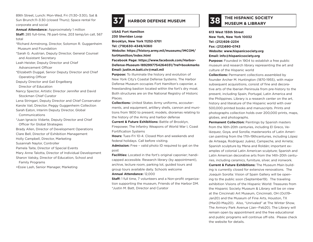89th Street, Lunch: Mon-Wed, Fri (11:30–3:30), Sat & Sun Brunch:11–3:30 (closed Thurs); Space rental for corporate and social

**Annual Attendance:** Approximately 1 million **Staff:** 285 full-time, 78 part-time, 203 temp/on call, 567 total

- \*Richard Armstrong, Director, Solomon R. Guggenheim Museum and Foundation
- \*Sarah G. Austrian, Deputy Director, General Counsel and Assistant Secretary
- Leah Heister, Deputy Director and Chief Advancement Officer
- \*Elizabeth Duggal, Senior Deputy Director and Chief Operating Officer
- Deputy Director and Gail Engelberg Director of Education
- Nancy Spector, Artistic Director Jennifer and David Stockman Chief Curator

Lena Stringari, Deputy Director and Chief Conservator Karole Vail, Director, Peggy Guggenheim Collection Sarah Eaton, Interim Deputy Director, Global

Communications

\*Juan Ignacio Vidarte, Deputy Director and Chief Officer for Global Strategies

Brady Allen, Director of Development Operations Clare Bell, Director of Exhibition Management

Holly Campbell, Director, Marketing

Susannah Naylor, Controller

- Pamela Taite, Director of Special Events
- Mary Anne Talotta, Director of Individual Development
- Sharon Vatsky, Director of Education, School and Family Programs
- 

+Essie Lash, Senior Manager, Marketing



### **37 HARBOR DEFENSE MUSEUM**

**USAG Fort Hamilton 230 Sheridan Loop Brooklyn, New York 11252-5701 Tel: (718)630-4349/4360 Website: https://history.army.mil/museums/IMCOM/ fortHamilton/index.html Facebook Page: https://www.facebook.com/Harbor-Defense-Museum-1892997754264031/?ref=bookmarks Email: justin.m.batt.civ@mail.mil** 

**Purpose:** To illuminate the history and evolution of New York City's Coastal Defense Systems. The Harbor Defense Museum occupies Fort Hamilton's caponier, a freestanding bastion located within the fort's dry moat. Both structures are on the National Registry of Historic Places.

**Collections:** United States Army uniforms, accouterments, and equipment, artillery shells, cannon and munitions from 1800 to present; models, dioramas relating to the history of the Army and harbor defense

**Current & Future Exhibitions:** Battle of Brooklyn, Firepower, The Infantry Weapons of World War I, Coast Fortification Systems

**Hours:** Tues-Fri 10-4. Closed Mon and weekends and federal holidays. Call before visiting.

**Admission:** Free – valid photo ID required to get on the post

**Facilities:** Located in the fort's original caponier; handicapped accessible. Research library (by appointment), archive, lecture room, parking lot, guided tours and group tours available daily. Schools welcome

**Annual Attendance:** 12,000

**Staff:** 1 full time, 7 volunteers and a Non-profit organization supporting the museum, Friends of the Harbor DM. \*Justin M. Batt, Director and Curator



## **THE HISPANIC SOCIETY NUSEUM & LIBRARY**

**613 West 155th Street New York, New York 10032 Tel: (212)926-2234 Fax: (212)690-0743 Website: www.hispanicsociety.org Email: info@hispanicsociety.org**

**Purpose:** Founded in 1904 to establish a free public museum and research library representing the art and culture of the Hispanic world

**Collections:** Permanent collections assembled by founder Archer M. Huntington (1870-1955), with major subsequent acquisitions, consist of fine and decorative arts of the Iberian Peninsula from pre-history to the present, including Spain, Portugal, Latin America and the Philippines. Library is a research center on the art, history and literature of the Hispanic world with over 500,000 printed books and manuscripts. Prints and photographs collection holds over 200,000 prints, maps, globes, and photographs.

**Permanent Collection:** Paintings by Spanish masters from the 16th-20th centuries, including El Greco, Velázquez, Goya, and Sorolla; masterworks of Latin American painting from the 17th-19thcenturies, including López de Arteaga, Rodríguez Juárez, Campeche, and Arrieta; Spanish sculpture by Mena and Roldán; important examples of colonial Latin American sculpture; Spanish and Latin American decorative arts from the 14th-20th centuries, including ceramics, furniture, silver, and ironwork. **Current & Future Exhibitions:** The Museum Main building is currently closed for extensive renovations. The Joaquín Sorolla: Vision of Spain Gallery will be opening to the public soon (September19). The traveling exhibition Visions of the Hispanic World: Treasures from the Hispanic Society Museum & Library will be on view at the Cincinnati Art Museum, Cincinnati, OH (Oct19– Jan20) and the Museum of Fine Arts, Houston, TX

(Mar20-May20). Also, "Unrivaled" at The Winter Show, The Armory Park Avenue (Jan--Feb20). The Library will remain open by appointment and the free educational and public programs will continue off-site. Please check the website for details.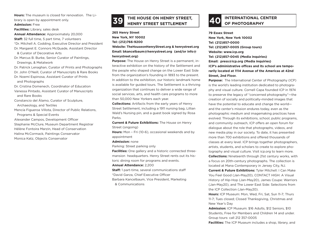**Hours:** The museum is closed for renovation. The Library is open by appointment only.

**Admission:** Free

**Facilities:** Library, sales desk

**Annual Attendance:** Approximately 20,000

**Staff:** 32 full time, 5 part time, 7 volunteers

\*Dr. Mitchell A. Codding, Executive Director and President

Dr. Margaret E. Connors McQuade, Assistant Director

& Curator of Decorative Arts

Dr. Marcus B. Burke, Senior Curator of Paintings, Drawings, & Metalwork

Dr. Patrick Lenaghan, Curator of Prints and Photographs

Dr. John O'Neill, Curator of Manuscripts & Rare Books

Dr. Noemí Espinosa, Assistant Curator of Prints and Photographs

Dr. Cristina Domenech, Coordinator of Education Vanessa Pintado, Assistant Curator of Manuscripts and Rare Books

Constancio del Álamo, Curator of Sculpture, Archaeology, and Textiles

Mencía Figueroa Villota, Director of Public Relations, Programs & Special Events

Alexander Campos, Development Officer Stephanie McClure, Museum Department Registrar Hélène Fontoira Marzin, Head of Conservation Halina McCormack, Paintings Conservator Monica Katz, Objects Conservator

# **THE HOUSE ON HENRY STREET, 39 HENRY STREET SETTLEMENT**

**265 Henry Street New York, NY 10002 Tel: (212)766-9200 Website: TheHouseonHenryStreet.org & henrystreet.org Email: bkancelbaum@henrystreet.org (and/or info@ henrystreet.org)** 

**Purpose:** The House on Henry Street is a permanent, interactive exhibition on the history of the Settlement and the people who shaped change on the Lower East Side from the organization's founding in 1893 to the present. In addition to the exhibition, our historic landmark home is available for guided tours. The Settlement is a thriving organization that continues to deliver a wide range of social services, arts, and health care programs to more than 50,000 New Yorkers each year.

**Collections:** Artifacts from the early years of Henry Street Settlement, including a 1911 nursing bag, Lillian Wald's Nursing pin, and a guest book signed by Rosa Parks.

**Current & Future Exhibitions:** The House on Henry Street (ongoing)

**Hours:** Mon – Fri (10-6), occasional weekends and by appointment

**Admission:** none

Parking: Street parking only

**Facilities:** One gallery and a historic connected threemansion headquarters. Henry Street rents out its historic dining room for programs and events.

#### **Annual Attendance:** 2,200

**Staff:** 1 part-time, several communications staff \*David Garza, Chief Executive Officer Barbara Kancelbaum, Vice President, Marketing

& Communications

## **40 INTERNATIONAL CENTER**

**79 Essex Street New York, New York 10002 Tel: (212)857-0000 Tel: (212)857-0005 (Group tours) Website: www.icp.org Tel: (212)857-0045 (Media inquiries) Email: press@icp.org (Media inquiries) ICP's administrative offices and its school are temporarily located at 1114 Avenue of the Americas at 42nd Street, 2nd Floor.**

**Purpose:** The International Center of Photography (ICP) is the world's leading institution dedicated to photography and visual culture. Cornell Capa founded ICP in 1974 to preserve the legacy of "concerned photography"—the creation of socially and politically-minded images that have the potential to educate and change the world and the center's mission endures today, even as the photographic medium and imagemaking practices have evolved. Through its exhibitions, school, public programs, and community outreach, ICP offers an open forum for dialogue about the role that photographs, videos, and new media play in our society. To date, it has presented more than 700 exhibitions and offered thousands of classes at every level. ICP brings together photographers, artists, students, and scholars to create to explore photography and visual culture. Visit icp.org to learn more. **Collections:** Nineteenth through 21st century works, with a focus on 20th-century photographs. The collection is located at Mana Contemporary in Jersey City, NJ.

**Current & Future Exhibitions:** Tyler Mitchell: I Can Make You Feel Good (Jan-May20), CONTACT HIGH: A Visual History of Hip-Hop (Jan-May20), James Coupe: Warriors (Jan-May20), and The Lower East Side: Selections from the ICP Collection (Jan-May20).

**Hours:** ICP Museum: Mon, Wed, Fri, Sat, Sun 11-7; Thurs 11-7; Tues closed; Closed Thanksgiving, Christmas and New Year's Day

**Admission:** ICP Museum: \$16 Adults, \$12 Seniors, \$10 Students, Free for Members and Children 14 and under. Group tours: call 212 357-0005

**Facilities:** The ICP Museum includes a shop, library, and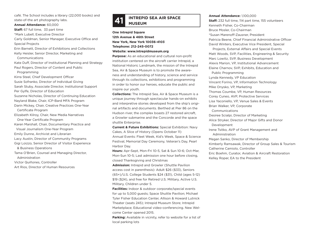café. The School includes a library (22,000 books) and state-of-the art photography labs.

**Annual Attendance:** 60,000

**Staff:** 67 full time, 33 part time

\*Mark Lubell, Executive Director

Carly Goldman, Senior Manager, Executive Office and Special Projects

Erin Barnett, Director of Exhibitions and Collections

Kelly Heisler, Senior Director, Marketing and

Communications

Kate Duff, Director of Institutional Planning and Strategy Paul Rogers, Director of Content and Public

Programming

Kirra Steel, Chief Development Officer Susie Sofranko, Director of Individual Giving Sarah Stuby, Associate Director, Institutional Support Per Gylfe, Director of Education Suzanne Nicholas, Director of Continuing Education Nayland Blake, Chair, ICP-Bard MFA Program Darin Mickey, Chair, Creative Practices One-Year Certificate Program Elizabeth Kilroy, Chair, New Media Narratives One-Year Certificate Program Karen Marshall, Chair, Documentary Practice and Visual Journalism One-Year Program Emily Dunne, Archivist and Librarian Lacy Austin, Director of Community Programs Gigi Loizzo, Senior Director of Visitor Experience & Business Operations Tama O'Brien, Counsel and Managing Director,

Administration

Victor Quiñones, Controller

Art Rios, Director of Human Resources

# **INTREPID SEA AIR SPACE 41 MUSEUM**

**One Intrepid Square 12th Avenue & 46th Street New York, New York 10036-4103 Telephone: 212-245-0072 Website: www.intrepidmuseum.org**

**Purpose:** As an educational and cultural non-profit institution centered on the aircraft carrier Intrepid, a National Historic Landmark, the mission of the Intrepid Sea, Air & Space Museum is to promote the awareness and understanding of history, science and service through its collections, exhibitions and programming in order to honor our heroes, educate the public and inspire our youth.

**Collections:** The Intrepid Sea, Air & Space Museum is a unique journey through spectacular hands-on exhibits and interpretive stories developed from the ship's original artifacts and documents. Berthed at Pier 86 on the Hudson river, the complex boasts 27 restored aircraft, a Growler submarine and the Concorde and the space shuttle Enterprise.

**Current & Future Exhibitions:** Special Exhibition: Navy Cakes, A Slice of History (Opens October 11) Annual Events: Fleet Week, Kid's Week, Space & Science Festival, Memorial Day Ceremony, Veteran's Day, Pearl Harbor Day.

**Hours:** Apr-Sept, Mon-Fri 10-5, Sat & Sun 10-6; Oct-Mar, Mon-Sun 10-5; Last admission one hour before closing, closed Thanksgiving and Christmas

**Admission:** Intrepid and Growler (Shuttle Pavilion access cost in parenthesis): Adult \$26 (\$33), Seniors (65+)/U.S. College Students \$24 (\$31), Child (ages 5-12) \$19 (\$24), and free for Retired U.S. Military, Active U.S. Military, Children under 5.

**Facilities:** Indoor & outdoor corporate/special events for up to 5,000 guests; Space Shuttle Pavilion; Michael Tyler Fisher Education Center, Allison & Howard Lutnick Theater (seats 245); Intrepid Museum Store; Intrepid Marketplace; Educational video-conferencing. New Welcome Center opened 2015.

Parking: Available in vicinity, refer to website for a list of local parking lots

#### **Annual Attendance:** 1,100,000

**Staff:** 232 full time, 114 part time, 155 volunteers Kenneth Fisher, Co-Chairman Bruce Mosler, Co-Chairman \*Susan Marenoff-Zausner, President Patricia Beene, Chief Financial Administrative Officer David Winters, Executive Vice President, Special Projects, External Affairs and Special Events Matt Woods, SVP, Facilities, Engineering & Security Marc Lowitz, SVP, Business Development Alexis Marion, VP, Institutional Advancement Elaine Charnov, SVP, Exhibits, Education and Public Programming Lynda Kennedy, VP Education Vincent Forino, VP, Information Technology Mike Onysko, VP, Marketing Thomas Coumbe, VP, Human Resources Corey Cuneo, AVP, Protective Services Lisa Yaconiello, VP, Venue Sales & Events Brian Walker, VP, Corporate Communications Desiree Scialpi, Director of Marketing Alice Stryker, Director of Major Gifts and Donor Development Irene Tsitko, AVP of Grant Management and Administration Megan Sanko, Director of Membership Kimberly Ramsawak, Director of Group Sales & Tourism Catherine Camiolo, Controller Eric Boehm, Curator, Aviation & Aircraft Restoration Kelley Roper, EA to the President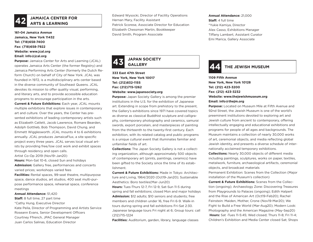# **JAMAICA CENTER FOR<br>ARTS & LEARNING**

### **161-04 Jamaica Avenue Jamaica, New York 11432 Tel: (718)658-7400 Fax: (718)658-7922 Website: www.jcal.org Email: info@jcal.org**

**Purpose:** Jamaica Center for Arts and Learning (JCAL) operates Jamaica Arts Center (the former Registry) and Jamaica Performing Arts Center (formerly the Dutch Reform Church) on behalf of City of New York. JCAL was founded in 1972, is a multidisciplinary arts center based in the diverse community of Southeast Queens. JCAL devotes its mission to offer quality visual, performing, and literary arts, and to provide accessible education programs to encourage participation in the arts.

**Current & Future Exhibitions:** Each year, JCAL mounts multiple exhibitions that explore issues in contemporary art and culture. Over the years, the Center has presented exhibitions of leading contemporary artists such as Elizabeth Catlett, Jacob Lawrence, Romare Bearden, Adolph Gottlieb, Bob Thompson, David Chung, and Emmett Wigglesworth. JCAL mounts 4 to 6 exhibitions annually. JCAL produces JamaicaFlux, a site specific project every three years. JCAL serves local visual artists by providing free/low cost work and exhibit spaces through residency and open calls.

Artist Co-Op 2019 (Nov19–Jan20)

**Hours:** Mon-Sat 10-6, closed Sun and holidays **Admission:** Gallery free, performances and concerts varied prices; workshops varied fees

**Facilities:** Rental spaces, 99-seat theatre, multipurpose space, dance studios, art studios, 400 seat multi-purpose performance space, rehearsal space, conference meetings

#### **Annual Attendance:** 51,420

**Staff:** 8 full time, 27 part time \*Cathy Hung, Executive Director Kate Peila, Director of Programming and Artists Service Roseann Evans, Senior Development Officers Courtney Ffrench, JPAC General Manager Juan Carlos Salinas, Education Director

Edward Wysocki, Director of Facility Operations Hernan Mary, Facility Assistant Patrick Scorese, Associate Director for Education Elizabeth Chessman Martin, Bookkeeper David Smith, Program Associate

**JAPAN SOCIETY 43 GALLERY**

#### **333 East 47th Street New York, New York 10017 Tel: (212)832-1155 Fax: (212)715-1262 Website: www.japansociety.org**

**Purpose:** Japan Society Gallery is among the premier institutions in the U.S. for the exhibition of Japanese art. Extending in scope from prehistory to the present, the Gallery's exhibitions since 1971 have covered topics as diverse as classical Buddhist sculpture and calligraphy, contemporary photography and ceramics, samurai swords, export porcelain, and masterpieces of painting from the thirteenth to the twenty-first century. Each exhibition, with its related catalog and public programs is a unique cultural event that illuminates familiar and unfamiliar fields of art.

**Collections:** The Japan Society Gallery is not a collecting organization, although approximately 500 objects of contemporary art (prints, paintings, ceramics) have been gifted to the Society since the time of its establishment.

**Current & Future Exhibitions:** Made in Tokyo: Architecture and Living, 1964/2020 (Oct19-Jan20); Sustainable Aesthetics: Boro textiles(Mar-Jun20)

**Hours:** Tues-Thurs 12-7, Fri 12-9, Sat-Sun 11-5 during spring and fall exhibitions; closed Mon and major holidays **Admission:** \$12 adults; \$10 seniors and students; free members and children under 16, free Fri 6-9. Walk-in tours during spring and fall exhibitions Fri-Sat 2:30. Japanese language tours Fri night at 6; Group tours: call (212)715-1224

**Facilities:** Auditorium, garden, library, language classes

### **Annual Attendance:** 21,000 **Staff:** 4 full time \*Yukie Kamiya, Director Alex Casso, Exhibitions Manager Tiffany Lambert, Assistant Curator Emi Marica, Gallery Associate



### **44 THE JEWISH MUSEUM**

**1109 Fifth Avenue New York, New York 10128 Tel: (212) 423-3200 Fax: (212) 423-3232 Website: www.thejewishmuseum.org Email: info@thejm.org**

**Purpose:** Located on Museum Mile at Fifth Avenue and 92nd Street, the Jewish Museum is one of the world's preeminent institutions devoted to exploring art and Jewish culture from ancient to contemporary, offering intellectually engaging and educational exhibitions and programs for people of all ages and backgrounds. The Museum maintains a collection of nearly 30,000 works of art, ceremonial objects, and media reflecting global Jewish identity, and presents a diverse schedule of internationally acclaimed temporary exhibitions.

**Collections:** Nearly 30,000 objects of different media including paintings, sculptures, works on paper, textiles, metalwork, furniture, archaeological artifacts, ceremonial objects, and broadcast materials

Permanent Exhibition: Scenes from the Collection (Major installation of the Museum's collection)

**Current & Future Exhibitions:** Scenes from the Collection (ongoing); Archaeology Zone: Discovering Treasures from Playgrounds to Palaces (ongoing); Edith Halpert and the Rise of American Art (Oct19-Feb20); Rachel Feinstein: Maiden, Mother, Crone (Nov19-Mar20); We Fight to Build a Free World (Mar-Aug20); Modern Look: Photography and the American Magazine (May-Sep20) **Hours:** Sat -Tues 11-5:45; Wed closed; Thurs 11-8; Fri 11-4; Children's Exhibition and Media Center closed Sat; Shops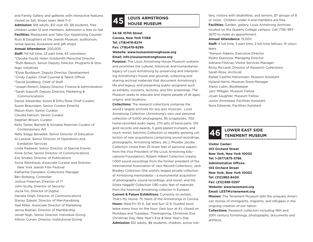and Family Gallery and galleries with interactive features closed on Sat; Shops open Wed 11-3

**Admission:** \$18 adults, \$12 over 65, \$8 students, free children under 12 and members, Admission is free on Sat **Facilities:** Restaurant and Take-Out Appetizing Counter: Russ & Daughters at the Jewish Museum; auditorium, rental spaces, bookstore and gift shops

#### **Annual Attendance:** 200,000

**Staff:** 114 full time, 22 part time, 63 volunteers \*Claudia Gould, Helen Goldsmith Menschel Director \*Ruth Beesch, Senior Deputy Director, Programs & Strategic Initiatives

\*Elyse Buxbaum, Deputy Director, Development \*Cindy Caplan, Chief Counsel & Talent Officer \*David Goldberg, Chief of Staff \*Joseph Rorech, Deputy Director, Finance & Administration \*Sarah Supcoff, Deputy Director, Marketing & Communications Darsie Alexander, Susan & Elihu Rose Chief Curator Susan Braunstein, Senior Curator Emerita Mason Klein, Senior Curator Claudia Nahson, Senior Curator Stephen Brown, Curator Kelly Taxter, Barnett & Annalee Newman Curator of Contemporary Art Nelly Silagy Benedek, Senior Director of Education Al Lazarte, Senior Director of Operations and Exhibition Services Linda Padawer, Senior Director of Special Events Anne Scher, Senior Director of Communications Eve Sinaiko, Director of Publications Aviva Weintraub, Associate Curator and Director, New York Jewish Film Festival Katharine Danalakis, Collections Manager Ben Rotberg, Controller Joshua Freeman, Director of IT John Scully, Director of Security JiaJia Fei, Director of Digital Daniela Stigh, Director of Communications Stacey Zaleski, Director of Merchandising Yael Miller, Associate Director of Marketing Jenna Bastian, Director of Membership Jonah Nigh, Senior Director, Individual Giving Allison Curran, Director, Institutional Giving

# **LOUIS ARMSTRONG 45 HOUSE MUSEUM**

**34-56 107th Street Corona, New York 11368 Tel: (718)478-8274 Fax: (718)478-8299 Website: www.louisarmstronghouse.org Email: info@louisarmstronghouse.org**

**Purpose:** The Louis Armstrong House Museum sustains and promotes the cultural, historical, and humanitarian legacy of Louis Armstrong by preserving and interpreting Armstrong's house and grounds, collecting and sharing archival materials that document Armstrong's life and legacy, and presenting public programs such as exhibits, concerts, lectures, and film screenings. The Museum seeks to educate and inspire people of all ages, origins, and locations.

**Collections:** The research collections comprise the world's largest archives for any jazz musician. Louis Armstrong Collection (Armstrong's own vast personal collection of 5,000 photographs, 85 scrapbooks, 700 home-recorded audio tapes, 270 sets of band parts, 120 gold records and awards, 5 gold-plated trumpets, and much more); Satchmo Collection (a steadily growing collection of new acquisitions comprising sound recordings, photographs, Armstrong letters, etc.); Phoebe Jacobs Collection (more than 25 linear feet of personal papers from the Vice President of the Louis Armstrong Educational Foundation); Robert Hilbert Collection (nearly 1,000 sound recordings from the former president of the International Association of Jazz Record Collectors); Jack Bradley Collection (the world's largest private collection of Armstrong memorabilia – a monumental acquisition of photographs, sound recordings, and more); and the Gösta Hägglöf Collection (190 cubic feet of materials from the foremost Armstrong collector in Europe). **Current & Future Exhibitions:** Currently on exhibit, That's My Home: 75 Years of the Armstrongs in Corona. **Hours:** Wed-Fri 10-5, Sat and Sun 12-5; Guided tours leave every hour on the hour; (last tour at 4); closed on Mondays and Tuesdays, Thanksgiving, Christmas Eve, Christmas Day, New Year's Eve & New Year's Day. **Admission:** \$12 adults, \$8 students, children, active mili-

tary, visitors with disabilities, and seniors, \$7 groups of 8 or more. Children under 4 and members are free. **Facilities:** Garden, gallery, Louis Armstrong Archives located on the Queens College campus. Call (718) 997- 3670 to make an appointment.

#### **Annual Attendance:** 15,000

**Staff:** 4 full time, 5 part time, 2 full time fellows, 15 volunteers

\*Kenyon Adams, Executive Director Pedro Espinoza, Managing Director Adriana Filstrup, Visitor Services Manager Ricky Riccardi, Director of Research Collections Sarah Rose, Archivist Rafael Castillo-Halvorssen, Museum Assistant Hyland Harris, Museum Store Manager Alexis Lubin, Bookkeeper Jazz Milligan, Museum Fellow Jovan Saughter, Museum Fellow Junior Armstead, Facilities Assistant Nora Edwards, Facilities Assistant

# **LOWER EAST SIDE 46 TENEMENT MUSEUM**

**Visitor Center: 103 Orchard Street New York, New York 10002 Tel: 1-(877)975-3786 Administrative Offices: 103 Orchard Street New York, New York 10002 Tel: (212)982-8420 Fax: (212)388-0297 Website: www.tenement.org Email: LESTM@tenement.org Mission:** The Tenement Museum tells the uniquely Ameri-

can stories of immigrants, migrants, and refugees in the ongoing creation of our nation

**Collections:** Research collection including 19th and 20th century furnishings, photographs, documents and artifacts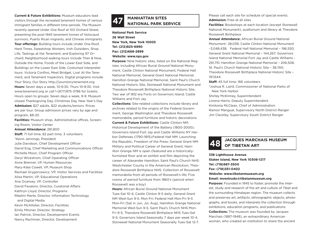**Current & Future Exhibitions:** Museum educators lead visitors through the recreated tenement homes of various immigrant families in different time periods. The Museum recently opened Under One Roof at 103 Orchard Street, presenting the post-1945 tenement homes of Holocaust survivors, Puerto Rican migrants, and Chinese immigrants. **Tour offerings:** Building tours include Under One Roof, Hard Times, Sweatshop Workers, Irish Outsiders, Shop Life, Tastings at the Tenement, and Exploring 97 Orchard. Neighborhood walking tours include Then & Now, Outside the Home, Foods of the Lower East Side, and Buildings on the Lower East Side. Costumed interpreter tours: Victoria Confino, Meet Bridget, Live! At the Tenement, and Tenement Inspectors. Digital programs include Your Story, Our Story http://yourstory.tenement.org. **Hours:** Seven days a week, 10-6:30. Thurs 10-8:30. Visit www.tenement.org or call 1-(877)975-3786 for tickets; Hours open to groups: Seven days a week, 9-9. Museum closed Thanksgiving Day, Christmas Day, New Year's Day **Admission:** \$27 adults, \$22 students/seniors. Prices are per tour. Group admission prices vary by age and program, \$8-20

**Facilities:** Museum shop, Administrative offices, Screening Room, Visitor Center

#### **Annual Attendance:** 281,800

**Staff:** 71 full time, 82 part time, 3 volunteers \*Kevin Jennings, President Julie Davidson, Chief Development Officer David Eng, Chief Marketing and Communications Officer Michelle Moon, Chief Program Officer Daryl Wickstrom, Chief Operating Officer Anne Brenner, VP, Human Resources Mary-Kate Cowell, VP, Museum Shop Rachael Grygorcewicz, VP, Visitor Services and Facilities Alisa Martin, VP, Educational Operations Ana Ocansey, VP, Controller David Favaloro, Director, Curatorial Affairs Kathryn Lloyd, Director, Programs Rikelmi Marte, Director, Information Technology and Digital Media Kevin McAllister, Director, Facilities Emily Mitzner, Director, Strategy Ian Patrick, Director, Development Events Nancy Rachman, Director, Development

# **MANHATTAN SITES 47 NATIONAL PARK SERVICE**

**National Park Service 26 Wall Street New York, New York 10005 Tel: (212)825-6990 Fax: (212)668-2899 Website: www.nps.gov**

**Purpose:** Nine historic sites, listed on the National Register, including African Burial Ground National Monument, Castle Clinton National Monument, Federal Hall National Memorial, General Grant National Memorial, Hamilton Grange National Memorial, Saint Paul's Church National Historic Site, Stonewall National Monument and Theodore Roosevelt Birthplace National Historic Site. Two war of 1812 era Forts on Governors Island, Castle Williams and Fort Jay

**Collections:** Site-related collections include library and archives related to the origins of the Federal Government, George Washington and Theodore Roosevelt memorabilia, period furniture and historic decorations **Current & Future Exhibitions:** Castle Clinton NM: Historical Development of the Battery (1800-2000); Governors Island Fort Jay and Castle Williams NY Harbor Defenses (1790-1815);Federal Hall NM: Launching the Republic, Freedom of the Press; General Grant NM: Military and Political Career of General Grant; Hamilton Grange NM is open (featured are a historicallyfurnished floor and an exhibit and film depicting the career of Alexander Hamilton; Saint Paul's Church NHS: Westchester County in the American Revolution; Theodore Roosevelt Birthplace NHS: Collection of Roosevelt memorabilia from all periods of Roosevelt's life; Five rooms of period furniture from 1860's (period when Roosevelt was a boy)

**Hours:** African Burial Ground National Monument Tues-Sat 10-4, Castle Clinton 9-5 daily; General Grant NM Wed-Sun 9-5, Mon-Fri; Federal Hall Mon-Fri 9-5 Mon-Fri (Sat in Jun, Jul, Aug), Hamilton Grange National Memorial Wed-Sun 9-5, Saint Paul's Church NHS Mon-Fri 9-5, Theodore Roosevelt Birthplace NHS Tues-Sat 9-5; Governors Island Seasonally 7 days per week 10-4, Stonewall National Monument Seasonally Tues-Sat 12-7.

Please call each site for schedule of special events. **Admission:** Free at all sites

**Facilities:** Bookshops at each location (except Stonewall National Monument), auditorium and library at Theodore Roosevelt Birthplace

**Annual Attendance:** African Burial Ground National Monument- 28,039; Castle Clinton National Monument –3,048,438; Federal Hall National Memorial – 196,550; General Grant National Memorial – 144,267; Governors Island National Memorial Fort Jay and Castle Williams - 291,751; Hamilton Grange National Memorial – 206,508. St. Paul's Church National Historic Site – 38,740; Theodore Roosevelt Birthplace National Historic Site – 197,644.

**Staff:** 45 full time, 166 volunteers

\*Joshua R. Laird, Commissioner of National Parks of New York Harbor

Shirley McKinney, Superintendent

Lorena Harris, Deputy Superintendent

Kimtonia McClean, Chief of Administration Ramon Mangual, Supervisory North District Ranger Jim Cleckley, Supervisory South District Ranger

## **JACQUES MARCHAIS MUSEUM 48 OF TIBETAN ART**

**338 Lighthouse Avenue Staten Island, New York 10306-1217 Tel: (718)987-3500 Fax: (718)351-0402 Website: www.tibetanmuseum.org Email: mventrudo@tibetanmuseum.org**

**Purpose:** Founded in 1945 to foster, promote the interest, study and research of the art and culture of Tibet and the surrounding Himalayan region. The museum collects and preserves art, artifacts, ethnographic objects, photographs, and books, and interprets the collection through exhibitions, education programs, and publications. **Collections:** The museum was founded by Jacques Marchais (1887-1948), an extraordinary American woman, who created an institution to share the ancient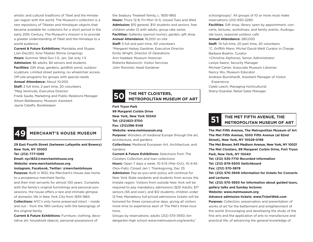artistic and cultural traditions of Tibet and the Himalayan region with the world. The Museum's collection is a rare repository of Tibetan and Himalayan objects that became available for collectors for a short period in the early 20th Century. The Museum's mission is to provide a greater understanding of Tibet and the Himalaya to a world audience.

**Current & Future Exhibitions:** Mandalas and Stupas (Jan-Dec20); Sino-Tibetan Shrine (ongoing) **Hours:** Summer Wed-Sun 1-5; Jan, Sat only 1-5 **Admission:** \$6 adults, \$4 seniors and students **Facilities:** Gift shop, gardens, goldfish pond, outdoor sculpture. Limited street parking, no wheelchair access. Off-site programs for groups with special needs **Annual Attendance:** About 10,000 **Staff:** 2 full time, 2 part time, 20 volunteers \*Meg Ventrudo, Executive Director Frank Saulle, Marketing and Public Relations Manager Alison Baldassano, Museum Assistant Jayne Catalfo, Bookkeeper



**29 East Fourth Street (between Lafayette and Bowery) New York, NY 10003 Tel: (212) 777-1089 Email: nyc1832@merchantshouse.org Website: www.merchantshouse.org Instagram, Facebook, Twitter: @merchantshouse Purpose:** Built in 1832, the Merchant's House was home

to a prosperous merchant family

and their Irish servants for almost 100 years. Complete with the family's original furnishings and personal possessions, the house offers a rare and intimate glimpse of domestic life in New York City from 1835-1865.

**Collections:** NYC's only home preserved intact – inside and out – from the 19th-century with the belongings of the original family

**Current & Future Exhibitions:** Furniture, clothing, decorative art, household objects, personal possessions of

the Seabury Tredwell family, c. 1835-1865 **Hours:** Thurs 12-8, Fri-Mon 12-5, closed Tues and Wed **Admission:** \$15 general, \$10 students and seniors, free children under 12 with adults, group rate varies **Facilities:** Galleries (period rooms); garden; gift shop **Annual Attendance:** 16,000 on-site **Staff:** 5 full and part time, 40 volunteers \*Margaret Halsey Gardiner, Executive Director Emily Wright, Director of Operations Ann Haddad, Museum Historian Roberta Belulovich, Visitor Services John Rommel, Head Gardener

**THE MET CLOISTERS, 50 METROPOLITAN MUSEUM OF ART**

### **Fort Tryon Park 99 Margaret Corbin Drive New York, New York 10040 Tel: (212)923-3700 Fax: (212)396-5148 Website: www.metmuseum.org Purpose:** Wonders of medieval Europe through the art,

architecture, and gardens

**Collections:** Medieval European Art, Architecture, and Gardens

**Current & Future Exhibitions:** Selections from The Cloisters Collection and loan collections **Hours:** Open 7 days a week, 10-5:15 (Mar-Oct), 10-4:45 (Nov-Feb), Closed Jan 1, Thanksgiving, Dec 25 **Admission:** Pay-as-you-wish policy will continue for New York State residents and students from across the tristate region. Visitors from outside New York will be required to pay mandatory admissions (\$25 Adults; \$17 seniors (65 and over), and \$12 students; children under 12 free. Mandatory full-priced admissions tickets will be honored for three consecutive days, giving all visitors more time to experience each of The Met's three locations.

Groups by reservations: adults (212) 570-3930, kindergarten-high school www.metmuseum.org/events/ schoolgroups/. All groups of 10 or more must make reservations (212) 650-2280.

**Facilities:** Gift shop, library open by appointment, concerts, lectures, workshops, and family events, Audioguide tours, seasonal outdoor cafe

#### **Annual Attendance:** 280,000

**Staff:** 74 full time, 20 part time, 20 volunteers \*C. Griffith Mann, Michel David-Weill Curator in Charge Barbara Boehm, Curator +Christina Alphonso, Senior Administrator Leslye Saenz, Security Manager Michael Carter, Associate Museum Librarian Nancy Wu, Museum Educator Andreas Burckhardt, Assistant Manager of Visitor **Experience** Caleb Leech, Managing Horticulturist Sheryl Esardial, Retail Sales Manager



# **THE MET FIFTH AVENUE, THE 51 METROPOLITAN MUSEUM OF ART**

**The Met Fifth Avenue, The Metropolitan Museum of Art The Met Fifth Avenue, 1000 Fifth Avenue (at 82nd Street), New York, NY 10028-0198 The Met Breuer, 945 Madison Avenue, New York, NY 10021 The Met Cloisters, 99 Margaret Corbin Drive, Fort Tryon Park, New York, NY 10040 Tel: (212) 535-7710 Recorded Information Tel: (212) 879-5500 Switchboard Fax: (212) 570-3878 Tel: (212) 570-3949 Information for tickets for Concerts and Lectures Tel: (212) 570-3930 for information about guided tours, gallery talks and Sunday lectures Website: www.metmuseum.org Advance admission tickets: www.TicketWeb.com Purpose:** Collection, preservation and presentation of works of art for the betterment and enlightenment of the world. Encouraging and developing the study of the fine arts and the application of arts to manufacture and practical life, of advancing the general knowledge of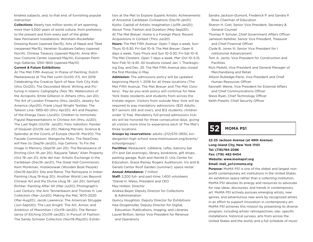kindred subjects, and, to that end, of furnishing popular instruction

**Collections:** Nearly two million works of art spanning more than 5,000 years of world culture, from prehistory to the present and from every part of the globe New Permanent Installations: Worsham-Rockefeller Dressing Room (opened Dec15), Arts of Nepal and Tibet (reopened Mar15), Venetian Sculpture Gallery (opened Nov14), Chinese Treasury (opened May14), Anna Wintour Costume Center (opened May14), European Paintings Galleries, 1250–1800 (opened May13)

#### **Current & Future Exhibitions:**

At The Met Fifth Avenue; In Praise of Painting: Dutch Masterpieces at The Met (until Oct20; P.S. Art 2019: Celebrating the Creative Spirit of New York City Kids (thru Oct20); The Decorated Word: Writing and Picturing in Islamic Calligraphy (Nov 19); Watercolors of the Acropolis: Emile Gillieron in Athens (thru Jan 20); The Art of London Firearms (thru Jan20); Jewelry for America (Apr20); Frank Lloyd Wright Textiles: The Taliesin Line- 1955-60 (thru Apr20); Art and Peoples of the Kharga Oasis (Jun20); Children to Immortals: Figural Representations in Chinese Art (thru Jul20); The Last Night (Oct19- Jan20); Felix Vallotton: Painter of Disquiet (Oct19-Jan 20); Making Marvels: Science & Splendor at the Courts of Europe (Nov19- Mar20); The Façade Commission: Wangeche Mutu: The NewOnes, will free Us (Sep19-Jan20); Vija Celmins: To Fix the Image in Memory (Sept19-Jan 20); The Renaissance of Etching (Oct 19-Jan 20); Rayyane Tabet/ Alien Property (Oct 19-Jan 21); Arte del mar: Artistic Exchange in the Caribbean (Dec19-Jan21); The Great Hall Commission: Kent Monkman, mistikosiwak (Wooden Boat People) (Dec19-Apr20); Sita and Rama: The Ramayana in Indian Painting (Aug 19-Aug 20); Another World Lies Beyond: Chinese Art and the Divine (Aug 19- Jan 20); Gerhard Richter: Painting After All (Mar-Jul20); Photograph's Last Century: the Ann Tennenbaum and Thomas H. Lee Collection (Mar-Jun20); Making the Met, 1870-2020 (Mar-Aug20); Jacob Lawrence: The American Struggle (Jun-Sept20); The Last Knight: The Art, Armor, and Ambition of Maximilian I (Oct19-Jan20); The Renaissance of Etching (Oct19-Jan20); In Pursuit of Fashion: The Sandy Schreier Collection (Nov19-May20); Exhibition at the Met to Explore Superb Artistic Achievements of Ancestral Caribbean Civilizations (Dec19-Jan21); Kyoto: Capital of Artistic Imagination (Jul19-Jan20); About Time: Fashion and Duration (May-Sept20) At The Met Breuer: Home is a Foreign Place: Recent Acquisitions in Context (Thru Jun20)

**Hours:** The Met Fifth Avenue: Open 7 days a week, Sun– Thurs 10-5:30, Fri–Sat 10–9. The Met Breuer: Open 6 days a week, Tues–Thurs and Sun 10–5:30, Fri–Sat 10–9. The Met Cloisters: Open 7 days a week, Mar–Oct 10–5:15, Nov–Feb 10–4:45. All locations closed Jan. 1, Thanksgiving Day, and Dec. 25. The Met Fifth Avenue also closed the first Monday in May.

**Admission:** The admissions policy will be updated beginning March 1, 2018 for all three locations (The Met Fifth Avenue, The Met Breuer and The Met Cloisters). Pay-as-you-wish policy will continue for New York State residents and students from across the tristate region. Visitors from outside New York will be required to pay mandatory admissions (\$25 Adults; \$17 seniors (65 and over), and \$12 students; children under 12 free. Mandatory full-priced admissions tickets will be honored for three consecutive days, giving all visitors more time to experience each of The Met's three locations.

**Groups by reservations:** adults (212)570-3930, kindergarten-high school www.metmuseum.org/events/ schoolgroups/.

**Facilities:** Restaurant, cafeteria, cafes, balcony bar (Fri and Sat evenings), library, bookstore, gift shops, parking garage, Ruth and Harold D. Uris Center for Education, Grace Rainey Rogers Auditorium, Iris and B. Gerald Cantor Roof Garden (summer), space rental **Annual Attendance:** 7 million

**Staff:** 2,200 full- and part-time; 1,400 volunteers \*Daniel H. Weiss, President and CEO

Max Hollein, Director

Andrea Bayer, Deputy Director for Collections & Administration

Quincy Houghton, Deputy Director for Exhibitions Inka Drogemuller, Deputy Director for Digital,

 Education, Publications, Imaging, and Libraries Laurel Britton, Senior Vice President for Revenue and Operations

Sandra Jackson-Dumont, Frederick P. and Sandra P. Rose Chairman of Education Sharon H. Cott, Senior Vice President, Secretary & General Counsel Thomas P. Schuler, Chief Government Affairs Officer Jameson Kelleher, Senior Vice President, Treasurer and Chief Financial Officer Clyde B. Jones III, Senior Vice President for I nstitutional Advancement Tom A. Javits, Vice President for Construction and Facilities Rich Pedott, Vice President and General Manager of Merchandising and Retail Allison Rutledge-Parisi, Vice President and Chief Human Resources Officer Kenneth Weine, Vice President for External Affairs and Chief Communications Officer Steve Ryan, Chief Technology Officer Keith Prewitt, Chief Security Officer



**22-25 Jackson Avenue (at 46th Avenue) Long Island City, New York 11101 Tel: (718)784-2086 Fax: (718) 482-9454 Website: www.momaps1.org Email: mail\_ps1@moma.org**

**Purpose:** MoMA PS1 is one of the oldest and largest nonprofit contemporary art institutions in the United States. An exhibition space rather than a collecting institution, MoMA PS1 devotes its energy and resources to advocate for new ideas, discourses, and trends in contemporary art. MoMA PS1 actively pursues emerging artists, new genres, and adventurous new work by recognized artists in an effort to support innovation in contemporary art. MoMA PS1 achieves this mission by presenting its diverse program, including artists' retrospectives, site- specific installations, historical surveys, arts from across the United States and the world, and a full schedule of music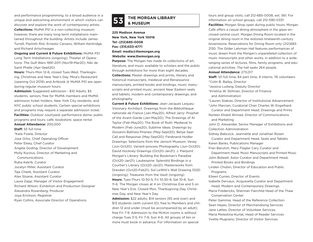and performance programming, to a broad audience in a unique and welcoming environment in which visitors can discover and explore the work of contemporary artists. **Collections:** MoMA PS1 is a non-collecting museum; however, there are many long-term installations maintained throughout the building. Artists include James Turrell, Pipilotti Rist, Ernesto Caivano, William Kentridge, and Richard Artschwager.

**Ongoing and Current & Future Exhibitions:** MoMA PS1 Long Term Installations (ongoing); Theater of Operations: The Gulf Wars 1991-2011 (Nov19-Mar20); Niki de Saint Phalle (Apr-Sept20)

**Hours:** Thurs-Mon 12-6, closed Tues-Wed, Thanksgiving, Christmas and New Year's Day. Mina's Restaurant (opening Oct 2019) and Artbook @ MoMA PS1 are open during regular museum hours.

**Admission:** Suggested admission - \$10 Adults, \$5 students, seniors, free for MoMA members and MoMA admission ticket holders, New York City residents, and NYC public school students. Certain special exhibitions and programs may require a separate admission ticket. **Facilities:** Outdoor courtyard; performance dome; public programs and tours; café; bookstore; space rental

**Annual Attendance:** 200,000 **Staff:** 55 full time \*Kate Fowle, Director Jose Ortiz, Chief Operating Officer Peter Eleey, Chief Curator Angela Goding, Director of Development Molly Kurzius, Director of Marketing and Communications Ruba Katrib, Curator Jocelyn Miller, Assistant Curator Taja Cheek, Assistant Curator Alex Sloane, Assistant Curator Laura Zapp, Manager of Visitor Engagement Richard Wilson, Exhibition and Production Designer Alexandra Rosenberg, Producer Joya Erickson, Registrar Ryan Collins, Associate Director of Operations

# **THE MORGAN LIBRARY 53 & MUSEUM**

**225 Madison Avenue New York, New York 10016 Tel: (212)685-0008 Fax: (315)533-4771 Email: media@themorgan.org Website: www.themorgan.org**

**Purpose:** The Morgan has made its collections of art. literature, and music available to scholars and the public through exhibitions for more than eight decades. **Collections:** Master drawings and prints, literary and historical manuscripts, medieval and Renaissance manuscripts, printed books and bindings, music manuscripts and printed music, ancient Near Eastern seals and tablets, modern and contemporary drawings, and photography

**Current & Future Exhibitions: Jean-Jacques Lequeu:** Visionary Architect. Drawings from the Bibliothèque nationale de France (Jan-May20); Alfred Jarry: Prophet of the Avant-Garde (Jan-May20); The Drawings of Al Taylor (Feb-May20); The Book of Ruth: Medieval to Modern (Feb-June20); Sublime Ideas: Drawings by Giovanni Battista Piranesi (May-Sept20); Betye Saar: Call and Response (May-Sept20); Ferdinand Hodler Drawings: Selections from the Jenisch Museum, Vevey (Jun-Oct20); Variant-process Photography (Jun-Oct20); David Hockney Drawings (Oct20-Jan21); J. Pierpont Morgan's Library: Building the Bookman's Paradise (Oct20-Jan21); Laubespine: Splendid Bindings in a Courtier's Library (Oct20-Jan21); Masterworks from Dresden (Oct20-Feb21); Sol LeWitt's Wall Drawing 552D (ongoing); Treasures from the Vault (ongoing) **Hours:** Tues-Thurs 10:30-5, Fri 10:30-9, Sat 10-6, Sun 11-6. The Morgan closes at 4 on Christmas Eve and 5 on New Year's Eve. Closed Mon, Thanksgiving Day, Christmas Day, and New Year's Day.

**Admission:** \$22 adults; \$14 seniors (65 and over) and \$13 students (with current ID); free to Members and children 12 and under (must be accompanied by an adult); free Fri 7-9. Admission to the McKim rooms is without charge Tues 3-5, Fri 7-9, Sun 4-6. All groups of ten or more must book in advance. For information on special

tours and group visits, call 212-685-0008, ext. 561. For information on school groups, call 212-590-0331. **Facilities:** Morgan Shop open during public hours. Morgan Café offers a casual dining atmosphere in the glass-enclosed central court. Morgan Dining Room located in the original dining room in the restored nineteenth-century brownstone. Reservations for Dining Room only (212)683- 2130. The Gilder Lehrman Hall features performances of music drawn from the Morgan's unparalleled collection of music manuscripts and other works, in addition to a wideranging series of lectures, films, family programs, and educational activities. The hall seats 264 people.

#### **Annual Attendance:** 273,017

**Staff:** 121 full time, 84 part time, 9 interns, 76 volunteers \*Colin B. Bailey, Director

\*Jessica Ludwig, Deputy Director

\*Kristina W. Stillman, Director of Finance and Administration

\*Lauren Stakias, Director of Institutional Advancement \*John Marciari, Curatorial Chair Charles W. Engelhard

 Curator and Department Head, Drawings and Prints Noreen Khalid Ahmad, Director of Communications and Marketing

John D. Alexander, Senior Manager of Exhibitions and Collection Administration

Sidney Babcock, Jeannette and Jonathan Rosen

 Curator and Department Head, Seals and Tablets Karen Banks, Publications Manager

Fran Barulich, Mary Flagler Cary Curator and

 Department Head, Music Manuscripts and Printed Music John Bidwell, Astor Curator and Department Head,

Printed Books and Bindings

Linden Chubin, Director of Education and Public Programs

Eileen Curran, Director of Events

Isabelle Dervaux, Acquavella Curator and Department Head, Modern and Contemporary Drawings

Maria Fredericks, Sherman Fairchild Head of the Thaw Conservation Center

Peter Gammie, Head of the Reference Collection Sean Hayes, Director of Merchandising Services Jane Lattes, Director of Volunteer Services Maria Molestina-Kurlat, Head of Reader Services Yvette Mugnano, Director of Visitor Services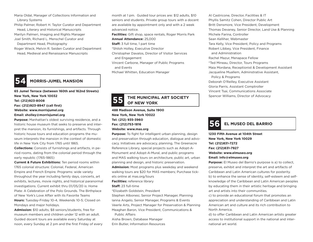Maria Oldal, Manager of Collections Information and Library Systems

Philip Palmer, Robert H. Taylor Curator and Department Head, Literary and Historical Manuscripts

Marilyn Palmeri, Imaging and Rights Manager Joel Smith, Richard L. Menschel Curator and

Department Head, Photography

Roger Wieck, Melvin R. Seiden Curator and Department Head, Medieval and Renaissance Manuscripts

### **54 MORRIS-JUMEL MANSION**

**65 Jumel Terrace (between 160th and 162nd Streets) New York, New York 10032 Tel: (212)923-8008 Fax: (212)923-8947 (call first) Website: www.morrisjumel.org Email: sholley@morrisjumel.org Purpose:** Manhattan's oldest surviving residence, and a historic house museum that seeks to preserve and interpret the mansion, its furnishings, and artifacts. Through

historic house tours and education programs the museum interprets the mansion in the context of domestic life in New York City from 1765 until 1865.

**Collections:** Consists of furnishings and artifacts, in period rooms, dating from the colonial period through the early republic (1765-1865)

**Current & Future Exhibitions:** Ten period rooms within 1765 colonial structure: Colonial, Federal, American Empire and French Empire. Programs: wide variety throughout the year including family days, concerts, art exhibits, lectures, movie nights, and historical paranormal investigations. Current exhibit thru 01/05/20 is: Home Plate: A Celebration of the Polo Grounds. The Birthplace of New York's Love Affair with its Favorite Teams **Hours:** Tuesday-Friday 10-4, Weekends 10-5; Closed on Mondays and major holidays.

**Admission:** \$10 adults, \$8 seniors/students, free for museum members and children under 12 with an adult. Guided docent tours are available every Saturday at noon, every Sunday at 2 pm and the first Friday of every month at 1 pm. Guided tour prices are: \$12 adults, \$10 seniors and students. Private group tours with a docent are available by appointment only and with a 2 week advanced notice. **Facilities:** Gift shop, space rentals, Roger Morris Park

**Annual Attendance:** 25,000

**Staff:** 3 full time, 1 part time

\*Shiloh Holley, Executive Director

Christopher Davalos, Director of Visitor Services and Engagement

Vincent Carbone, Manager of Public Programs and Events Michael Whitten, Education Manager

**THE MUNICIPAL ART SOCIETY 55 OF NEW YORK**

**488 Madison Avenue, Suite 1900 New York, New York 10022 Tel: (212) 935-3960 Fax: (212)753-1816 Website: www.mas.org**

**Purpose:** To fight for intelligent urban planning, design and preservation through education, dialogue and advocacy. Initiatives are advocacy, planning, The Greenacre Reference Library, special projects such as Adopt-A-Monument and Adopt-A-Mural, and public programs and MAS walking tours on architecture, public art, urban planning and design, and historic preservation.

**Admission:** Most programs plus weekday and weekend walking tours are \$20 for MAS members; Purchase tickets online at mas.org/tours

**Facilities:** reference library

**Staff:** 23 full-time

\*Elizabeth Goldstein, President

Stephen Albonesi, Senior Project Manager, Planning Ianna Angelo, Senior Manager, Programs & Events Veerle Arts, Project Manager for Preservation & Planning Meaghan Baron, Vice President, Communications & Public Affairs Aisha Brown, Database Manager Erin Butler, Information Resources

Al Castricone, Director, Facilities & IT Phyllis Samitz Cohen, Director Public Art Britt Densmore, Vice President, Development Thomas Devaney, Senior Director, Land Use & Planning Michele Farina, Controller Sean Kelliher, Webmaster Tara Kelly, Vice President, Policy and Programs Robert Libbey, Vice President, Finance and Administration Rachel Mazur, Menapace Fellow \*Ted Mineau, Director, Tours Programs Maia Mordana, Receptionist & Development Assistant Jacqueline Muallem, Adminstrative Assistant, Policy & Programs Deborah O'Reilley, Executive Assistant Gloria Parris, Assistant Comptroller Vincent Tsai, Communications Associate Spencer Williams, Director of Advocacy



**1230 Fifth Avenue at 104th Street New York, New York 10029 Tel: (212)831-7272 Fax: (212)831-7927 Website: www.elmuseo.org**

**Email: info@elmuseo.org**

**Purpose:** El Museo del Barrio's purpose is a) to collect, preserve, exhibit and interpret the art and artifacts of Caribbean and Latin American cultures for posterity. b) to enhance the sense of identity, self-esteem and selfknowledge of the Caribbean and Latin American peoples by educating them in their artistic heritage and bringing art and artists into their communities.

c) to provide an educational forum that promotes an appreciation and understanding of Caribbean and Latin American art and culture and its rich contribution to North America.

d) to offer Caribbean and Latin American artists greater access to institutional support in the national and international art world.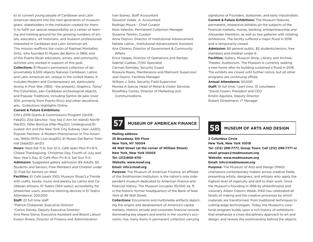e) to convert young people of Caribbean and Latin American descent into the next generation of museumgoers, stakeholders in the institution created for them. f) to fulfill our special responsibility as a center of learning and training ground for the growing numbers of artists, educators, art historians, and museum professionals interested in Caribbean and Latin American art. This mission reaffirms the vision of Raphael Montañez Ortiz, who founded El Museo del Barrio in 1969, and of the Puerto Rican educators, artists, and community activists who worked in support of this goal. **Collections:** El Museo's permanent collection of approximately 6,500 objects features Caribbean, Latino and Latin American art, unique in the United States. It includes Modern and Contemporary art, particularly strong in Post War (1950 - the present), Graphics, Taíno/ Pre-Columbian, pan-Caribbean archeological objects, and Popular Traditions, including Santos de palo (over 300, primarily from Puerto Rico) and other devotional arts. Collections Highlights Online

#### **Current & Future Exhibitions:**

Cifo's 2019 Grants & Commissions Program (Oct19– Feb20); Zilia Sánchez –Soy Isla (I Am An Island) Nov19- Mar20); Taller Boricua (Mar-May20); Undergound/Elevated: Art and the New York City Subway (Apr-Jul20); Popular Painters: A Modern Phenomenon In The Americas, 1940s-1970s (Jun-Aug20); El Museo Del Barrio Triennial (Sept20-Jan21)

**Hours:** Wed-Sat 11-6; Sun 12-5. Café open Mon-Fri 8-5. Closed Thanksgiving, Christmas Day, Fourth of July and New Year's Day. El Café Mon-Fri 8-4, Sat-Sun 11-5. Admission: Suggested gallery admission \$9 Adults, \$5 Students and Seniors, Free Members and Children under 12; Free for Seniors on Wed

**Facilities:** El Café (seats 100); Museum Shop/La Tienda with crafts, books, music and jewelry by Latino and Caribbean artisans. El Teatro (564 seats); accessibility for wheelchair users, assistive listening devices in El Teatro Attendance: 200,000

**Staff:** 22 full time staff

\*Patrick Charpenel, Executive Director

\*Carlos Galvez, Deputy Executive Director

Ana Maria Sierra, Executive Assistant and Board Liaison Evelyn Rivera, Director of Finance and Administration

Ivan Ibanez, Staff Accountant Giovanni Vidals, Jr. Accountant Rodrigo Moura – Chief Curator Noel Valentin, Permanent Collection Manager Susanna Temkin, Curator Anne Dayton, Director of Institutional Advancement Natalie Latino , Institutional Advancement Assistant Ana Chireno, Director of Government & Community Affairs Erica Vargas, Director of Operations and Rentals Gabriel Cuebas, IT/AV Specialist Carmen Semidey, Security Guard Rosaura Reyes, Maintenance and Mailroom Supervisor Joel Osorio, Facilities Manager William J. Soto, Security Field Supervisor Monika A Garcia, Head of Retail & Visitor Services RoseMary Cortes, Director of Marketing and Communications

signatures of Founders, statesmen, and early industrialists **Current & Future Exhibitions:** The Museum features permanent, interactive exhibits on the subjects of the financial markets, money, banking, entrepreneurship and Alexander Hamilton, as well as two galleries with rotating exhibitions. The facility suffered a major flood in 2018 and is temporarily closed.

**Admission:** \$8 general public, \$5 students/seniors, free members and children under 6

**Facilities:** Gallery, Museum Shop, Library and Archive, Theater, Auditorium. The Museum is currently seeking a new home after its building sustained a flood in 2018. The exhibits are closed until further notice, but all other programs are continuing offsite

#### **Annual Attendance:** 50,000

**Staff:** 10 full time, 1 part time, 10 volunteers \*David Cowen, President and CEO Kristin Aguilera, Deputy Director Robert Dinkelmann, IT Manager

### **57 MUSEUM OF AMERICAN FINANCE**

**Mailing address: 25 Broadway, 5th Floor New York, NY 10004 48 Wall Street (at the corner of William Street) New York, New York 10005 Tel: (212)908-4110 Website: www.moaf.org Email: info@moaf.org**

**Purpose:** The Museum of American Finance, an affiliate of the Smithsonian Institution, is the nation's only independent museum dedicated to American finance and financial history. The Museum occupies 30,000 sq. ft. in the historic former headquarters of the Bank of New York at 48 Wall Street.

**Collections:** Documents and multimedia artifacts depicting the origins and development of America's capital markets. Historic private and corporate financial records illuminating key players and events in the country's economic rise; many items in permanent collection carrying

### **58 MUSEUM OF ARTS AND DESIGN**

**2 Columbus Circle New York, New York 10019 Tel: (212) 299-7777, Group Tours: Call (212) 299-7771 or email groups@madmuseum.org Website: www.madmuseum.org Email: info@madmuseum.org**

**Purpose:** The Museum of Arts and Design (MAD) champions contemporary makers across creative fields, presenting artists, designers, and artisans who apply the highest level of ingenuity and skill to their work. Since the Museum's founding in 1956 by philanthropist and visionary Aileen Osborn Webb, MAD has celebrated all facets of making and the creative processes by which materials are transformed, from traditional techniques to cutting-edge technologies. Today, the Museum's curatorial program builds upon a rich history of exhibitions that emphasize a cross-disciplinary approach to art and design, and reveals the workmanship behind the objects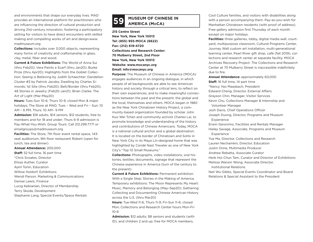and environments that shape our everyday lives. MAD provides an international platform for practitioners who are influencing the direction of cultural production and driving 21st-century innovation, fostering a participatory setting for visitors to have direct encounters with skilled making and compelling works of art and design.www. madmuseum.org

**Collections:** Includes over 3,000 objects, representing many forms of creativity and craftsmanship in glass, clay, metal, fiber and wood.

**Current & Future Exhibitions:** The World of Anna Sui (thru Feb20); Vera Paints a Scarf (thru Jan20); Burke Prize (thru Apr20); Highlights from the Goblet Collection; Seeing is Believing by Judith Schaechter; Dandelion Cluster #3 by Patrick Jacobs; Dwelling by Charles Simonds; 1st Site (thru Feb20); Belt/Border (thru Feb20); 48 Stories in Jewelry (Feb20-Jan21); Brian Clarke: The Art of Light (Mar-May20)

**Hours:** Tues-Sun 10-6, Thurs 10-9, closed Mon & major holidays; The Store at MAD, Tues – Wed and Fri – Sun: 10 AM – 6 PM, Thurs: 10 AM– 9 PM

**Admission:** \$18 adults, \$14 seniors, \$12 students, free to members and for 18 and under; Thurs 6-9 admission is Pay-What-You-Wish; Group Tours: Call 212.299.7771 or emailgroups@madmuseum.org

**Facilities:** The Store, 7th floor event rental space, 143 seat auditorium, 9th floor restaurant Robert (open for lunch, tea and dinner)

**Annual Attendance:** 200,000 **Staff:** 52 full time, 16 part time \*Chris Scoates, Director Elissa Auther, Curator April Tonin, Education Willow Holdorf, Exhibitions Wendi Parson, Marketing & Communications Denise Lewis, Finance Lucig Kebranian, Director of Membership Terry Skoda, Development

#### Stephanie Lang, Special Events/Space Rentals

# **MUSEUM OF CHINESE IN 59 AMERICA (MoCA)**

**215 Centre Street New York, New York 10013 Tel: (855) 955-MOCA (6622) Fax: (212) 619-4720 Collections and Research Center: 70 Mulberry Street, 2nd Floor New York, New York 10013 Website: www.mocanyc.org Email: info@mocanyc.org**

**Purpose:** The Museum of Chinese in America (MOCA) engages audiences in an ongoing dialogue, in which people of all backgrounds are able to see American history and society through a critical lens, to reflect on their own experiences, and to make meaningful connections between the past and the present, the global and the local, themselves and others. MOCA began in 1980 as the New York Chinatown History Project, a community-based organization founded by scholar John Kuo Wei Tchen and community activist Charles Lai, to promote knowledge and understanding of the history and contributions of Chinese Americans. Today, MOCA is a national cultural anchor and a global destination. It is located on the border of Chinatown and SoHo in New York City in its Maya Lin-designed home that was highlighted by Condé Nast Traveler as one of New York City's "Top 10 Small Museums."

**Collections:** Photographs, video installations, oral histories, textiles, documents, signage that represent the Chinese experience in America (turn of the century to the present).

**Current & Future Exhibitions:** Permanent exhibition: With a Single Step: Stories in the Making of America. Temporary exhibitions: The Moon Represents My Heart: Music, Memory and Belonging (May–Sep20); Gathering: Collecting and Documenting Chinese American History across the U.S. (thru Mar20)

**Hours:** Tue-Wed 11-6, Thurs 11-9; Fri-Sun 11-6; closed Mon; Collections and Research Center hours Mon-Fri 10-6

**Admission:** \$12 adults; \$8 seniors and students (with ID), and children 2 and up; free for MOCA members,

Cool Culture families, and visitors with disabilities along with a person accompanying them. Pay-as-you-wish for Manhattan Chinatown residents (with proof of address). Free gallery admission first Thursday of each month except on major holidays.

**Facilities:** three galleries, lobby, digital media wall, courtyard, multipurpose classroom, Cultural Programs Center, Journey Wall custom art installation, multi-generational learning center, Pearl River gift shop, café (fall 2019), collections and research center at separate facility. MOCA Archives Recovery Project. The Collections and Research Center at 70 Mulberry Street is inaccessible indefinitely due to fire.

**Annual Attendance:** approximately 60,000 **Staff:** 16 full time, 14 part time \*Nancy Yao Maasbach, President Edward Cheng, Director, External Affairs Grayson Chin, Manager, Visitor Services Kevin Chu, Collections Manager & Internship and Volunteer Manager Josh Davis, Chief Operations Officer Joseph Duong, Director, Programs and Museum Experience Erwin Geronimo, Facilities and Rentals Manager Hailey Savage, Associate, Programs and Museum Experience Yue Ma, Director, Collections and Research Lauren Nechamkin, Director, Education Justin Onne, Multimedia Producer Andrew Rebatta, Associate Curator Herb Hoi Chun Tam, Curator and Director of Exhibitions Melissa Wansin Wong, Associate Director, Institutional Relations

Neil Wu-Gibbs, Special Events Coordinator and Board Relations & Special Assistant to the President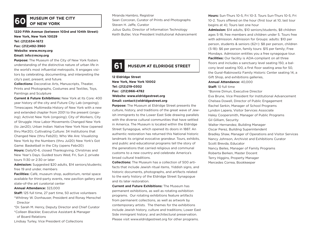## **60** MUSEUM OF THE CITY

**1220 Fifth Avenue (between 103rd and 104th Street) New York, New York 10029 Tel: (212)534-1672 Fax: (212)492-3960 Website: www.mcny.org**

#### **Email: info@mcny.org**

**Purpose:** The Museum of the City of New York fosters understanding of the distinctive nature of urban life in the world's most influential metropolis. It engages visitors by celebrating, documenting, and interpreting the city's past, present, and future.

**Collections:** Decorative Arts, Manuscripts, Theater, Prints and Photographs, Costumes and Textiles, Toys, Paintings and Sculpture

**Current & Future Exhibitions:** New York at Its Core: 400 year history of the city and Future City Lab (ongoing); Timescapes: Multimedia History of New York with a new and extended chapter from 2001 to the present (ongoing); Activist New York (ongoing); City of Workers, City of Struggle: How Labor Movements Changed New York (to Jan20); Urban Indian: Native New York Now (opened thru Mar20); Cultivating Culture: 34 Institutions that Changed New (thru Feb20); Who We Are: Visualizing New York by the Numbers (thru Jul20) New York's Got Game: Basketball in the City (opens Febr20) **Hours:** Daily10-6, closed Thanksgiving, Christmas and New Year's Days. Guided tours Wed, Fri, Sun 2, private

**Admission:** Suggested \$20 adults, \$14 seniors/students; free 19 and under, members

**Facilities:** Café, museum shop, auditorium, rental space available for third-party events, new pavilion gallery and state-of-the art curatorial center

#### **Annual Attendance:** 323,000

tours 11:30 or 2:30 or later

**Staff:** 125 full time, 27 part time, 50 active volunteers \*Whitney W. Donhauser, President and Ronay Menschel Director

\*Dr. Sarah M. Henry, Deputy Director and Chief Curator \*Colleen Blackler, Executive Assistant & Manager

of Board Relations

Lindsay Turley, Vice President of Collections

Miranda Hambro, Registrar

Sean Corcoran, Curator of Prints and Photographs Steven H. Jaffe, Curator

Julius Quito, Director of Information Technology Keith Butler, Vice President Institutional Advancement

### **61 MUSEUM AT ELDRIDGE STREET**

**12 Eldridge Street New York, New York 10002 Tel: (212)219-0302 Fax: (212)966-4782 Website: www.eldridgestreet.org Email: contact@eldridgestreet.org**

**Purpose:** The Museum at Eldridge Street presents the culture, history, and traditions of the great wave of Jewish immigrants to the Lower East Side drawing parallels with the diverse cultural communities that have settled in America. The Museum is located within the Eldridge Street Synagogue, which opened its doors in 1887. An authentic restoration has returned this National historic landmark its original evocative grandeur. Tours, exhibits, and public and educational programs tell the story of the generations that carried religious and communal customs to a new country and celebrate America's broad cultural traditions.

**Collections:** The Museum has a collection of 500 artifacts that include Jewish ritual items, Yiddish signs, and historic documents, photographs, and artifacts related to the early history of the Eldridge Street Synagogue and its later restoration.

**Current and Future Exhibitions:** The Museum has permanent exhibitions, as well as rotating exhibition programs. Our rotating exhibitions feature artifacts from permanent collections, as well as artwork by contemporary artists. The themes for the exhibitions include Jewish history, culture and traditions; Lower East Side immigrant history; and architectural preservation. Please visit www.eldridgestreet.org for other programs.

**Hours:** Sun-Thurs 10-5, Fri 10-3. Tours Sun-Thurs 10-5, Fri 10-2. Tours offered on the hour (first tour at 10, last tour begins at 4); Tours last one hour

**Admission:** \$14 adults, \$10 seniors/students, \$8 children ages 5-18, free members and children under 5. Tours free with admission. Admission for Groups: adults: \$10 per person, students & seniors (62+): \$8 per person, children (5-18): \$6 per person, family tours: \$15 per family; Free Mondays. Admission entitles you a free synagogue tour. **Facilities:** Our facility is ADA-compliant on all three floors and includes a sanctuary level seating 150, a balcony level seating 100, a first floor seating area for 50, the Gural-Rabinowitz Family Historic Center seating 14, a Gift Shop, and exhibitions galleries,

#### **Annual Attendance:** 40,000

**Staff:** 10 full time

\*Bonnie Dimun, Executive Director Eva Brune, Vice President for Institutional Advancement Chelsea Dowell, Director of Public Engagement Rachel Serkin, Manager of School Programs Lyndon Lapera, Visitor Services Associate Haley Coopersmith, Manager of Public Programs Gil Gilliam, Security Walter Hernandez, Building Manager Oscar Perez, Building Superintendent Bradley Shaw, Manager of Operations and Visitor Services Nancy Johnson, Archivist and Exhibitions Curator Scott Brevda, Educator Nancy Beiles, Manager of Family Programs Roberta Berken, Master Docent Terry Higgins, Property Manager Mercedes Correa, Bookkeeper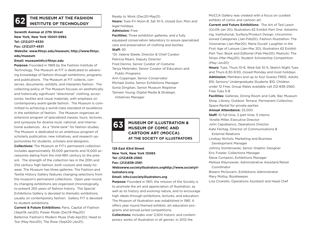# **THE MUSEUM AT THE FASHION 62 INSTITUTE OF TECHNOLOGY**

**Seventh Avenue at 27th Street New York, New York 10001-5992 Tel: (212)217-4530 Fax: (212)217-4531**

**Website: www.fitnyc.edu/museum; http://www.fitnyc. edu/museum**

#### **Email: museuminfo@fitnyc.edu**

**Purpose:** Founded in 1969 by the Fashion Institute of Technology, The Museum at FIT is dedicated to advancing knowledge of fashion through exhibitions, programs and publications. The Museum at FIT collects, conserves, documents, exhibits, and interprets fashion. The collecting policy of The Museum focuses on aesthetically and historically significant "directional" clothing, accessories, textiles and visual materials, with emphasis on contemporary avant-garde fashion. The Museum is committed to achieving a world-class standard of excellence in the exhibition of fashion. The Museum organizes an extensive program of specialized classes, tours, lectures, and symposia for diverse local, national, and international audiences. As a "think-tank" for fashion studies, The Museum is dedicated to an ambitious program of scholarly publication, new initiatives, and research opportunities for students, scholars and designers. **Collections:** The Museum at FIT's permanent collection includes approximately 35,000 garments and 15,000 accessories dating from the mid-18th century to the present. The strength of the collection lies in the 20th and 21st century high fashion, both couture and ready-towear. The Museum has three galleries: The Fashion and Textile History Gallery features changing selections from the museum's permanent collections. Open year-round, its changing exhibitions are organized chronologically, to present 250 years of fashion history. The Special Exhibitions Gallery is devoted to thematic exhibitions, usually on contemporary fashion. Gallery FIT is devoted to student exhibitions.

**Current & Future Exhibitions:** Paris, Capital of Fashion (Sept19-Jan20); Power Mode (Dec19-May20)' Ballerina: Fashion's Modern Muse (Feb-Apr20); Head to Toe (May-Nov20); The Rose (Sept20-Jan21);

Ready to Work (Dec20-May21)

**Hours:** Tues-Fri Noon-8, Sat 10-5, closed Sun, Mon and legal holidays

#### **Admission:** Free

**Facilities:** Three exhibition galleries, and a fully equipped conservation laboratory to assure specialized care and preservation of clothing and textiles. **Staff:** 30

\*Dr. Valerie Steele, Director & Chief Curator Patricia Mears, Deputy Director Fred Dennis, Senior Curator of Costume Tanya Melendez, Senior Curator of Education and Public Programs Ann Coppinger, Senior Conservator Michael Goitia, Senior Exhibitions Manager Sonia Dingilian, Senior Museum Registrar Tamsen Young, Digital Media & Strategic

Initiatives Manager

#### **MUSEUM OF ILLUSTRATION & MUSEUM OF COMIC AND CARTOON ART (MOCCA) AT THE SOCIETY OF ILLUSTRATORS 63**

**128 East 63rd Street New York, New York 10065 Tel: (212)838-2560 Fax: (212)838-2561 Webswww.societyillustrators.orghttp://www.societyillustrators.org Email: info@societyillustrators.org**

**Purpose:** Founded in 1901, the mission of the Society is to promote the art and appreciation of illustration, as well as its history and evolving nature, and to encourage high ideals through exhibitions, lectures, and education. The Museum of Illustration was established in 1981. It offers year-round themed exhibits, art education programs and annual juried competitions.

**Collections:** Includes over 3,500 historic and contemporary works of illustration in all genres. In 2012 the

MoCCA Gallery was created with a focus on curated exhibits of comic and cartoon art.

**Current and Future Exhibitions:** The Art of Ted Lewin (Oct19-Jan 20); Illustrators 62 Exhibit Part One: Advertising, Institutional, Surface/Product Design, Uncommissioned Categories (Jan-Feb20); Fashion Illustration: The Visionaries (Jan-Mar20); Marie Duvall: Laughter in the First Age of Leisure (Jan-Mar 20); Illustrators 62 Exhibit: Part Two: Book and Editorial (Feb-Mar20); Peanuts: The Strips (Mar-May20); Student Scholarship Competition (May-Jun20)

**Hours:** Tues, Thurs 10-8, Wed-Sat 10-5, Sketch Night Tues and Thurs 6:30-9:30, closed Monday and most holidays **Admission:** Members and up to four Guests FREE; Adults \$15; Seniors/ Undergraduate Students \$10; Children under 12 Free; Group Rates available call 212-838-2560. Free Tues 5-8

**Facilities:** Galleries, Dining Room and Cafe, Bar, Museum Shop, Library, Outdoor Terrace, Permanent Collection, Space Rental for private parties

#### **Annual Attendance:** 25,000

**Staff:** 10 full time, 2 part time, 5 interns

\*Anelle Miller, Executive Director

John Capobianco, Operations Director

Kate Feirtag, Director of Communications & External Relations

Lindsay Nichols, Marketing and Business

Development Manager

Johnny Dombrowski, Senior Graphic Designer

Eric Fowler, Collections Manager

Steve Compton, Exhibitions Manager

Melissa Kleynowski, Administrative Assistant/Retail Coordinator

Breann McGovern, Exhibitions Administrator Mary Molloy, Bookkeeper

Lisa Cicerello, Operations Assistant and Head Chef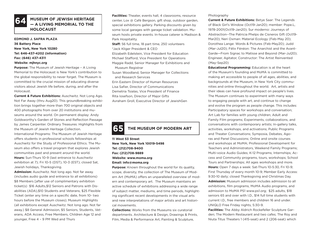

### **MUSEUM OF JEWISH HERITAGE — A LIVING MEMORIAL TO THE HOLOCAUST**

#### **EDMOND J. SAFRA PLAZA 36 Battery Place New York, New York 10280 Tel: 646-437-4202 (information) Fax: (646) 437-4311 Website: mjhnyc.org**

**Purpose:** The Museum of Jewish Heritage – A Living Memorial to the Holocaust is New York's contribution to the global responsibility to never forget. The Museum is committed to the crucial mission of educating diverse visitors about Jewish life before, during, and after the Holocaust.

**Current & Future Exhibitions:** Auschwitz. Not Long Ago. Not Far Away (thru Aug20). This groundbreaking exhibition brings together more than 700 original objects and 400 photographs from over 20 institutions and museums around the world. On permanent display: Andy Goldsworthy's Garden of Stones and Reflection Passage by James Carpenter. Ordinary Treasures: Highlights from the Museum of Jewish Heritage Collection. International Programs: The Museum of Jewish Heritage offers students in professional schools fellowships at Auschwitz for the Study of Professional Ethics. The Museum also offers a travel program that explores Jewish communities past and present around the world. **Hours:** Sun-Thurs 10-9 (last entrance to Auschwitz exhibition at 7); Fri 10-5 (DST), 10-3 (EST); closed Sat, Jewish holidays, Thanksgiving.

**Admission:** Auschwitz. Not long ago. Not far away. (includes audio guide and entrance to all exhibitions) \$8 Members [after use of complimentary exhibition] ticket(s) \$16 Adults,\$12 Seniors and Patrons with Disabilities (ADA),\$10 Students and Veterans, \$25 Flexible Ticket (enter any time on a specific date, from 10- two hours before the Museum closes); Museum Highlights (all exhibitions except Auschwitz. Not long ago. Not far away.) \$8 General Admission, \$5 Seniors, Students, Veterans, ADA Access, Free Members, Children Age 12 and younger, Free 4 – 9 PM Wed and Thurs

**Facilities:** Theater, events hall, 4 classrooms, resource center, Lox @ Café Bergson, gift shop, outdoor garden, special exhibitions gallery. Parking discounts given by some local garages with garage ticket validation. Museum hosts private events. In-house caterer is Madison & Park Hospitality.

**Staff:** 56 full time, 18 part time, 250 volunteers \*Jack Kliger President & CEO

Elizabeth Edelstein, Vice President for Education Michael Stafford, Vice President for Operations Maggie Radd, Senior Manager for Exhibitions and Museum Registrar

Susan Woodland, Senior Manager for Collections and Research Services Erin Eastern Director of Human Resources

Lisa Safier, Director of Communications Demetria Tsialas, Vice President of Finance Rita Iosefson, Director of Major Gifts Avraham Groll, Executive Director of JewishGen

### **65 THE MUSEUM OF MODERN ART**

**11 West 53 Street New York, New York 10019-5498 Tel: (212)708-9400 Fax: (212)708-9889 Website: www.moma.org Email: info@moma.org**

**Purpose:** Known throughout the world for its quality, scope, diversity, the collection of The Museum of Modern Art (MoMA) offers an unparalleled overview of modern and contemporary art. The Museum maintains an active schedule of exhibitions addressing a wide range of subject matter, mediums, and time periods, highlighting significant recent developments in the visual arts and new interpretations of major artists and art historical movements.

**Collections:** Works from the Museums six curatorial departments. Architecture & Design, Drawings & Prints, Film, Media & Performance Art, Painting & Sculpture,

#### Photography

**Current & Future Exhibitions:** Betye Saar: The Legends of Black Girl's Window (Oct19-Jan20); member: Pope.L, 1978-2001(Oct19-Jan20); Sur moderno: Journeys of Abstraction--The Patricia Phelps de Cisneros Gift (Oct19- Mar20); Neri Oxman: Material Ecology (Feb-May 20); Dorothea Lange: Words & Pictures (Feb-May20); Judd (Mar-Jul20); Félix Fénéon: The Anarchist and the Avant-Garde—From Signac to Matisse and Beyond (Mar-Jul20); Engineer, Agitator, Constructor: The Artist Reinvented (May-Sep20)

**Educational Programming:** Education is at the heart of the Museum's founding and MoMA is committed to making art accessible to people of all ages, abilities, and backgrounds at the Museum, in New York City communities and online throughout the world. Art, artists and their ideas can have profound impact on people's lives. The Museum continues to experiment with many ways to engaging people with art, and continue to change and evolve the program as people change. This includes: Participatory spaces for workshops and conversation; Art Lab for families with young children; Adult and Family Film programs; Experiments, collaborations, and conversations with contemporary artists; In-gallery talks, activities, workshops, and activations; Public Programs and Theater Conversations; Symposia, Debates, Agoras and Panel Discussions; Online and onsite courses and workshops at MoMA; Professional Development for Teachers and Administrators, Weekend Family Programs; Multi-voice Audio Guides; K-12 Programs; Internships; Access and Community programs, tours, workshops; School Tours and Partnerships; All ages workshops and more. **Hours:** Open 7 days a week: Sat-Thurs 10-5:30, Fri 10-9; First Thursday of every month 10-9; Member Early Access: 9:30-10 daily; closed Thanksgiving and Christmas Day. **Admission:** Museum admission includes admission to all exhibitions, film programs, MoMA Audio programs, and admission to MoMA PS1 www.ps1.org; \$25 adults, \$18 seniors 65 and over with I.D., \$14 full time students with current I.D., free members and children 16 and under. UNIQLO Free Friday nights, 5:30-9.

**Facilities:** The Abby Aldrich Rockefeller Sculpture Garden; The Modern Restaurant and two cafes; The Roy and Niuta Titus Theaters 1 (415-seat) and 2 (206-seat) which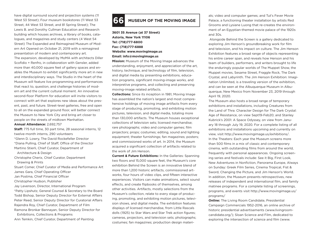have digital surround sound and projection systems (11 West 53 Street); Four museum bookstores (11 West 53 Street, 44 West 53 Street, and 81 Spring Street); The Lewis B. and Dorothy Cullman Education and Research building which houses archives, a library of books, catalogues, and magazines and study centers (4 West 54 Street) The Expanded and Reimagined Museum of Modern Art Opened on October 21, 2019 with a reimagined presentation of modern and contemporary art.

The expansion, developed by MoMA with architects Diller Scofidio + Renfro, in collaboration with Gensler, added more than 40,000 square feet of gallery spaces and enables the Museum to exhibit significantly more art in new and interdisciplinary ways. The Studio in the heart of the Museum will feature live programming and performances that react to, question, and challenge histories of modern art and the current cultural moment. An innovative second-floor Platform for education will invite visitors to connect with art that explores new ideas about the present, past, and future. Street-level galleries, free and open to all on the expanded ground floor, will better connect the Museum to New York City and bring art closer to people on the streets of midtown Manhattan.

#### **Annual Attendance:** 2,692,757

**Staff:** 775 full time, 30 part time, 28 seasonal interns, 12 twelve-month interns, 290 volunteers \*Glenn D. Lowry, The David Rockefeller Director \*Diana Pulling, Chief of Staff, Office of the Director Martino Stierli, Chief Curator, Department of Architecture & Design Christophe Cherix, Chief Curator, Department Drawing & Prints Stuart Comer, Chief Curator of Media and Performance Art James Gara, Chief Operating Officer Jan Postma, Chief Financial Officer Christopher Hudson, Publisher Jay Levenson, Director, International Program \*Patty Lipshutz, General Counsel & Secretary to the Board Todd Bishop, Senior Deputy Director for External Affairs Peter Reed, Senior Deputy Director for Curatorial Affairs Rajendra Roy, Chief Curator, Department of Film Ramona Bronkar Bannayan, Senior Deputy Director for Exhibitions, Collections & Programs Ann Temkin, Chief Curator, Department of Painting

## **66 MUSEUM OF THE MOVING IMAGE**

**3601 35 Avenue (at 37 Street) Astoria, New York 11106 Tel: (718)777-6800 Fax: (718)777-6888 Website: www.movingimage.us Email: info@movingimage.us**

**Mission:** Museum of the Moving Image advances the understanding, enjoyment, and appreciation of the art, history, technique, and technology of film, television, and digital media by presenting exhibitions, education programs, significant moving-image works, and interpretive programs, and collecting and preserving moving-image related artifacts.

**Collections:** Since its inception in 1981, Moving Image has assembled the nation's largest and most comprehensive holdings of moving image artifacts from every stage of producing, promoting, and exhibiting motion pictures, television, and digital media, totaling more than 130,000 artifacts. The Museum houses exceptional collections of television sets; licensed merchandise; rare photographs; video and computer games; film projectors; props; costumes; editing, sound and lighting equipment; theater furnishings; fan magazines; posters; and commissioned works of art. In 2014, the Museum acquired a significant collection of artifacts related to the work of Jim Henson.

**Current & Future Exhibitions:** In the Galleries: Spanning two floors and 15,000 square feet, the Museum's core exhibition Behind the Screen is an innovative blend of more than 1,200 historic artifacts, commissioned artworks, four hours of video clips, and fifteen interactive experiences. Visitors can make animations, select sound effects, and create flipbooks of themselves, among other activities. Artifacts, mostly selections from the Museum's collection, relate to every stage of producing, promoting, and exhibiting motion pictures, television shows, and digital media. The exhibition features displays of licensed merchandise, from Little Rascals dolls (1925) to Star Wars and Star Trek action figures; cameras, projectors, and television sets; photographs; costumes; fan magazines; production design materials; video and computer games; and Tut's Fever Movie Palace, a functioning theater installation by artists Red Grooms and Lysiane Luong that re-creates the environment of an Egyptian-themed movie palace of the 1920s and 30s.

 Alongside Behind the Screen is a gallery dedicated to exploring Jim Henson's groundbreaking work for film and television, and his impact on culture. The Jim Henson Exhibition features a broad range of objects representing his entire career span, and reveals how Henson and his team of builders, performers, and writers brought to life the enduringly popular worlds of The Muppet Show, the Muppet movies, Sesame Street, Fraggle Rock, The Dark Crystal, and Labyrinth. The Jim Henson Exhibition: Imagination Unlimited, is a traveling version of the exhibition, and can be seen at the Albuquerque Museum in Albuquerque, New Mexico from November 23, 2019 through April 19, 2020.

The Museum also hosts a broad range of temporary exhibitions and installations, including Creatures from the Land of Thra: Character Design for The Dark Crystal: Age of Resistance, on view Sept19-Feb20; and Stanley Kubrick's 2001: A Space Odyssey, on view from January 18 through July 19, 2020. For a complete listing of all exhibitions and installations upcoming and currently on view, visit http://www.movingimage.us/exhibitions/. In the Theaters: Each year the Museum screens more than 500 films in a mix of classic and contemporary cinema, with outstanding films from around the world, frequently with personal appearances. Ongoing screening series and festivals include: See it Big, First Look, New Adventures in Nonfiction, Panorama Europe, Always on Sunday: Greek Film Series, Cinema Tropical, Fist & Sword, Changing the Picture, and Jim Henson's World. In addition, the Museum presents retrospectives, new releases of independent and international film, and family matinee programs. For a complete listing of screenings, programs, and events visit http://www.movingimage.us/ programs/

**Online:** The Living Room Candidate, Presidential Campaign Commercials 1952-2016, an online archive of historic presidential advertisements (www.livingroomcandidate.org/); Sloan Science and Film, dedicated to exploring the intersection of science and film (www.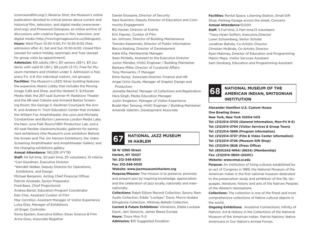scienceandfilm.org/); Reverse Shot, the Museum's online publication devoted to critical pieces about current and historical film, television, and digital media (www.revershot.org); and Pinewood Dialogues, an online archive of discussions with creative figures in film, television, and digital media (http://movingimagesource.us/dialogues). **Hours:** Wed-Thurs 10:30-5:00, Fri 10:30-8:00 (free admission after 4), Sat and Sun 10:30-6:00; closed Mon (except for select holiday openings) and Tues (except for group visits by appointment)

**Admission:** \$15 adults (18+), \$11 seniors (65+), \$11 students with valid ID (18+), \$9 youth (3-17), Free for Museum members and children under 3. Admission is free every Fri, 4-8 (for individual visitors, not groups) **Facilities:** The Museum's LEED Silver building features the expansive Hearst Lobby that includes the Moving Image Café and Shop, and the Herbert S. Schlosser Media Wall; the 267-seat Sumner M. Redstone Theater and the 68-seat Celeste and Armand Bartos Screening Room; the George S. Kaufman Courtyard; the Ann R. and Andrew H. Tisch Education Center that includes the William Fox Amphitheater, the Leon and Michaela Constantiner and Burton Lawrence London Media Labs, the Nam June Paik Room/HBO Production Lab, and a 40-seat flexible classroom/studio; galleries for permanent exhibitions (the Museum's core exhibition Behind the Screen and The Jim Henson Exhibition); the Video Screening Amphitheater and Amphitheater Gallery; and the changing exhibitions gallery.

**Annual Attendance:** 190,335 (FY'19)

**Staff:** 44 full time, 50 part time, 20 volunteers, 10 interns \*Carl Goodman, Executive Director \*Wendell Walker, Deputy Director for Operations, Exhibitions, and Design

Michael Benjamin, Acting Chief Financial Officer

Patrick Alvarado, Senior Preparator

Fred Baez, Chief Projectionist

Andrea Bansil, Education Program Coordinator

Edo Choi, Assistant Curator of Film

Max Cornillon, Assistant Manager of Visitor Experience

Luisa Diez, Manager of Exhibitions

Jill Engel, Controller

Sonia Epstein, Executive Editor, Sloan Science & Film Anna Goss, Associate Registrar

Daniel Grossane, Director of Security Sara Guerrero, Deputy Director of Education and Community Engagement BG Hacker, Director of Events Eric Haynes, Curator of Film Ian Johnson, Director of Building Maintenance Tomoko Kawamoto, Director of Public Information Becca Keating, Director of Development Katie Kita, Membership Manager Sean McNally, Assistant to the Executive Director Junior Mendez, HVAC Engineer / Building Maintainer Barbara Miller, Director of Curatorial Affairs Tony Monsanto, IT Manager Elina Nunez, Associate Director, Finance and HR Angel Ortiz-Oyola, Manager of Graphic Design and Production Jannette Reichel, Manager of Collections and Registration Hera Singh, Media Education Manager

Justin Singleton, Manager of Visitor Experience Buddi Man Tamang, HVAC Engineer / Building Maintainer Amanda Valentin, Development Associate

# **NATIONAL JAZZ MUSEUM 67 IN HARLEM**

### **58 W 129th Street Harlem, NY 10027 Tel: 212-348-8300 Fax: 212-348-5030 Website: www.jazzmuseuminharlem.org**

**Purpose/Mission:** The mission is to preserve, promote and present jazz by inspiring knowledge, appreciation and the celebration of jazz locally, nationally and internationally.

**Collections:** Ralph Ellison Record Collection, Savory Rare Audio Collection, Eddie "Lockjaw" Davis, Morris Hodara Ellingtonia Collection, Whitney Balliett Collection **Current & Future Exhibitions:** Vibrations, Eddie Lockjaw Davis, Jam Sessions, James Reese Europe **Hours:** Thurs-Mon 11-5 **Admission:** \$10 Suggested Donation

**Facilities:** Rental Space, Listening Station, Small Gift Shop, Parking Garage across the street, Concerts **Annual Attendance:**10,000 **Staff:** 3 Full time, 2 Part time,13 volunteers \*Tracy Hyter-Suffern, Executive Director Loren Schoenberg, Senior Scholar Jonathan Batiste, Co-Artistic Director Christian McBride, Co-Artistic Director Ryan Maloney, Director of Education and Programming Martin Mejia, Visitor Services Assistant Sam Ginsberg, Education and Programming Assistant



**NATIONAL MUSEUM OF THE AMERICAN INDIAN, SMITSONIAN INSTITUTION**

**Alexander Hamilton U.S. Custom House One Bowling Green New York, New York 10004-1415 Tel: (212)514-3700 (General Information, Mon-Fri 9-5) Tel: (212)514-3794 (Visitor Services & Group Tours) Tel: (212)514-3888 (Program Information) Tel: (212)514-3737 (Film & Video Center Information) Tel: (212)514-3726 (Museum Gift Shop) Tel: (212)514-3826 (Press Office) Tel: (800)242-NMAI (6624) (Membership) Fax: (212)514-3800 (GGHC) Website: www.nmai.si.edu**

**Purpose:** An institution of living cultures established by an act of Congress in 1989, the National Museum of the American Indian is the first national museum dedicated to the preservation study and exhibition of the life, languages, literature, history and arts of the Natives Peoples of the Western Hemisphere.

**Collections:** The collection is one of the finest and most comprehensive collections of Native cultural objects in the world.

**Ongoing Exhibitions:** Ancestral Connections; Infinity of Nations: Art & History in the Collections of the National Museum of the American Indian. Patriot Nations: Native Americans in Our Nation's Armed Forces.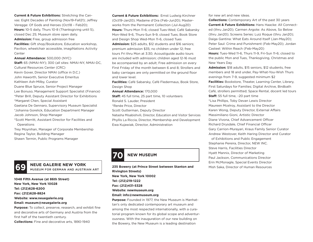**Current & Future Exhibitions:** Stretching the Canvas: Eight Decades of Painting (Nov19-Fall21); Jeffrey Veregge: Of Gods and Heroes (Oct18 – Feb20); **Hours:** 10-5 daily, Thurs 10-8 (Thanksgiving until 5), closed Dec 25; Museum store open daily. **Admission:** Free, group admission free

**Facilities:** Gift shop/Bookstore, Education workshop, Pavilion, wheelchair accessible, imagiNations Activity Center

#### **Annual Attendance:** 500,000 (NYC)

**Staff:** 65 (NMAI-NY); 300 (all sites: NMAI-NY, NMAI-DC, Cultural Resources Center (CRC) Kevin Gover, Director NMAI (office in D.C.) John Haworth, Senior Executive Emeritus Kathleen Ash-Milby, Curator Duane Blue Spruce, Senior Project Manager Lee Bonuso, Management Support Specialist (Finance) \*Peter Brill, Deputy Assistant Director for Exhibitions \*Margaret Chen, Special Assistant Gaetana De Gennaro, Supervisory Museum Specialist \*Johanna Gorelick, Education Department Manager Jacob Johnson, Shop Manager \*Scott Merritt, Assistant Director for Facilities and **Operations** 

Trey Moynihan, Manager of Corporate Membership Regina Taylor, Building Manager Shawn Termin, Public Programs Manager



**1048 Fifth Avenue (at 86th Street) New York, New York 10028 Tel: (212)628-6200 Fax: (212)628-8824 Website: www.neuegalerie.org Email: museum@neuegalerie.org Purpose:** To collect, preserve, research, and exhibit fine and decorative arts of Germany and Austria from the first half of the twentieth century.

**Collections:** Fine and decorative arts, 1890-1940

**Current & Future Exhibitions:** Ernst Ludwig Kirchner (Oct19-Jan20); Madame d'Ora (Feb-Jun20); Masterworks from the Permanent Collection (Jul-Aug20) **Hours:** Thurs-Mon 11-6; closed Tues-Wed; Café Sabarsky Mon-Wed 9-6, Thurs-Sun 9-9, closed Tues; Book Store and Design Shop Wed-Mon 11-6, closed Tues

**Admission:** \$25 adults, \$12 students and \$16 seniors; premium admission \$35; no children under 12; free tours Fri thru Mon at 3:30; Acoustiguide audio tours are included with admission; children aged 12-16 must be accompanied by an adult; Free admission on every First Friday of the month between 6 and 8; Strollers and baby carriages are only permitted on the ground floor and lower level.

**Facilities:** Café Sabarsky, Café Fledermaus, Book Store, Design Shop

**Annual Attendance:** 170,000

**Staff:** 45 full time, 25 part time, 10 volunteers

Ronald S. Lauder, President

\*Renée Price, Director

Scott Gutterman, Deputy Director

Natasha Misabishvili, Director, Education and Visitor Services Phyllis La Riccia, Director, Membership and Development Ewa Kujawiak, Director, Administration



**235 Bowery (at Prince Street between Stanton and Mish Saka, Director of Human Resources MUSEUM FOR GERMAN AND AUSTRIAN ART RIVING Rivington Streets) Rivington Streets) New York, New York 10002 Tel: (212)219-1222 Fax: (212)431-5328 Website: newmuseum.org Email: info@newmuseum.org Purpose:** Founded in 1977, the New Museum is Manhat-

tan's only dedicated contemporary art museum and among the most respected internationally, with a curatorial program known for its global scope and adventurousness. With the inauguration of our new building on the Bowery, the New Museum is a leading destination

for new art and new ideas.

**Collections:** Contemporary Art of the past 30 years **Current & Future Exhibitions:** Hans Haacke: All Connected (thru Jan20); Carmen Argote: As Above, So Below (thru Jan20); Screens Series: Luiz Roque (thru Jan20); Daiga Gantina: What Eats Around Itself (Jan-May20); Peter Saul: Crime and Punishment (Feb-May20); Jordan Casteel: Within Reach (Feb-May20)

**Hours:** Tues-Wed 11-6, Thurs 11-9, Fri-Sun 11-6; closed to the public Mon and Tues, Thanksgiving, Christmas and New Years Day

**Admission:** \$18 adults, \$15 seniors, \$12 students, free members and 18 and under, Pay-What-You-Wish Thurs evenings from 7-9, suggested minimum \$2

**Facilities:** Bookstore, Theater, Learning Center, Library, First Saturdays for Families; Digital Archive, Birdbath Café, strollers permitted; Space Rental, docent led tours **Staff:** 55 full time, ~20 part time

\*Lisa Phillips, Toby Devan Lewis Director Maureen Mcelroy, Assistant to the Director Karen Wong, Deputy Director, External Affairs Massimiliano Gioni, Artistic Director Diane Vivona, Chief Advancement Officer Richard Drysdale, Chief Financial Officer Gary Carrion-Murayari, Kraus Family Senior Curator Andrew Westover, Keith Haring Director and Curator of Exhibitions and Public Engagement Stephanie Pereira, Director, NEW INC. Steve Harris, Facilities Director

Hyatt Mannix, Director of Marketing Paul Jackson, Communications Director Erin McMonagle, Special Events Director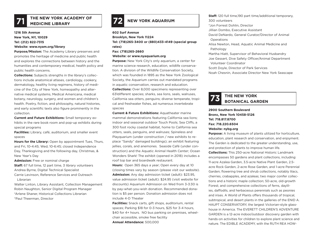

## **71 IHE NEW YORK ACADEMY OF <b>72 NEW YORK AQUARIUM**

### **1216 5th Avenue New York, NY, 10029 Tel: (212) 822-7315**

#### **Website: www.nyam.org/library**

**Purpose/Mission:** The Academy Library preserves and promotes the heritage of medicine and public health and explores the connections between history and the humanities and contemporary medical, health policy and public health concerns.

**Collections:** Subjects strengths in the library's collections include anatomical atlases, cardiology, cookery, dermatology, healthy living regimens, history of medicine of the City of New York, homeopathy and alternative medical systems, Medical Americana, medical botany, neurology, surgery, and women and children's health. Poetry, fiction, and philosophy, natural histories, and early scientific texts also figure prominently in the collection.

**Current and Future Exhibitions:** Small temporary exhibits in the rare book room and pop-up exhibits during special programs

**Facilities:** Library, café, auditorium, and smaller event spaces

**Hours for the Library:** Open by appointment Tues, Thurs, and Fri, 10-4:45; Wed, 10-6:45; closed Independence Day, Thanksgiving and the following day, Christmas, & New Year's Day

**Admission:** Free or nominal charge

**Staff:** 67 full time, 12 part time, 3 library volunteers Andrea Byrne, Digital Technical Specialist

Carrie Levinson, Reference Services and Outreach Librarian

Walter Linton, Library Assistant, Collection Management Robin Naughton, Senior Digital Program Manager \*Arlene Shaner, Historical Collections Librarian \*Paul Theerman, Director

**602 Surf Avenue Brooklyn, New York 11224 Tel: (718)265-3400 or (880)433-4149 (special group rates) Fax: (718)265-2660**

#### **Website: or www.nyaquarium.org**

**Purpose:** New York City's only aquarium, a center for marine science research, education, wildlife conservation. A division of the Wildlife Conservation Society, which was founded in 1895 as the New York Zoological Society, the Aquarium carries out mandated programs in aquatic conservation, research and education. **Collections:** Over 8,000 specimens representing over 631different species; sharks, sea lions, seals, walruses, California sea otters, penguins; diverse temperate, tropical and freshwater fishes, ad numerous invertebrate species

**Current & Future Exhibitions: Aquatheater marine** mammal demonstrations featuring California sea lions; indoor and seasonal outdoor Touch Pools; Sea Cliffs, a 300 foot rocky coastal habitat, home to California sea otters, seals, penguins, and walruses; Spineless and Playquarium (under construction / new exhibits to replace "Sandy" damaged buildings); an exhibit featuring jellies, corals, and anemones. Seaside Café (under construction) and the Aquatic Animal Health Center; Ocean Wonders Shark! The exhibit (opened in 2018) includes a roof top bar and boardwalk restaurant.

**Hours:** Open 365 days a year; Open every day at 10 (closing times vary by season (please visit our website). **Admission:** Any day admission ticket (adult): \$23.95, value admission ticket (adult): \$24.95 (visit website for discounts) Aquarium Admission on Wed from 3-3:30 is by pay-what-you-wish donation. Recommended donation is \$5 per person. Donation admission does not include 4-D Theater

**Facilities:** Snack carts, gift shops, auditorium, rental spaces; Parking \$18 for 0-3 hours, \$25 for 3-4 hours, \$40 for 4+ hours. NO bus parking on premises, wheelchair accessible, smoke free facility **Annual Attendance:** 500,000

**Staff:** 120 full time,190 part time/additional temporary, 300 volunteers \*Jon Forrest Dohlin, Director Jillian Dombo, Executive Assistant David DeNardo, General Curator/Director of Animal **Operations** Alisa Newton, Head, Aquatic Animal Medicine and Pathology Martha Hiatt, Supervisor of Behavioral Husbandry Joe Gessert, Dive Safety Officer/Animal Department Volunteer Coordinator Scott Doyle, Director of Park Services Noah Chesnin, Associate Director New York Seascape

# **THE NEW YORK 73 BOTANICAL GARDEN**

#### **2900 Southern Boulevard Bronx, New York 10458-5126 Tel: 718.817.8700 Fax: 718.220.6504 Website: nybg.org**

**Purpose:** A living museum of plants utilized for horticulture. education, plant research and conservation, and enjoyment. The Garden is dedicated to the greater understanding, use, and protection of plants to improve human life. **Collections:** This 250-acre National Historic Landmark encompasses 50 gardens and plant collections, including: 11-acre Azalea Garden, 3.5-acre Native Plant Garden, 2.5 acre Rock Garden, 2-acre Rose Garden, and 1-acre Perennial Garden; flowering tree and shrub collections, notably lilacs, cherries, crabapples, and azaleas; two major conifer collections and a historic maple collection; 50-acre, old-growth Forest; and comprehensive collections of ferns, daylilies, daffodils, and herbaceous perennials such as peonies and irises. A World of Plants offers thousands of tropical, subtropical, and desert plants in the galleries of the ENID A. HAUPT CONSERVATORY, the largest Victorian-style glasshouse in America. The EVERETT CHILDREN'S ADVENTURE GARDEN is a 12-acre indoor/outdoor discovery garden with

hands-on activities for children to explore plant science and nature. The EDIBLE ACADEMY, with the RUTH REA HOW-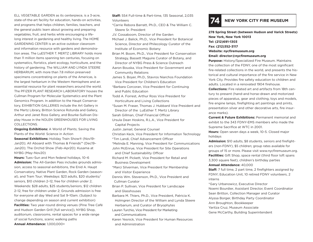ELL VEGETABLE GARDEN as its centerpiece, is a 3-acre, state-of-the-art facility for education, hands-on activities, and programs that helps children, families, teachers, and the general public learn about growing and preparing vegetables, fruit, and herbs while encouraging a lifelong interest in gardening and healthy living. The HOME GARDENING CENTER is an active outdoor classroom and information resource with gardens and demonstration areas. The LuESTHER T. MERTZ LIBRARY holds more than 11 million items spanning ten centuries, focusing on systematics, floristics, plant ecology, horticulture, and the history of gardening. The WILLIAM AND LYNDA STEERE HERBARIUM, with more than 7.8 million preserved specimens concentrating on plants of the Americas, is the largest herbarium in the Western Hemisphere and an essential resource for plant researchers around the world. The PFIZER PLANT RESEARCH LABORATORY houses the Cullman Program for Molecular Systematics and the Plant Genomics Program. In addition to the Haupt Conservatory, EXHIBITION GALLERIES include the Art Gallery in the Mertz Library, Britton Science Rotunda and Gallery, Arthur and Janet Ross Gallery, and Bourke-Sullivan Display House in the NOLEN GREENHOUSES FOR LIVING COLLECTIONS.

**Ongoing Exhibitions:** A World of Plants; Saving the Plants of the World: Science in Action

**Seasonal Exhibitions:** Holiday Train Show® (Nov19– Jan20); All Aboard with Thomas & Friends™ (Dec19– Jan20); The Orchid Show (Feb–Apr20); Kusama at NYBG (May–Nov20)

**Hours:** Tues–Sun and Mon federal holidays, 10–6 **Admission:** The All-Garden Pass includes grounds admission, access to seasonal exhibitions, the Enid A. Haupt Conservatory, Native Plant Garden, Rock Garden (seasonal), and Tram Tour; Weekdays: \$23 adults, \$20 students/ seniors, \$10 children 2–12, free for children under 2; Weekends: \$28 adults, \$25 students/seniors, \$12 children 2–12, free for children under 2; Grounds admission is free for everyone all day Wed and Sat 9–10am. (Subject to change depending on season and current exhibition) **Facilities:** Two year-round dining venues (Pine Tree Café and Hudson Garden Grill [full service]), NYBG Shop, auditorium, classrooms, rental spaces for a wide range of social functions, scenic walking paths **Annual Attendance:** 1,000,000+

**Staff:** 554 Full-time & Part-time, 135 Seasonal, 2,035 Volunteers

\*Carrie Rebora Barratt, Ph.D., CEO & The William C. Steere Sr. President

J.V. Cossaboom, Director of the Garden

Michael J. Balick, Ph.D., Vice President for Botanical Science, Director and Philecology Curator of the Institute of Economic Botany

Brian M. Boom, Ph.D., Vice President for Conservation Strategy, Bassett Maguire Curator of Botany, and Director of NYBG Press & Science Outreach

Aaron Bouska, Vice President for Government and Community Relations

James S. Boyer, Ph.D., Stavros Niarchos Foundation Vice President for Children's Education

\*Barbara Corcoran, Vice President for Continuing and Public Education

Todd A. Forrest, Arthur Ross Vice President for Horticulture and Living Collections

\*Susan M. Fraser, Thomas J. Hubbard Vice President and Director of the LuEsther T. Mertz Library

Sarah Gillman, Chief Financial Officer

Ursula Dean Hoskins, R.L.A., Vice President for Capital Projects

Justin Jamail, General Counsel

Christian Keck, Vice President for Information Technology

\*Tim Landi, Chief Advancement Officer

\*Melinda E. Manning, Vice President for Communications John McEnrue, Vice President for Site Operations

and Chief Sustainability Officer

Richard M. Pickett, Vice President for Retail and Business Development

\*Marci Silverman, Vice President for Membership and Visitor Experience

Dennis Wm. Stevenson, Ph.D., Vice President and Cullman Curator

Brian P. Sullivan, Vice President for Landscape and Glasshouses

Barbara M. Thiers, Ph.D., Vice President, Patricia K. Holmgren Director of the William and Lynda Steere Herbarium, and Curator of Bryophytes

Lauren Turchio, Vice President for Marketing and Communications

Karen Yesnick, Vice President for Human Resources and Administration

### **74 NEW YORK CITY FIRE MUSEUM**

**278 Spring Street (between Hudson and Varick Streets) New York, New York 10013 Tel: (212)691-1303 Fax: (212)352-3117 Website: nycfiremuseum.org**

**Email: director@nycfiremuseum.org**

**Purpose:** History/Specialized Fire Museum. Maintains the collection of the FDNY, one of the most significant fire-related collections in the world, and presents the historical and cultural importance of the fire service in New York City. Provides fire safety education to children and adults. Located in a renovated 1904 firehouse.

**Collections:** Fire related art and artifacts from 18th century to present (hand-and horse-drawn and motorized pieces of apparatus, gear and clothing, toys and models, fire engine lamps, firefighting art paintings and prints, presentation silver and other decorative arts, fire insurance marks).

**Current & Future Exhibitions:** Permanent memorial and exhibit to the 343 FDNY-EMS members who made the Supreme Sacrifice at WTC in 2001.

**Hours:** Open seven days a week, 10-5. Closed major holidays

**Admission:** \$10 adults, \$8 students, seniors and firefighters (non-FDNY), \$5 children; group rates available for groups of 15 or more. Please visit www.nycfiremuseum.org. **Facilities:** Gift Shop, space rental (third floor loft spans 3,300 square feet), children's birthday parties **Annual Attendance:** 40,000

**Staff:** 7 full time, 2 part time, 2 firefighters assigned by FDNY; Education Unit, 10 retired FDNY volunteers, 2 interns

\*Gary Urbanowicz, Executive Director Noemi Bourdier, Assistant Director, Event Coordinator Sean Britton, Collection Manager and Curator Alyssa Borger, Birthday Party Coordinator Ann Broughton, Bookkeeper Yaritza Cruz, Museum Associate Gene McCarthy, Building Superintendent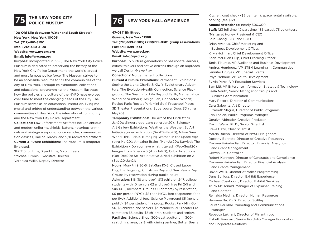# **THE NEW YORK CITY 75 POLICE MUSEUM**

**100 Old Slip (between Water and South Streets) New York, New York 10005 Tel: (212)480-3100 Info: (212)480-3100 Website: www.nycpm.org Email: info@nycpm.org**

**Purpose:** Incorporated in 1998, The New York City Police Museum is dedicated to preserving the history of the New York City Police Department, the world's largest and most famous police force. The Museum strives to be an accessible resource for all the communities of the city of New York. Through its exhibitions, collections and educational programming, the Museum illustrates how the policies and culture of the NYPD have evolved over time to meet the changing needs of the City. The Museum serves as an educational institution, living memorial and bridge of understanding between the various communities of New York, the international community and the New York City Police Department.

**Collections:** Law Enforcement Artifacts include antique and modern uniforms, shields, batons, notorious criminals and vintage weapons, police vehicles, communication devices, Hall of Heroes, and 9/11 recovered artifacts **Current & Future Exhibitions:** The Museum is temporarily closed.

**Staff:** 3 full time, 3 part time, 5 volunteers \*Michael Cronin, Executive Director Veronica Willis, Deputy Director

## **76** NEW YORK HALL OF SCIENCE

**47-01 111th Street Queens, New York 11368 Tel: (718)699-0005; (718)699-0301 group reservations Fax: (718)699-1341 Website: www.nysci.org Email: info@nysci.org** 

**Purpose:** To nurture generations of passionate learners, critical thinkers and active citizens through an approach we call Design-Make-Play.

**Collections:** No permanent collections

**Current & Future Exhibitions:** Permanent Exhibitions: Seeing the Light; Charlie & Kiwi's Evolutionary Adventure; The Evolution-Health Connection; Science Playground; The Search for Life Beyond Earth; Mathematica: World of Numbers; Design Lab; Connected Worlds; Rocket Park; Rocket Park Mini Golf; Preschool Place; 3D Theater Presentations: Superpower Dogs 3D (thru May20)

**Temporary Exhibitions:** The Art of the Brick (thru Jan20); Gingerbread Lane (thru Jan20), Science/ Art Gallery Exhibitions: Weather the Weather: SciArt Initiative juried exhibition (Sept19-Feb20); Nikon Small World (thru Feb20); Imaging Women in the Space Age (thru Mar20); Amazing Brains (Mar-Jul20); Survival: The Exhibition – Do you have what it takes? (Feb-Sept20); Images from Science 3 (Apr-Jul20); Cubic Inceptions (Oct-Dec20); Sci-Art Initiative Juried exhibition on AI (Sept20-Jan21)

**Hours:** Mon-Fri 9:30-5, Sat-Sun 10-6; Closed Labor Day, Thanksgiving, Christmas Day and New Year's Day. Groups by reservation during public hours

**Admission:** \$16 (18 and over), \$13 (children 2-17, college students with ID, seniors 62 and over); free Fri 2-5 and Sun 10-11, members. Groups (10 or more) by reservation, \$6 per person (NYC), \$8 (non NYC), free chaperones (one per five). Additional fees: Science Playground \$5 (general public), \$4 per student in a group; Rocket Park Mini Golf \$6, \$5 children and seniors, \$3 members; 3D Theater Presentations \$6 adults, \$5 children, students and seniors **Facilities:** Science Shop, 300-seat auditorium, 300 seat dining area, café with dining partner, Butter Beans

Kitchen, coat check (\$2 per item), space rental available, parking (fee \$12) **Annual Attendance:** nearly 500,000 **Staff:** 123 full time, 12 part time, 185 casual, 75 volunteers \*Margaret Honey, President & CEO Shih-Chang, CFO and COO Brian Avenius, Chief Marketing and Business Development Officer. Kiryn Hoffman, Chief Development Officer Katie McMillan Culp, Chief Learning Officer Tania Tiburcio, VP Audience and Business Development Andres Henriquez, VP, STEM Learning in Communities Jennifer Brunjes, VP, Special Events Priya Mohabir, VP, Youth Development Sylvia Perez, VP, Education Services Sam Litt, VP Enterprise Information Strategy & Technology Leela Nauth, Senior Manager of Groups and Business Administration Mary Record, Director of Communications Cara Galowitz, Art Director Elizabeth Slagus, Director of Public Programs Erin Thelen, Public Programs Manager Geralyn Abinader, Creative Producer Martin Weiss, Ph.D., Senior Scientist Steve Uzzo, Chief Scientist Marcia Bueno, Director of NYSCI Neighbors Dorothy Bennett, Director of Creative Pedagogy Mariana Hairabedian, Director, Financial Analytics and Grant Management Gerwin Eje, Controller Robert Kennedy, Director of Contracts and Compliance Marianna Hairabedian, Director Financial Analysis and Grants Management David Wells, Director of Maker Programming Dana Schloss, Director, Exhibit Experience Michael Cosaboom, Director, Exhibit Services Truck McDonald, Manager of Explainer Training and Content Reinalda Medina, Director, Human Resources Harouna Ba, Ph.D., Director, SciPlay Lauren Parikhal, Marketing and Communications Manager Rebecca Lakhani, Director of Philanthropy Elsbeth Pancrazi, Senior Portfolio Manager Foundation and Corporate Relations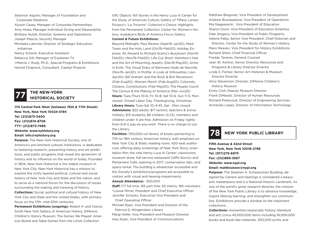Shannon Aquino, Manager of Foundation and Corporate Relations

Alyson Casey, Manager of Corporate Partnerships Amy Hsiao, Manager Individual Giving and Stewardship Brittany Nutall, Director, Systems and Operations Joseph Mascia, Security Manager

Michaela Labriole, Director of Strategic Education Initiatives

Nancy Schenk, Executive Assistant Rebecca Gill, Manager of Explainer TV +Marcia J. Rudy, Ph.D., Special Programs & Exhibitions Harold Chapnick, Consultant, Capital Projects

## **THE NEW-YORK 77 HISTORICAL SOCIETY**

**170 Central Park West (between 76th & 77th Street) New York, New York 10024-5194 Tel: (212)873-3400 Fax: (212)874-8706 TTY: (212)873-7489 Website: www.nyhistory.org Email: info@nyhistory.org**

**Purpose:** The New-York Historical Society, one of America's pre-eminent cultural institutions, is dedicated to fostering research, presenting history and art exhibitions, and public programs that reveal the dynamism of history and its influence on the world of today. Founded in 1804, New-York Historical is the oldest museum in New York City. New-York Historical has a mission to explore the richly layered political, cultural and social history of New York City and State and the nation, and to serve as a national forum for the discussion of issues surrounding the making and meaning of history. **Collections:** Social, political and cultural history of New

York City and State and the United States, with primary focus on the 17th -mid-20th centuries.

**Permanent Exhibitions (ongoing):** Robert H. and Clarice Smith New York Gallery of American History, DiMenna Children's History Museum; The Games We Played: American Board and Table Games from the Liman Collection

Gift; Objects Tell Stories in the Henry Luce III Center for the Study of American Culture; Gallery of Tiffany Lamps; Picasso's "Le Tricorne"; Collector's Choice: Highlights from the Permanent Collection; Center for Women's History; Audubon's Birds of America Focus Gallery

#### **Current & Future Exhibitions:**

Beyond Midnight: Paul Revere (Sept19–Jan20); Mark Twain and the Holy Land (Oct19–Feb20); Holiday Express: All Aboard to Richard Scarry's Busytown (Nov19- Feb20); (Nov19–Feb20); Life Cut Short: Hamilton's Hair and the Art of Mourning Jewelry (Dec19-May20); Artist in Exile: The Visual Diary of Baroness Hyde de Neuville (Nov19–Jan20); In Profile: A Look at Silhouettes (Jan– Apr20); Bill Graham and the Rock & Roll Revolution (Feb-Aug20); Women March (Feb-Aug20); Colonists, Citizens, Constitutions (Feb-May20); The People Count: The Census & the Making of America (Mar-Jun20) **Hours:** Tues-Thurs 10-6, Fri 10-8; Sat 10-6, Sun 11-5; Mon closed. Closed Labor Day, Thanksgiving, Christmas. **Library Hours:** Tues-Sat 10–4:45, Sat - Mon closed **Admissions:** \$22 adults; \$17 seniors, teachers & active military; \$13 students; \$6 children (5-13); members and children under 4 are free. Admission on Friday nights from 6-8 is pay-as-you-wish. There is no charge to use the Library.

**Facilities:** 700,000-vol library of books pertaining to 17th to 19th century American history, with emphasis on New York City & State; reading room; 420-seat auditorium offering daily screenings of New York Story, orientation film; the new Henry Luce III Center; classrooms; museum store; full-service restaurant Caffe Storico and Parliament Café, opening in 2017; conservation labs, and space rental. The building is wheelchair accessible and the Society's exhibitions/programs are accessible to visitors with visual and hearing impairments.

#### **Annual Attendance:** ~300,000

**Staff:** 177 full time, 165 part time, 65 interns, 180 volunteers \*Louise Mirrer, President and Chief Executive Officer Jennifer Schantz, Executive Vice President and Chief Operating Officer

Michael Ryan, Vice President and Director of the Patricia D. Klingenstein Library

Margi Hofer, Vice President and Museum Director Ines Aslan, Vice President of Communications

Matthew Bregman, Vice President of Development Andrew Buonpastore, Vice President of Operations Mia Nagawiecki , Vice President of Education Sharon Dunn, Vice President of Education Emeritus Dale Gregory, Vice President of Public Programs Valerie Paley, Senior Vice President, Chief Historian and

 Director, Center for the Study of Women's History Marci Reaven, Vice President for History Exhibitions Richard Shein, Chief Financial Officer

- Freddy Taveras, General Counsel
- Jean W. Ashton, Senior Director, Resources and Programs & Library Director Emerita
- Linda S. Ferber, Senior Art Historian & Museum Director Emerita
- Alice Stevenson, Director, DiMenna Children's History Museum

Emily Croll, Deputy Museum Director

Frank DiMaiolo, Director of Human Resources Richard Polesczuk, Director of Engineering Services Armando Lopez, Director of Information Technology

### **78 NEW YORK PUBLIC LIBRARY**

**Fifth Avenue & 42nd Street New York, New York 10018-2788 Tel: (917)275-6975 Fax: (212)869-3567 Website: www.nypl.org Email: mattknutzen@nypl.org**

**Purpose:** The Stephen A. Schwarzman Building, designed by Carrere and Hastings is considered a beaux arts masterpiece and is a National Historic Landmark. As one of the world's great research libraries, the mission of the New York Public Library is to advance knowledge, inspire lifelong learning, and strengthen our communities. Exhibitions provide a window to the important collections.

**Collections:** Humanities (especially history, literature and art) (circa 45,000,000 items including 16,000,000 books and book-like materials, 300,000 prints and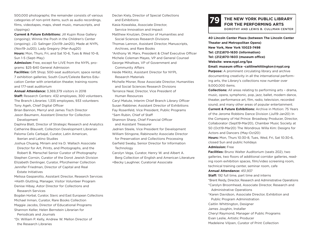500,000 photographs; the remainder consists of various categories of non-print items, such as audio recordings, films, videotapes, maps, sheet music, manuscripts, and clippings)

**Current & Future Exhibitions:** Jill Kupin Rose Gallery (ongoing); Winnie the Pooh in the Children's Center (ongoing); J.D. Salinger (Oct19-Jan20); Made at NYPL (Nov19-Jul20); Lady Gregory (Mar-Aug20)

**Hours:** Mon, Thurs, Fri, and Sat 10-6, Tues & Wed 10–8, Sun 1-5 (Sept–May)

**Admission:** Free, except for LIVE from the NYPL programs: \$25-\$40 General Admission

**Facilities:** Gift Shop; 500-seat auditorium; space rental; 7 exhibition galleries; South Court/Celeste Bartos Education Center with orientation theater, training rooms and 177-seat auditorium

**Annual Attendance:** 3,369,379 visitors in 2018 **Staff:** Research Centers: 432 employees, 300 volunteers. The Branch Libraries: 1,335 employees, 933 volunteers Tony Ageh, Chief Digital Officer Brian Bannon, Merryl and James Tisch Director

Jason Baumann, Assistant Director for Collection Development

Daphna Blatt, Director of Strategic Research and Analytics Catherine Blauvelt, Collection Development Librarian Paloma Celis Carbajal, Curator, Latin American,

Iberian and Latino Studies

Joshua Chuang, Miriam and Ira D. Wallach Associate Director for Art, Prints, and Photographs, and the

 Robert B. Menschel Senior Curator of Photography Stephen Corrsin, Curator of the Dorot Jewish Division Elizabeth Denlinger, Curator, Pforzheimer Collection Jennifer Friedman, Director of Capital and Real Estate Initiatives

Melissa Gasparotto, Assistant Director, Research Services +Keith Glutting, Manager, Visitor Volunteer Program Denise Hibay, Astor Director for Collections and Research Services

Bogdan Horbal, Curator, Slavic and East European Collections Michael Inman, Curator, Rare Books Collection Maggie Jacobs, Director of Educational Programs Shannon Keller, Helen Bernstein Librarian for Periodicals and Journals \*Dr. William P. Kelly, Andrew W. Mellon Director of the Research Libraries

Declan Kiely, Director of Special Collections and Exhibitions Kasia Kowalska, Associate Director, Service Innovation and Impact Matthew Knutzen, Director of Humanities and Social Sciences Research Divisions Thomas Lannon, Assistant Director, Manuscripts, Archives, and Rare Books \*Anthony W. Marx, President & Chief Executive Officer Michele Coleman Mayes, VP and General Counsel George Mihaltses, VP of Government and Community Affairs Heide Miklitz, Assistant Director for NYPL Research Materials Michelle Misner, Rose Associate Director, Humanities and Social Sciences Research Divisions Terrance Neal, Director, Vice President of Human Resources Caryl Matute, Interim Chief Branch Library Officer Susan Rabbiner, Assistant Director of Exhibitions Fay Rosenfeld, Vice President, Public Programs \*Sam Rubin, Chief of Staff Shannon Sharp, Chief Financial Officer and Assistant Treasurer Jadrien Steele, Vice President for Development William Stingone, Rabinowitz Associate Director for Preservation and Collections Processing Garfield Swaby, Senior Director for Information **Technology** Carolyn Vega, Curator, Henry W. and Albert A. Berg Collection of English and American Literature +Becky Laughner, Curatorial Associate

### **THE NEW YORK PUBLIC LIBRARY FOR THE PERFORMING ARTS 79**

DOROTHY AND LEWIS B. CULLMAN CENTER

**40 Lincoln Center Plaza (between The Lincoln Center Theater and Metropolitan Opera) New York, New York 10023-7498 Tel: (212)870-1630 (information) Tel: (212)870-1603 (museum office) Website: www.nypl.org/lpa Email: museum office -caitlinwhittington@nypl.org Purpose:** A prominent circulating library and archive documenting creativity in all the international performing arts, the Library's collections now number over 9,000,000 items.

**Collections:** All areas relating to performing arts – drama, music, opera, symphonic, pop, jazz, ballet, modern dance, theater, performance art, film, radio, television, recorded sound, and many other areas of popular entertainment.

**Current & Future Exhibitions:** Archive in Motion: 75 Years of the Jerome Robbins Dance Division (Jul19-Jan20) In the Company of Hal Prince: Broadway Producer, Director, Collaborator (Sept19-Mar20), Chamber Music Society at 50 (Oct19-Mar20) The Wondrous Willa Kim: Designs for Actors and Dancers (May-Oct20)

**Hours:** Mon, Thurs 10:30-8, Tues, Wed, Fri, Sat 10:30-6, closed Sun and public holidays

#### **Admission:** Free

**Facilities:** Bruno Walter Auditorium (seats 202), two galleries, two floors of additional corridor galleries, reading room exhibition spaces, film/video screening room, technical training center, seminar room, cafe

#### **Annual Attendance:** 451,937

**Staff:** 192 full time, part time and interns \*Brent Reidy, Director, Research and Administrative Operations \*Carolyn Broomhead, Associate Director, Research and Administrative Operations \*Karen Davidson, Associate Director, Exhibition and Public Program Administration Caitlin Whittington, Designer James Joughin, Installer Cheryl Raymond, Manager of Public Programs Evan Leslie, Artistic Producer Madeleine Viljoen, Curator of Print Collection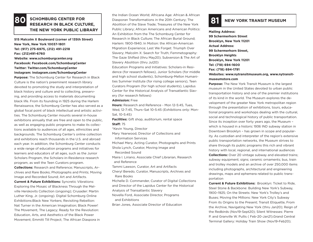### **SCHOMBURG CENTER FOR RESEARCH IN BLACK CULTURE, THE NEW YORK PUBLIC LIBRARY**

**515 Malcolm X Boulevard (corner of 135th Street) New York, New York 10037-1801 Tel: (917) 275-6975, (212) 491-2218 Fax: (212)491-6760 Website: www.schomburgcenter.org Facebook: Facebook.com/SchomburgCenter Twitter: Twitter.com/SchomburgCenter Instagram: Instagram.com/SchomburgCenter**

**Purpose:** The Schomburg Center for Research in Black Culture is the nation's preeminent research library devoted to promoting the study and interpretation of black history and culture and to collecting, preserving, and providing access to materials documenting black life. From its founding in 1925 during the Harlem Renaissance, the Schomburg Center has also served as a global focal point of black intellectual and artistic activities. The Schomburg Center mounts several in-house exhibitions annually that are free and open to the public, as well as engaging public programs to make its collections available to audiences of all ages, ethnicities and backgrounds. The Schomburg Center's online collection and exhibitions reach thousands in the U.S. and abroad each year. In addition, the Schomburg Center conducts a wide range of education programs and initiatives for learners and educators of all ages, such as the Junior Scholars Program, the Scholars-in-Residence research program, as well the Teen Curators program.

**Collections:** Research and Reference; Manuscripts, Archives and Rare Books; Photographs and Prints; Moving Image and Recorded Sound; Art and Artifacts.

**Current & Future Exhibitions:** Syncretic Vibrations: Exploring the Mosaic of Blackness Through the Melville Herskovits Collection (ongoing); Crusader: Martin Luther King, Jr. (ongoing). Digital Schomburg Online Exhibitions:Black New Yorkers; Revisiting Rebellion: Nat Turner in the American Imagination; Black Power! The Movement, The Legacy; Ready for the Revolution: Education, Arts, and Aesthetics of the Black Power Movement; Emmitt Till Project; The African Diaspora in

the Indian Ocean World; Africana Age: African & African Diasporan Transformations in the 20th Century; The **Abolition of the Slave Transformations in the 20th Century; The <b>81 RESEARCH IN BLACK CULTURE,** Abolition of the Slave Trade; Treasures of the New York **81 NEW YORK TRANSIT MUSEUM** Public Library; African Americans and American Politics: An Exhibition from the The Schomburg Center for Research in Black Culture; The African Burial Ground; Harlem: 1900-1940; In Motion: the African-American Migration Experience; Lest We Forget: Triumph Over Slavery; Malcolm X: Search for Truth; Femmetography: The Gaze Shifted (thru May20); Subversion & The Art of Slavery Abolition (thru Jul20)

> Education Programs and Initiatives: Scholars-in Residence (for research fellows), Junior Scholars (for middle and high school students), Schomburg-Mellon Humanities Summer Institute (for rising college seniors), Teen Curators Program (for high school students), Lapidus Center for the Historical Analysis of Transatlantic Slavery (for research fellows)

#### **Admission:** Free

**Hours:** Research and Reference - Mon 12-5:45, Tues, Wed, 12-7:45, Thurs–Sat 10-5:45 (Exhibitions only: Mon-Sat, 10-5:45)

**Facilities:** Gift shop, auditorium, rental space **Staff:** 75

\*Kevin Young, Director

Mary Yearwood, Director of Collections and Information Services

Michael Mery, Acting Curator, Photographs and Prints Shola Lynch, Curator, Moving Image and

Recorded Sound

Maira I. Liriano, Associate Chief Librarian, Research and Reference

Tammi Lawson, Curator, Art and Artifacts

Cheryl Beredo, Curator, Manuscripts, Archives and Rare Books

Michelle D. Commander, Curator of Digital Collections and Director of the Lapidus Center for the Historical Analysis of Transatlantic Slavery

Novella Ford, Associate Director, Programs and Exhibitions

Brian Jones, Associate Director of Education

**Mailing Address: 99 Schermerhorn Street Brooklyn, New York 11201 Actual Address: 99 Schermerhorn Street, Brooklyn Heights Brooklyn, New York 11201 Tel: (718) 694-1600 Fax: (718) 694-1791 Websites: www.nytransitmuseum.org, www.nytransitmuseumstore.com** 

**Purpose:** The New York Transit Museum is the largest museum in the United States devoted to urban public transportation history and one of the premier institutions of its kind in the world. The Museum explores the development of the greater New York metropolitan region through the presentation of exhibitions, tours, educational programs and workshops dealing with the cultural, social and technological history of public transportation. Since its inception over forty years ago, the Museum – which is housed in a historic 1936 IND subway station in Downtown Brooklyn – has grown in scope and popularity. As custodian and interpreter of the region's extensive public transportation networks, the Museum strives to share through its public programs this rich and vibrant history with local, regional, and international audiences **Collections:** Over 20 vintage subway and elevated trains; subway equipment; signs; ceramic ornaments; bus, train and trolley models and an archive of over 250,000 items including photographs, architectural and engineering drawings, maps and ephemera related to public transportation

**Current & Future Exhibitions:** Brooklyn: Ticket to Ride, Steel Stone & Backbone: Building New York's Subway, 1900–1925; On the Streets: New York's Trolley's and Buses; Moving the Millions: New York City's Subway From its Origins to the Present; Transit Etiquette, From the Archive, Navigating New York (thru Jan20); Reign of the Redbirds (Nov19-Sept20); Silent Witnesses: Pierre P. and Granville W. Pullis ( Feb-20-Jan21).Grand Central Terminal Gallery: Holiday Train Show (Nov19-Feb20);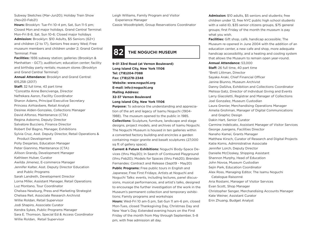Subway Sketches (Mar-Jun20); Holiday Train Show (Nov20-Feb21)

**Hours:** Brooklyn: Tue-Fri 10-4 pm, Sat, Sun 11-5 pm; Closed Mon and major holidays. Grand Central Terminal: Mon-Fri 8-8, Sat, Sun 10-6; Closed major holidays **Admission:** Brooklyn: \$10 Adults, \$5 Seniors (62+) and children (2 to 17), Seniors free every Wed; Free museum members and children under 2; Grand Central Terminal: Free

**Facilities:** 1936 subway station; galleries (Brooklyn & Manhattan - GCT); auditorium; education center; facility and birthday party rentals; museum stores (Brooklyn and Grand Central Terminal)

**Annual Attendance:** Brooklyn and Grand Central: 615,258 (2017)

**Staff:** 32 full time, 43 part time \*Concetta Anne Bencivenga, Director Nefrekara Aaron, Facility Coordinator Sharon Adams, Principal Executive Secretary Princess Airhiavbere, Retail Analyst Desiree Alden-Gonzales, Collections Manager David Alfonso, Maintenance (CTA) Regina Asborno, Deputy Director Salvatore Bucciero, Finance Director Robert Del Bagno, Manager, Exhibitions Sylvia Cruz, Asst. Deputy Director, Retail Operations & Product Development Polly Desjarlais, Education Manager Peter Giannino, Maintenance (CTA) Allison Grandy, Development Manager Kathleen Hulser, Curator Awilda Jimenez, E-commerce Manager Jennifer Kalter, Asst. Deputy Director Education and Public Programs Sarah Landreth, Development Director Lorna Miller, Assistant Manager, Retail Operations Luz Montano, Tour Coordinator Chelsea Newburg, Press and Marketing Strategist Chelsea Reil, Associate Research Archivist Willie Roldan, Retail Supervisor Jodi Shapiro, Associate Curator Kendra Sykes, Public Programs Manager Sara E. Thomson, Special Ed & Access Coordinator Willie Roldan, Retail Supervisor

Leigh Williams, Family Program and Visitor

Experience Manager

Cassie Woodtriplett, Group Reservations Coordinator

### **82 THE NOGUCHI MUSEUM**

**9-01 33rd Road (at Vernon Boulevard) Long Island City, New York 11106 Tel: (718)204-7088 Fax: (718)278-2348 Website: www.noguchi.org E-mail: info@noguchi.org Mailing Address: 32-37 Vernon Boulevard Long Island City, New York 11106**

**Purpose:** To advance the understanding and appreciation of the art and legacy of Isamu Noguchi (1904- 1988). The museum opened to the public in 1985. **Collections:** Sculpture, furniture, landscape and stage designs, project models, and archives of Isamu Noguchi. The Noguchi Museum is housed in ten galleries within a converted factory building and encircles a garden containing major granite and basalt sculptures (27,000 sq ft of gallery space).

**Current & Future Exhibitions:** Noguchi Body-Space Devices (thru May20); In Search of Contoured Playground (thru Feb20); Models for Spaces (thru Feb20); Brendan Fernandes: Contract and Release (Sept19 - May20) **Public Programs:** Free public tours in English and Japanese; Free First Fridays; Artists at Noguchi and Noguchi Talks: events, including lectures, panel discussions, musical performances, and artist's talks, designed to encourage the further investigation of the work in the Museum's permanent collection and temporary exhibitions; Family programs and workshops **Hours:** Wed-Fri 10 am-5 pm, Sat-Sun 11 am-6 pm, closed Mon-Tues, closed Thanksgiving Day, Christmas Day and New Year's Day. Extended evening hours on the First Friday of the month from May through September, 5–8 pm, with free admission all day.

**Admission:** \$10 adults, \$5 seniors and students; free children under 12, free NYC public high school students with a valid ID, \$35 senior citizens groups, \$75 general groups; first Friday of the month the museum is pay what you wish.

**Facilities:** Gift shop, café, handicap accessible; The Museum re-opened in June 2004 with the addition of an education center, a new cafe and shop, more adequate handicap accessibility, and a heating and cooling system that allows the Museum to remain open year-round.

#### **Annual Attendance:** 53,000

**Staff:** 26 full time, 40 part time \*Brett Littman, Director Sayaka Araki, Chief Financial Officer Janine Biunno, Museum Archivist Danny DaSilva, Exhibition and Collections Coordinator Melissa Gatz, Director of Individual Giving and Events Larry Giacoletti, Registrar and Manager of Collections Joel Gonzalez, Museum Custodian Laura Grenier, Merchandising Operations Manager Amelia Grohman, Manager of Digital Communications and Graphic Design Dakin Hart, Senior Curator Carmine Indelicato, Assistant Manager of Visitor Services George Juergens, Facilities Director Nanaho Kamei, Grants Manager Matthew Kirsch, Curator of Research and Digital Projects Katie Korns, Administrative Associate Jennifer Lorch, Deputy Director Danielle McCloskey, Shipping Assistant Shannon Murphy, Head of Education John Novoa, Museum Custodian Sejin Park, Education Coordinator Alex Ross, Managing Editor, The Isamu Noguchi Catalogue Raisonné Aria Rostami, Manager of Visitor Services Evan Scott, Shop Manager Christopher Senger, Merchandising Accounts Manager Kate Weiner, Assistant Curator

Erin Zhuang, Budget Analyst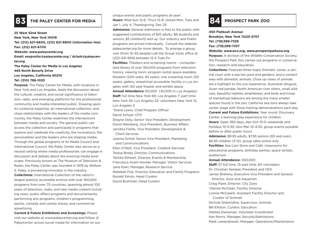

#### **25 West 52nd Street**

**New York, New York 10019 Tel: (212) 621-6600, (212) 621-6800 (information line) Fax: (212) 621-6700 Website: www.paleycenter.org**

**Email: eesposito@paleycenter.org / dclark@paleycenter.org**

**The Paley Center for Media in Los Angeles 465 North Beverly Drive Los Angeles, California 90210 Tel: (310) 786-1025**

**Purpose:** The Paley Center for Media, with locations in New York and Los Angeles, leads the discussion about the cultural, creative, and social significance of television, radio, and emerging platforms for the professional community and media-interested public. Drawing upon its curatorial expertise, an international collection, and close relationships with the leaders of the media community, the Paley Center examines the intersections between media and society. The general public can access the collection and participate in programs that explore and celebrate the creativity, the innovations, the personalities and the leaders who are shaping media. Through the global programs of its Media Council and International Council, the Paley Center also serves as a neutral setting where media professionals can engage in discussion and debate about the evolving media landscape. Previously known as The Museum of Television & Radio, the Paley Center was founded in 1976 by William S. Paley, a pioneering innovator in the industry. **Collections:** International Collection of the nation's largest publicly accessible archive with over 160,000 programs from over 70 countries, spanning almost 100 years of television, radio, and new media content including news, public affairs programs and documentaries, performing arts programs, children's programming, sports, comedy and variety shows, and commercial advertising.

**Current & Future Exhibitions and Screenings:** Please visit our website at www.paleycenter.org and follow @ PaleyCenter across social media for information on our

unique events and public programs all year! **Hours:** Wed-Sun 12-6, Thurs 12-8; closed Mon, Tues and Jan 1, July 4, Thanksgiving, Dec 25 **THE PALEY CENTER FOR MEDIA Property of the Hours:** Wed-Sun 12-6, Thurs 12-8; closed Mon, Tues and **PALEY CENTER PARK ZOO** 

> **Admission:** General Admission is free to the public with suggested contributions of \$10 adults, \$8 students and seniors, \$5 children12 and up. Our Industry and Public programs are priced individually. Consult the website paleycenter.org for more details. To arrange a group visit (from 10-45 people) call the Group Visits office at (212) 621-6616 between 12-5 Tues-Fri

> **Facilities:** Theaters and screening rooms – computerized library of over 150,000 programs from television history, viewing room, program rental space available, theaters (200 seats, 85 seats), one screening room (50 seats), gallery, wheelchair accessible; facility in Los Angeles with 150 seat theater and exhibit space.

**Annual Attendance:** 60,000 (30,000 in Los Angeles) **Staff:** full time New York 69, Los Angeles 7; part time New York 45, Los Angeles 22; volunteers New York 12, Los Angeles 3

\*Diane Lewis, Chief Program Officer David Schoer, CFO

Shayne Doty, Senior Vice President, Development David Weinberg, Vice President, Business Affairs Jamitha Fields, Vice President, Development &

Client Services

Joanna Scholl, Senior Vice President, Marketing and Communications

Ellen O'Neill, Vice President, Creative Services Teresa Brady, Director, Communications Tamika Etheart, Director, Events & Membership Francesca Axam-Hocker, Manager, Visitor Services Jane Klain, Manager, Research Service Rebekah Fisk, Director, Education and Family Programs Ronald Simon, Head Curator David Bushman, Head Curator

**450 Flatbush Avenue Brooklyn, New York 11225-3707 Tel: (718)399-7339 Fax: (718)399-7337**

#### **Website: www.wcs.org, www.prospectparkzoo.org**

**Purpose:** A division of the Wildlife Conservation Society, the Prospect Park Zoo carries out programs in conservation, research and education.

**Collections:** Features three major thematic zones, a central court with a sea lion pool and gardens, and a contact area with domestic animals. Close up views of animals are a highlight to the zoo experience; Australian dingoes, Asian red pandas, North American river otters, small wild cats, beautiful reptiles, amphibians, and birds and troop of Hamadryas baboons are among the many smaller species found in the zoo. California sea lions always take center stage with three training demonstrations each day.

**Current and Future Exhibitions:** Year round: Discovery Center, a learning-play experience for children **Hours:** Open 365 days, Apr-Oct 10-5; weekends and holidays 10-5:30, Nov-Mar 10-4:30, group events possible before or after public hours

**Admission:** \$9.95 adults, \$7.95 seniors (65 and over), \$6.95 children (3-12), group rates online only **Facilities:** Sea Lion Store and Café, classrooms for educational programs, birthday parties, space rentals, auditorium

#### **Annual Attendance:** 300,000

**Staff:** 57 full time, 10 part time, 60 volunteers Dr. Christian Semper, President and CEO James Breheny, Executive Vice President and General Director, Zoos and Aquarium Craig Piper, Director, City Zoos \*Denise McClean, Facility Director Lonnie McCaskill, Assistant Facility Director and Curator of Animals Nichole Shelmidine, Supervisor, Animals Bill Elliston, Curator, Education Debbie Dieneman, Volunteer Coordinator Ken Norris, Manager, Security/Admissions Mark Lewandowski, Manager, Operations/Maintenance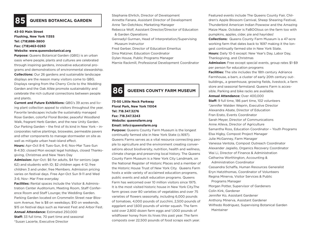### **85 QUEENS BOTANICAL GARDEN**

#### **43-50 Main Street**

**Flushing, New York 11355 Tel: (718)886-3800 Fax: (718)463-0263**

#### **Website: www.queensbotanical.org**

**Purpose:** Queens Botanical Garden (QBG) is an urban oasis where people, plants and cultures are celebrated through inspiring gardens, innovative educational programs and demonstrations of environmental stewardship. **Collections:** Our 26 gardens and sustainable landscape displays are the reason many visitors come to QBG. Displays ranging from the Cherry Circle to the Wedding Garden and the Oak Allée promote sustainability and celebrate the rich cultural connections between people and plants.

**Current and Future Exhibitions:** QBG's 39 acres and living plant collection appeal to visitors throughout the year. Favorite landscapes include the sustainably managed Rose Garden, colorful Floral Border, peaceful Woodland Walk, fragrant Herb Garden, and the new Unity Garden. Our Parking Garden – the first of its kind in New York – incorporates native plantings, bioswales, permeable pavers and other components to manage stormwater on site as well as mitigate urban heat-island effect.

**Hours:** Apr-Oct 8-6 Tues-Sun, 8-6; Nov-Mar Tues-Sun 8-4:30; closed Mon except legal holidays, closed Thanksgiving, Christmas and New Years Day

**Admission:** Apr-Oct: \$6 for adults, \$4 for seniors (age 62) and students with ID; \$2 children ages 4-12; free children 3 and under; free Members. Admission pricing varies on festival days. Free Apr-Oct Sun 9-11 and Wed 3-6; Nov- Mar Free everyday

**Facilities:** Rental spaces include the Visitor & Administration Center Auditorium, Meeting Room, Staff Conference Room and Staff Lounge; the Wedding Garden. Parking Garden located on Crommelin Street near Blossom Avenue; fee is \$8 on weekdays; \$10 on weekends, \$15 on festival days such as Harvest Fest and Arbor Fest. **Annual Attendance:** Estimated 250,000 **Staff:** 33 full time, 70 part time and seasonal \*Susan Lacerte, Executive Director

Stephanie Ehrlich, Director of Development Annette Fanara, Assistant Director of Development Anne Tan-Detchkov, Marketing Manager Rebecca Wolf, Assistant Director/Director of Education & Garden Operations Gennadyl Gurman, Head of Interpretation/Supervising Museum Instructor Fred Gerber, Director of Education Emeritus

Dina Matzner, Education Coordinator

Dylan House, Public Programs Manager

Marnie Rackmill, Professional Development Coordinator

## **86 QUEENS COUNTY FARM MUSEUM**

### **73-50 Little Neck Parkway Floral Park, New York 11004 Tel: 718.347.3276 Fax: 718.347.3243 Website: queensfarm.org Email: info@queensfarm.org**

**Purpose:** Queens County Farm Museum is the longest continually farmed site in New York State (c.1697). Queens Farms serves as a vital resource connecting people to agriculture and the environment creating conversations about biodiversity, nutrition, health and wellness, climate change and preserving local history. The Queens County Farm Museum is a New York City Landmark, on the National Register of Historic Places and a member of the Historic House Trust of New York City. Queens Farm hosts a wide variety of acclaimed education programs, public events and adult education programs. Queens Farm has welcomed over 10 million visitors since 1975. It is the most visited historic house in New York City.The farm grows over 80 varieties of vegetables and over 75 varieties of flowers seasonally, including 6,000 pounds of tomatoes, 4,000 pounds of zucchini, 2,500 pounds of eggplant and 1,600 pounds of winter squash. The farm sold over 2,800 dozen farm eggs and 1,000 pounds of wildflower honey from its hives this past year. The farm composts over 22,500 pounds of food scraps each year.

Featured events include The Queens County Fair, Children's Apple Blossom Carnival, Sheep Shearing Festival, Thunderbird American Indian Powwow and the Amazing Maize Maze. October is FaBOOlous on the farm too with pumpkins, apples, cider, pie and hayrides!

**Collections:** Queens County Farm Museum is a 47-acre working farm that dates back to 1697 making it the longest continually farmed site in New York State. **Hours:** Daily 10-5 except: New Year's Day, Labor Day,

Thanksgiving, and Christmas

**Admission:** Free except special events, group rates \$1-\$9 per person for education programs

**Facilities:** The site includes the 18th century Adriance Farmhouse, a barn, a cluster of early 20th century outbuildings,, a greenhouse, growing fields, livestock, a farm store and seasonal farmstand. Queens Farm is accessible. Parking and bike racks are available. **Annual Attendance:** Over 400,000 **Staff:** 9 full time, 186 part time, 102 volunteers \*Jennifer Walden Weprin, Executive Director Alexandra Abate, Director of Education Fran Erato, Events Coordinator Sarah Meyer, Director of Communications Anne Alleva, Director of Agriculture Samantha Ross, Education Coordinator – Youth Programs Elsa Higby, Compost Project Manager Julie McGanney, Farm Manager Vanessa Ventola, Compost Outreach Coordinator Alexander Jagiello, Organics Recovery Coordinator Wai Li, Director of Finance & Administration Catharina Worthington, Accounting & Administration Coordinator Cassandra Schaffa, Human Resources Generalist Eryn Hatzithomas, Coordinator of Volunteers Regina Minerva, Visitor Services & Public Programs Manager Morgan Potter, Supervisor of Gardeners Colin Kirk, Gardener Jennifer Ko, Assistant Gardener Anthony Minerva, Assistant Gardener Wilfredo Rodriguez, Supervising Botanical Garden Maintainer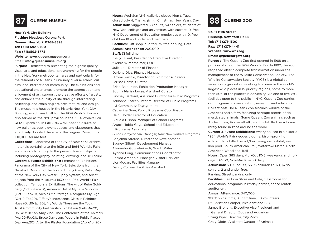**New York City Building Flushing Meadows Corona Park Queens, New York 11368-3398 Tel: (718) 592-9700 Fax: (718)592-5778 Website: www.queensmuseum.org Email: info@queensmuseum.org**

**Purpose:** Dedicated to presenting the highest quality visual arts and educational programming for the people in the New York metropolitan area and particularly for the residents of Queens, a uniquely diverse ethnic, cultural and international community. The exhibitions and educational experiences promote the appreciation and enjoyment of art, support the creative efforts of artists, and enhance the quality of life through interpreting. collecting, and exhibiting art, architecture, and design. The museum is housed in the historic New York City Building, which was built for the 1939 World's Fair and also served as the NYC pavilion in the 1964 World's Fair. QMA Expansion: In Fall 2013 QMA opened a suite of new galleries, public event spaces and classrooms that effectively doubled the size of the original Museum to 100,000 square feet.

**Collections:** Panorama of the City of New York, archival materials pertaining to the 1939 and 1964 World's Fairs, and mid-20th century to the present fine art objects including photography, painting, drawing, and sculpture. **Current & Future Exhibitions:** Permanent Exhibitions: Panorama of the City of New York, Selections from the Neustadt Museum Collection of Tiffany Glass, Relief Map of the New York City Water Supply System, and select objects from the Museum's 1939 and 1964 World's Fair collection. Temporary Exhibitions: The Art of Rube Goldberg (Oct19-Feb20), American Artist My Blue Window (Oct19-Feb20), Nicolas Moufarrege: Recognize My Sign (Oct19-Feb20), Tiffany's Indescence Glass in Rainbow Hues (Oct19-Spr20), My Words These are the Tools I Trust (Community Partnership Exhibitiion (Feb-Mar20), Unlike Miller an Amy Zion, The Conference of the Animals (Apr20-Feb21), Bruce Davidson: People In Public Places (Apr-Aug20), After the Plaster Foundation (Apr-Aug20)

**Hours:** Wed-Sun 12-6, galleries closed Mon & Tues, **87 QUEENS MUSEUM** Closed July 4, Thanksgiving, Christmas, New Year's Day **88 QUEENS ZOO Admission:** Suggested \$8 adults, \$4 seniors, students of New York colleges and universities with current ID, free NYC Department of Education employees with ID, free children 18 and under and members **Facilities:** Gift shop, auditorium, free parking, Café **Annual Attendance:** 200,000 **Staff:** 31 full time \*Sally Tallant, President & Executive Director \*Debra Wimpfheimer, COO Julie Lou, Director of Finance Darlene Diaz, Finance Manager Hitomi Iwasaki, Director of Exhibitions/Curator Larissa Harris, Curator Brian Balderson, Exhibition Production Manager Sophia Marisa Lucas, Assistant Curator Lindsey Berfond, Assistant Curator for Public Programs Adrianne Koteen, Interim Director of Public Programs & Community Engagement Catherine Grau, Public Programs Coordinator Heidi Holder, Director of Education Claudia Dishon, Manager of School Programs Angela Tobia-Gage, School and Education Programs Associate Guido Garaycochea, Manager, New New Yorkers Programs Benjamin Strauss, Director of Development Sydney Gilbert, Development Manager Alexandra Guglielminetti, Grant Writer Ayanna Long, Communications Coordinator Eneida Archbold, Manager, Visitor Services Lior Modan, Facilities Manager Danny Corona, Facilities Assistant

**53-51 111th Street Flushing, New York 11368 Tel: (718)271-1500 Fax: (718)271-4441 Website: www.wcs.org Email: qzgeneral@wcs.org**

**Purpose:** The Queens Zoo first opened in 1968 on a portion of site of the 1964 World's Fair. In 1992, the zoo reopened after a complete transformation under the management of the Wildlife Conservation Society. The Wildlife Conservation Society (WCS) is a global conservation organization working to conserve the world's largest wild places in 15 priority regions, home to more than 50% of the planet's biodiversity. As one of five WCS facilities open to the public in NYC, Queens Zoo carries out programs in conservation, research, and education. **Collections:** The Queens Zoo features wildlife of the Americas and a farm featuring heritage breeds of domesticated animals. Some Queens Zoo animals such as Andean bear, Roosevelt elk, and thick-billed parrots are rarely found in zoos around the world.

**Current & Future Exhibitions:** Aviary housed in a historic 1964 World's Fair geodesic dome, bison/pronghorn exhibit, thick billed parrot/burrowing owl exhibit, sea lion pool, South American Trail, Waterfowl Marsh, North American Woodland Trail

**Hours:** Open 365 days, Apr-Oct 10-5; weekends and holidays 10-5:30, Nov-Mar 10-4:30 daily

**Admission:** \$9.95 adults, \$6.95 children (3-12), \$7.95 seniors, 2 and under free.

Parking: Street parking only

**Facilities:** Sea Lion Store and Café, classrooms for educational programs, birthday parties, space rentals, auditorium.

#### **Annual Attendance:** 340,000

**Staff:** 56 full time, 10 part time, 60 volunteers Dr. Christian Samper, President and CEO James Breheny, Executive Vice President and General Director, Zoos and Aquarium \*Craig Piper, Director, City Zoos Craig Gibbs, Assistant Curator of Animals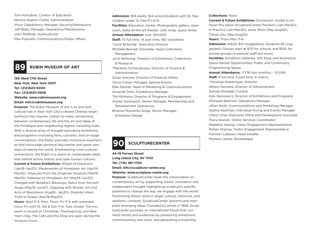Tom Hurtubise, Curator of Education Monica Negron-Cottle, Administration Vince Capobianco, Manager, Security/Admissions Jeff Blatz, Manager, Operations/Maintenance John McBride, Horticulturist Max Pulsinelli, Communications/Public Affairs

### **89 RUBIN MUSEUM OF ART**

### **150 West 17th Street New York, New York 10011 Tel: (212)620-5000 Fax: (212)620-0628 Website: www.rubinmuseum.org Email: info@rubinmuseum.org**

**Purpose:** The Rubin Museum of Art is an arts and cultural hub in New York City's vibrant Chelsea neighborhood that inspires visitors to make connections between contemporary life and the art and ideas of the Himalayas and neighboring regions including India. With a diverse array of thought-provoking exhibitions and programs—including films, concerts, and on-stage conversations—the Rubin provides immersive experiences that encourage personal discoveries and spark new ways of seeing the world. Emphasizing cross-cultural connections, the Rubin is a space to contemplate ideas that extend across history and span human cultures. **Current & Future Exhibitions:** Wheel of Intentions (Jan19–Jan20), Masterworks of Himalayan Art (Apr19- Mar20), Treasures from the Zhighuan Museum (Mar19– Mar20), Gateway to Himalayan Art (May19–Jun20), Charged with Buddha's Blessings: Relics from Ancient Stupa (May19–Jun20), Clapping with Stones: Art and Acts of Resistance (Aug19– Jan20); Shahidul Alam:

Truth to Power (Nov19-May20)

**Hours:** Wed 11-9, Mon, Thurs, Fri 11-5 with extended hours Fri until 10, Sat & Sun 11-6, Tues closed. The museum is closed on Christmas, Thanksgiving, and New Year's Day. The Café and the Shop are open during the museum hours.

**Admission:** \$19 adults, \$14 senior/students with ID, free children under 12, free Fri 6-10 **Facilities:** Education Center, Photography gallery, classroom, state-of-the art theater, café, shop, space rental **Annual Attendance:** over 200,000 **Staff:** 75 full time, 14 part time, 160 volunteers \*Jorrit Britschgi , Executive Director Michelle Bennett Simorella, Head Collections Management Jorrit Britschgi, Director of Exhibitions, Collections & Research \*Marilena Christodoulou, Director of Finance & Administration Susan Kotcher, Director of External Affairs Olivia Cohen, Manager, Special Events Elke Dehner, Head of Marketing & Communications Amanda Dietz, Exhibitions Manager Tim McHenry, Director of Programs & Engagement Ansley Davenport, Senior Manager, Membership and Development Operations Brianne Muscente-Solga, Senior Manager, Exhibition Design

### **90 SCULPTURECENTER**

#### **44-19 Purves Street Long Island City, NY 11101 Tel: (718) 361-1750 Email: info@sculpture-center.org Website: www.sculpture-center.org**

**Purpose:** SculptureCenter leads the conversation on contemporary art by supporting artistic innovation and independent thought highlighting sculpture's specific potential to change the way we engage with the world. Positioning artists' work in larger cultural, historical, and aesthetic contexts, SculptureCenter discerns and interprets emerging ideas. Founded by artists in 1928, SculptureCenter provides an international forum that connects artists and audiences by presenting exhibitions, commissioning new work, and generating scholarship.

#### **Collections:** None

**Current & Future Exhibitions:** Domenech: model to exhaust this place (SculptureCenter Pavilion) (Jan-Mar20); In Practice (Jan-Mar20); Jesse Wine (May-Aug20); Tishan Hsu (May-Aug20) **Hours:** Thurs-Mon 11-6 **Admission:** Adults \$10 (suggested); Students \$5 (suggested); Groups start at \$70 for schools and \$100 for private groups (curatorial staff-led tours) **Facilities:** Exhibition Galleries, Gift Shop and Bookstore, Space Rental Opportunities, Public and Community Programming Space **Annual Attendance:** FY18 (ten months) – 10,059 **Staff:** 9 full time, 3 part time, 6 interns \*Christian Rattemeyer, Director Allison Derusha, Director of Advancement Sohrab Mohebbi, Curator Kyle Dancewicz, Director of Exhibitions and Programs Michaela Bathrick, Operations Manager Jillian Scott, Communications and Marketing Manager Sophie Kaufman, Individual Giving and Events Manager Cheryl Chan, Executive Office and Development Associate Tracy Keenan, Visitor Services Coordinator Madeline Helwig, Visitor Engagement Representative Rohan Khanna, Visitor Engagement Representative Kiersten Lukason, Head Installer Moswen James, Bookkeeper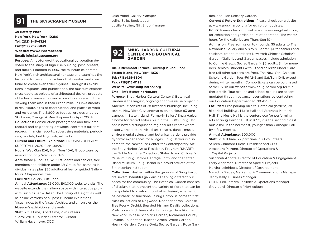

### **91 THE SKYSCRAPER MUSEUM**

**39 Battery Place New York, New York 10280 Tel: (212) 945-6324 Fax:(212) 732-3039 Website: www.skyscraper.org Email: info@skyscraper.org**

**Purpose:** A not-for-profit educational corporation devoted to the study of high-rise building, past, present, and future. Founded in 1996, the museum celebrates New York's rich architectural heritage and examines the historical forces and individuals that created and continue to create even taller skylines. Through its exhibitions, programs, and publications, the museum explores skyscrapers as objects of architectural design, products of technical innovation, and icons of corporate culture, viewing them also in their urban milieu as investments in real estate, sites of construction, and places of work and residence. The 5,800 sq foot gallery designed by Skidmore, Owings, & Merrill opened in April 2004.

**Collections:** Construction photographs and film; architectural and engineering drawings; contracts; builders' records; financial reports; advertising materials; periodicals; models; building tools; artifacts

**Current and Future Exhibitions:** HOUSING DENSITY: SUPERTALL 2020 (Jan-Jun20)

**Hours:** Wed-Sun 12-6; Mon, Tues 10-6; Group tours by reservation only Wed-Sun 10-12

**Admission:** \$5 adults, \$2.50 students and seniors, free members and children under 12; Group fee: same as individual rates plus \$35 additional fee for guided Gallery tours. Chaperones free

**Facilities:** Gallery, Gift Shop

**Annual Attendance:** 25,000; 190,000 website visits. The website extends the gallery space with interactive projects, such as Ten & Taller, The History of Height, as well as online versions of all past Museum exhibitions Visual Index to the Visual Archive, and chronicles the Museum's exhibition and events **Staff:** 7 full time, 8 part time, 2 volunteers \*Carol Willis, Founder, Director, Curator

William Havemeyer, COO

Josh Vogel, Gallery Manager Jelina Saliu, Bookkeeper Lucille Pauling, Gift Shop Manager

#### **SNUG HARBOR CULTURAL CENTER AND BOTANICAL GARDEN 92**

**1000 Richmond Terrace, Building P, 2nd Floor Staten Island, New York 10301 Tel: (718)425-3504 Fax: (718)815-0198 Website: www.snug-harbor.org Email: info@snug-harbor.org**

**Purpose:** Snug Harbor Cultural Center & Botanical Garden is the largest, ongoing adaptive reuse project in America. It consists of 28 historical buildings, including several New York City landmarks on a unique 83-acre campus in Staten Island. Formerly Sailors' Snug Harbor, a home for retired sailors built in the 1800s, Snug Harbor is now a distinguished regional arts center where history, architecture, visual art, theater, dance, music, environmental science, and botanical gardens provide dynamic experiences for all ages. Snug Harbor is also home to the Newhouse Center for Contemporary Art, the Snug Harbor Artist Residency Program (SHARP), the Noble Maritime Collection, Staten Island Children's Museum, Snug Harbor Heritage Farm, and the Staten Island Museum. Snug Harbor is a proud affiliate of the Smithsonian Institution.

**Collections:** Nestled within the grounds of Snug Harbor are several beautiful gardens all serving different purposes for the community. The Botanical Garden consists of displays that represent the variety of flora that can be manipulated to conform to what is desired, whether it be aesthetic or functional. Snug Harbor is home to first class collections of Dogwood, Rhododendron, Chinese Tree Peony, Orchid, Bearded Iris, and Daylily collections. Visitors can find these collections in gardens like the New York Chinese Scholar's Garden, Richmond County Savings Foundation Tuscan Garden, White Garden, Healing Garden, Connie Gretz Secret Garden, Rose Garden, and Lion Sensory Garden.

**Current & Future Exhibitions:** Please check our website at www.snug-harbor.org for exhibition updates. **Hours:** Please check our website at www.snug-harbor.org for exhibition and garden hours of operation. The winter hours for the galleries are Thurs-Sun 10 -4

**Admission:** Free admission to grounds; \$5 adults to The Newhouse Gallery and Visitors' Center, \$4 for seniors and students, free to members; New York Chinese Scholar's Garden (Galleries and Garden passes include admission to Connie Gretz's Secret Garden), \$5 adults, \$4 for members, seniors, students with ID and children under 5 are free (all other gardens are free). The New York Chinese Scholar's Garden Tues-Fri 12-5 and Sat/Sun 10-5, except during winter months. Combo tickets can be purchased as well. Visit our website www.snug-harbor.org for further details. Tour groups and school groups are accommodated through advance reservations by contacting our Education Department at 718-425-3512.

**Facilities:** Free parking on site. Botanical gardens, 28 historical buildings, Music Hall and Veteran's Memorial Hall. The Music Hall is the centerpiece for performing arts at Snug Harbor. Built in 1892, it is the second oldest music hall in the northeast, younger than Carnegie Hall by a few months.

#### **Annual Attendance:** 500,000

**Staff:** 25 full time, 22 part time, 300 volunteers \*Aileen Chumard Fuchs, President and CEO Alexandra Patrone, Director of Operations & Capital Projects

Susannah Abbate, Director of Education & Engagement Larry Anderson, Director of Special Projects Martha Neighbors, Director of Development Meredith Sladek, Marketing & Communications Manager Jenny Kelly, Business Manager Gus Di Leo, Interim Facilities & Operations Manager Greg Lord, Director of Horticulture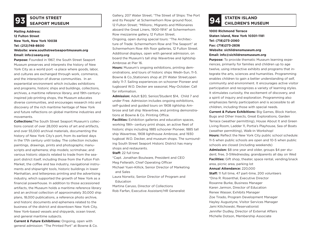# **SOUTH STREET 93 SEAPORT MUSEUM**

### **Mailing Address: 12 Fulton Street New York, New York 10038 Tel: (212)748-8600**

#### **Website: www.southstreetseaportmuseum.org Email: info@seany.org**

**Purpose:** Founded in 1967, the South Street Seaport Museum preserves and interprets the history of New York City as a world port –a place where goods, labor, and cultures are exchanged through work, commerce, and the interaction of diverse communities. In an experiential environment which includes exhibitions and programs, historic ships and buildings, collections, archives, a maritime reference library, and 19th-centuryinspired job-printing shops, the Museum educates diverse communities, and encourages research into and discovery of the rich maritime heritage of New York and future reflections on global maritime industries and movements.

**Collections:**The South Street Seaport Museum's collections consist of over 28,000 works of art and artifacts, and over 55,000 archival materials, documenting the history of New York City's port, from its earliest days in the 17th century until today. The collection includes paintings, drawings, prints and photographs; manuscripts and ephemera; ship models; scrimshaw; and various historic objects related to trade from the seaport district itself, including those from the Fulton Fish Market, the coffee and tea industry, navigational instruments and shipwright tools, historic buildings in lower Manhattan, and letterpress printing and the advertising industry, which supported the growth of New York as a financial powerhouse. In addition to those accessioned artifacts, the Museum holds a maritime reference library and an archival collection of approximately 30,000 ship plans, 18,000 publications, a reference photo archive, and historic documents and ephemera related to the business of the district and downtown New York City, New York-based vessels and shipyards, ocean travel, and general maritime subjects.

**Current & Future Exhibitions:** Ongoing, open with general admission: "The Printed Port" at Bowne & Co.

Gallery, 207 Water Street; "The Street of Ships: The Port and Its People" at Schermerhorn Row ground floor, 12 Fulton Street; "Millions:, Migrants and Millionaires aboard the Great Liners, 1900-1914" at Schermerhorn Row mezzanine gallery, 12 Fulton Street. Ongoing, open during special tours: "The Architecture of Trade: Schermerhorn Row and The Seaport" at Schermerhorn Row 4th floor galleries, 12 Fulton Street. Additional displays, open with general admission, on board the Museum's tall ship Wavertree and lightship Ambrose at Pier 16.

**Hours:** Museum's ongoing exhibitions, printing demonstrations, and tours of historic ships Wedn-Sun, 11-5. Bowne & Co.,Stationers shop at 211 Water Street,open daily 11-7. Sailing experiences on schooner Pioneer and tugboard W.O. Decker are seasonal, May-October. Call for information.

**Admission:** Adult \$20, Senior/Student \$14, Child 7 and under Free. Admission includes ongoing exhibitions, self-guided and guided tours on 1908 iightship Ambrose and tall ship Wavertree, and printing demonstrations at Bowne & Co. Printing Office.

**Facilities:** Exhibition galleries and education spaces, working 19th- century print shops, an active fleet of historic ships including 1885 schooner Pioneer, 1885 tall ship Wavertree, 1908 lighthouse Ambrose, and 1930 tugboat W.O. Decker, and museum shops. The surrounding South Street Seaport Historic District has many shops and restaurants.

**Staff:** 22 full time

\*Capt. Jonathan Boulware, President and CEO Meg Fellerath, Chief Operating Officer

Michael Yuen-Killick, Senior Director of Marketing and Sales

Laura Norwitz, Senior Director of Program and **Education** 

Martina Caruso, Director of Collections Rob Farfan, Executive Assistant/HR Generalist

# **STATEN ISLAND 94 CHILDREN'S MUSEUM**

**1000 Richmond Terrace Staten Island, New York 10301-1181 Tel: (718)273-2060 Fax: (718)273-2836 Website: sichildrensmuseum.org Email: info@sichildrensmuseum.org**

**Purpose:** To provide thematic Museum learning experiences, primarily for families and children up to age twelve, using interactive exhibits and programs that integrate the arts, sciences and humanities. Programming enables children to gain a better understanding of self, community and environment. It encourages active visitor participation and recognizes a variety of learning styles. It stimulates curiosity, the excitement of discovery, and a spirit of inquiry and exploration. Programming also emphasizes family participation and is accessible to all children, including those with special needs.

**Current & Future Exhibitions:** Big Games, Block Harbor, Bugs and Other Insects, Great Explorations, Garden Terrace (weather permitting), House About It and Green Living Room, Ladder 11, Portia's Playhouse, Sea of Boats (weather permitting), Walk-in Workshop!

**Hours:** Reflect the New York City public school schedule: 11-5 when public schools are open and 10-5 when public schools are closed (including weekends)

**Admission:** \$8 one year and older, groups \$4 per student; free, 3-5Wednesday, grandparents all day on Wed **Facilities:** Gift shop, theater, space rental, vending/snack area, picnic area, parking lot

#### **Annual Attendance:** 220,000

**Staff:** 11 full time, 47 part-time, 200 volunteers \*Dina R. Rosenthal, Executive Director Roxanne Burke, Business Manager Karen Jarmon, Director of Education Renee Wasser, Exhibits Manager Zoe Tirado, Program Development Manager Hayley Augustyne, Visitor Services Manager Jami Kilichowski, Reservationist Jennifer Dudley, Director of External Affairs Michelle Dotson, Membership Associate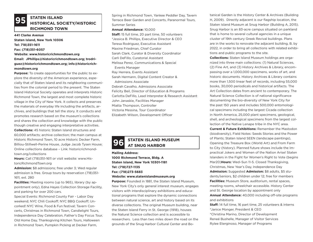#### **STATEN ISLAND HISTORICAL SOCIETY/HISTORIC RICHMOND TOWN 95**

#### **441 Clarke Avenue**

**Staten Island, New York 10306 Tel: 718)351-1611 Fax: (718)351-6057 Website: www.historicrichmondtown.org Email: JPhillips@historicrichmondtown.org; trodriguez@historicrichmondtown.org; info@historicrichmondtown.org**

**Purpose:** To create opportunities for the public to explore the diversity of the American experience, especially that of Staten Island and its neighboring communities from the colonial period to the present. The Staten Island Historical Society operates and interprets Historic Richmond Town, the largest and most complete historic village in the City of New York. It collects and preserves the materials of everyday life including the artifacts, archives, and buildings that tell the story. It conducts and promotes research based on the museum's collections and shares the collection and knowledge with the public though creative and engaging interpretative activities. **Collections:** 45 historic Staten Island structures and 60,000 artifacts; archive collection; the main campus at Historic Richmond Town, 10 acre Historic Decker Farm, Billiou-Stillwell-Perine House, Judge Jacob Tysen House; Online collections database – Link: historicrichmondtown.org/collections

**Hours:** Call (718)351-1611 or visit website: www.HistoricRichmondTown.org

**Admission:** \$8 admissions; free under 3; Wed regular admission is free. Group tours by reservation (718)351- 1611, ext. 280

**Facilities:** Meeting rooms (up to 965), library (by appointment only), Edna Hayes Collection Storage Facility, and parking for over 200 cars.

Special Events: Richmond County Fair - Labor Day weekend; NYC Chili Cookoff; NYC BBQ Cookoff; Uncorked! NYC Wine, Food & Fun festival; Tavern Concerts, Christmas in Richmond Town, Candlelight Tours, Independence Day Celebration, Father's Day Focus Tour, Old Home Day, Thanksgiving Kitchen Tours, Halloween in Richmond Town, Pumpkin Picking at Decker Farm,

Spring in Richmond Town, Yankee Peddler Day, Tavern Terrace Beer Garden and Concerts, Paranormal Tours, Summer Series

#### **Annual Attendance:** 10,000

**Staff:** 15 full time, 20 part time, 50 volunteers \*Jessica B. Phillips, Executive Director & CEO Teresa Rodriguez, Executive Assistant Maxine Friedman, Chief Curator Sarah Clark, Curator & Diversity Coordinator Carli DeFillo, Curatorial Assistant Melissa Perez, Communications & Special Events Manager Ray Herrera, Events Assistant Sarah Hermann, Digital Content Creator & Admissions Associate Debrah Cavalho, Admissions Associate Felicity Beil, Director of Education & Programs Carlotta DeFillo, Lead Interpreter & Research Assistant John Janaskie, Facilities Manager Miatta Thompson, Controller Victoria Messina, Tour Coordinator Elizabeth Wilson, Development Officer

# **STATEN ISLAND MUSEUM 96 AT SNUG HARBOR**

**Mailing Address: 1000 Richmond Terrace, Bldg. A Staten Island, New York 10301-1181 Tel: (718)727-1135 Fax: (718)273-5683 Website: www.statenislandmuseum.org**

**Purpose:** Founded in 1881, the Staten Island Museum, New York City's only general interest museum, engages visitors with interdisciplinary exhibitions and educational programs that explore the dynamic connections between natural science, art and history based on its diverse collections. The original Museum building, near the Staten Island Ferry in St. George (1918), houses the Natural Science collection and is accessible to researchers. Less than two miles down the road on the grounds of the Snug Harbor Cultural Center and Botanical Garden is the History Center & Archives (Building H, 2009). Directly adjacent is our flagship location, the Staten Island Museum at Snug Harbor (Building A, 2015). Snug Harbor is an 83-acre campus situated on parkland that is home to several cultural agencies in a unique cluster of 19th century Greek Revival buildings. Plans are in the works to renovate the adjacent building, B, by 2022, in order to bring all collections with related exhibitions and public programs to the site.

**Collections:** Staten Island Museum holdings are organized into three main collections: (1) Natural Sciences, (2) Fine Art, and (3) History Archives & Library, encompassing over a 1,000,000 specimens, works of art, and historic documents. History Archives & Library contains more than 1,500 linear feet of records, including 55,000 books, 30,000 periodicals and historical artifacts. The Art Collection dates from ancient to contemporary. The Natural Science Collection is of national significance documenting the bio-diversity of New York City for the past 150 years and includes 500,000 entomological specimens including the largest Cicada collection in North America, 25,000 plant specimens, geological, shell, and archeological specimens from the largest collection of the Native Lenape tribe in the NYC area.

**Current & Future Exhibitions:** Remember the Mastodon (biodiversity), Field Notes: Seeds Stories and the Power of Plants; Staten Island SEEN (landscape paintings), Opening the Treasure Box (World Art) and From Farm to City (history). Planned future shows include the Impractical Jokers and Women of the Nation Arise! Staten Islanders in the Fight for Women's Right to Vote (begins Mar20)**Hours:** Wed–Sun 11-5. Closed Thanksgiving, Christmas, New Year's Day, Independence Day **Admission:** Suggested **Admission:** \$8 adults, \$5 students/seniors, \$2 children under 12; free for members **Facilities:** Museum Store, auditorium, rental spaces, meeting rooms, wheelchair accessible. History Center and St. George location by appointment only **Annual Attendance:** 40,000 including off-site programs and exhibitions

**Staff:** 14 full time, 16 part time, 25 volunteers & interns \*Janice Monger, President & CEO \*Christina Marino, Director of Development Reneé Bushelle, Manager of Visitor Services Rylee Eterginoso, Manager of Programs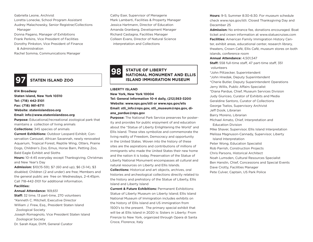Gabriella Leone, Archivist Loretta Lonecke, School Program Assistant Audrey Malachowsky, Senior Registrar/Collections Manager

Donna Pagano, Manager of Exhibitions Frank Perkins, Vice President of Facilities Dorothy Pinkston, Vice President of Finance & Administration

Rachel Somma, Communications Manager

## **97 STATEN ISLAND ZOO**

**614 Broadway Staten Island, New York 10310 Tel: (718) 442-3101 Fax: (718) 981-8711 Website: statenislandzoo.org Email: info@www.statenislandzoo.org Purpose:** Educational/recreational zoological park that

maintains a collection of living animals **Collections:** 345 species of animals

**Current Exhibitions:** Outdoor Leopard Exhibit; Conservation Carousel, African Savannah, newly renovated Aquarium, Tropical Forest, Reptile Wing, Otters, Prairie Dogs, Children's Zoo, Emus, Horse Barn, Petting Zoo, Bald Eagle Exhibit and Sloths

**Hours:** 10-4:45 everyday except Thanksgiving, Christmas and New Year's Day

**Admission:** \$10(15-59); \$7 (60 and up), \$6 (3-14), \$3 disabled; Children (2 and under) are free; Members and the general public are free on Wednesdays, 2-4:45pm. Call 718-442-3101 for additional information.

#### **Facilities:**

#### **Annual Attendance:** 169,651

**Staff:** 32 time, 13 part-time, 270 volunteers \*Kenneth C. Mitchell, Executive Director William J. Frew, Esq., President Staten Island Zoological Society Joseph Romagnolo, Vice President Staten Island

Zoological Society

Dr. Sarah Kaye, DVM, General Curator

Cathy Eser, Supervisor of Menagerie Mark Lamberti, Facilities & Property Manager Jessica Hartmann, Director of Education Amanda Granberg, Development Manager Richard Castagna, Facilities Manager Colleen Evans, Director of Natural Science interpretation and Collections

#### **STATUE OF LIBERTY NATIONAL MONUMENT AND ELLIS ISLAND IMMIGRATION MUSEUM 98**

**LIBERTY ISLAND New York, New York 10004 Tel: General Information 10-4 daily, (212)363-3200 Website: www.nps.gov/stli or www.nps.gov/elis Email: stli\_info@nps.gov, stli\_museum@nps.gov, diana\_pardue@nps.gov**

**Purpose:** The National Park Service preserves for posterity and provides for public enjoyment of and education about the "Statue of Liberty Enlightening the World" and Ellis Island. These sites symbolize and commemorate the living reality of Freedom, Democracy and opportunity in the United States. Woven into the history of these sites are the aspirations and contributions of millions of immigrants who made the United States their new home and the nation it is today. Preservation of the Statue of Liberty National Monument encompasses all cultural and natural resources on Liberty and Ellis Islands.

**Collections:** Historical and art objects, archives, oral histories and archeological collections directly related to the history and prehistory of the Statue of Liberty, Ellis Island and Liberty Island

**Current & Future Exhibitions:** Permanent Exhibitions: Statue of Liberty Museum on Liberty Island; Ellis Island National Museum of Immigration includes exhibits on the history of Ellis Island and US immigration from 1500's to the present. The primary special exhibit that will be at Ellis Island in 2020 is: Sisters in Liberty: From Firenze to New York, organized through Opera di Santa Croce, Florence, Italy

**Hours:** 9-5; Summer 8:30-6:30. For museum schedule check www.nps.gov/stli. Closed Thanksgiving Day and December 25

**Admission:** No entrance fee, donations encouraged. Boat ticket and crown information at www.statuecruises.com **Facilities:** American Family Immigration History Center, exhibit areas, educational center, research library, theaters, Crown Café, Ellis Café, museum stores on both islands, conference room

#### **Annual Attendance:** 4,501,547

**Staff:** 558 full-time staff, 47 part-time staff, 351 volunteers

\*John Piltzecker, Superintendent \*John Hnedak, Deputy Superintendent \*Cherie Butler, Deputy Superintendent Operations Jerry Willis, Public Affairs Specialist \*Diana Pardue, Chief, Museum Services Division Judy Giuriceo, Curator of Exhibits and Media Geraldine Santoro, Curator of Collections George Tselos, Supervisory Archivist Jeff Dosik, Librarian Barry Moreno, Librarian Michael Amato, Chief, Interpretation and Education Division Mike Shaver, Supervisor, Ellis Island Interpretation Melissa Magnuson-Cannady, Supervisor, Liberty Island Interpretation Peter Wong, Education Specialist Rob Parrish, Construction Projects Chris Parsons, Historical Architect Noah Lumsden, Cultural Resources Specialist Ben Hanslin, Chief, Concessions and Special Events Dave Crotty, Facilities Manager Pete Culver, Captain, US Park Police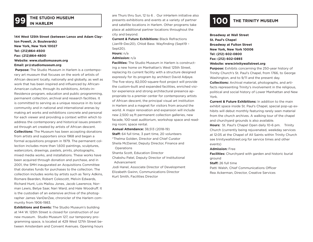# **THE STUDIO MUSEUM 99 IN HARLEM**

**144 West 125th Street (between Lenox and Adam Clayton Powell, Jr. Boulevards) New York, New York 10027 Tel: (212)864-4500 Fax: (212)864-4800 Website: www.studiomuseum.org Email: pr@studiomuseum.org**

**Purpose:** The Studio Museum in Harlem is a contemporary art museum that focuses on the work of artists of African descent locally, nationally and globally, as well as work that has been inspired and influenced by African-American culture, through its exhibitions, Artists-in-Residence program, education and public programming, permanent collection, archival and research facilities. It is committed to serving as a unique resource in its local community and in national and international arenas by making art works and exhibitions concrete and personal for each viewer and providing a context within which to address the contemporary and historical issues presented through art created by artists of African descent. **Collections:** The Museum has been accepting donations from artists and supporters since 1968 and began a formal acquisitions program in 1979. The permanent collection includes more than 1,600 paintings, sculptures, watercolors, drawings, pastels, prints, photographs, mixed media works, and installations. These works have been acquired through donation and purchase, and in 2001, the SMH inaugurated an Acquisitions Committee that donates funds for purchases to the collection. The collection includes works by artists such as Terry Adkins, Romare Bearden, Robert Colescott, Melvin Edwards, Richard Hunt, Lois Mailou Jones, Jacob Lawrence, Norman Lewis, Betye Saar, Nari Ward, and Hale Woodruff. It is the custodian of an extensive archive of the photographer James VanDerZee, chronicler of the Harlem community from 1906-1983.

**Exhibitions and Events:** The Studio Museum's building at 144 W. 125th Street is closed for construction of our new museum. Studio Museum 127, our temporary programming space, is located at 429 West 127th Street between Amsterdam and Convent Avenues. Opening hours are Thurs thru Sun, 12 to 6 . Our inHarlem initiative also presents exhibitions and events at a variety of partner and satellite locations in Harlem. Other programs take place at additional partner locations throughout the city and beyond.

**Current & Future Exhibitions:** Black Refractions (Jan19–Dec20), Chloë Bass: Wayfinding (Sept19 – Sept<sub>20</sub>).

**Hours:** n/a

#### **Admission:** n/a

**Facilities:** The Studio Museum in Harlem is constructing a new home on Manhattan's West 125th Street, replacing its current facility with a structure designed expressly for its program by architect David Adjaye. The five-story, 82,000-square-foot project will provide the custom-built and expanded facilities, enriched visitor experience and strong architectural presence appropriate to a premier center for contemporary artists of African descent, the principal visual art institution in Harlem and a magnet for visitors from around the world. A major renovation and expansion will include new 2,500 sq ft permanent collection galleries, new facade, 100-seat auditorium, workshop space and reading room; space rental.

**Annual Attendance:** 38,513 (2018-19) **Staff:** 64 full time, 3 part time, 20 volunteers \*Thelma Golden, Director and Chief Curator Sheila McDaniel, Deputy Director, Finance and **Operations** Shanta Scott, Education Director Chakshu Patel, Deputy Director of Institutional Advancement Jodi Hanel, Associate Director of Development Elizabeth Gwinn, Communications Director Kurt Smith, Facilities Director

## **100 THE TRINITY MUSEUM**

**Broadway at Wall Street St. Paul's Chapel Broadway at Fulton Street New York, New York 10006 Tel: (212) 602-0800 Fax: (212) 602-0893**

#### **Website: www.trinitywallstreet.org**

**Purpose:** Exhibits concerning the 250-year history of Trinity Church's St. Paul's Chapel, from 1766, to George Washington, and to 9/11 and the present day.

**Collections:** Archival material, photographs, and artifacts representing Trinity's involvement in the religious, political and social history of Lower Manhattan and New York.

**Current & Future Exhibitions:** In addition to the main exhibit space inside St. Paul's Chapel, special pop-up exhibits will debut monthly featuring rarely seen material from the church archives. A walking tour of the chapel and churchyard grounds is also available.

**Hours:** St. Paul's Chapel Open daily 10-6 pm. Trinity Church (currently being rejuvenated, weekday services at 12:05 at the Chapel of All Saints within Trinity Church see trinitywallstreet.org for service times and other events)

#### **Admission:** Free

**Facilities:** Churchyard with garden and historic burial ground

**Staff:** 26 full time

Patti Walsh, Chief Communications Officer Rea Ackerman, Director, Creative Services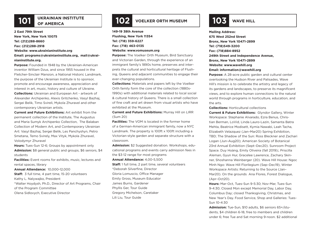

## **101 OF AMERICA**

**2 East 79th Street New York, New York 10075 Tel: (212)288-8660 Fax: (212)288-2918 Website: www.ukrainianinstitute.org Email: programs@ukrainianinstitute.org, mail@ukrai-**

#### **nianinstitute.org.**

**Purpose:** Founded in 1948 by the Ukrainian-American inventor William Dzus, and since 1955 housed in the Fletcher-Sinclair Mansion, a National Historic Landmark, the purpose of the Ukrainian Institute is to sponsor, promote and encourage awareness, appreciation and interest in art, music, history and culture of Ukraine. **Collections:** Ukrainian and European Art - artwork of Alexander Archipenko, Alexis Gritchenko, Vasyl Bazhaj, Sergei Belik, Timo Svireli, Mykola Zhuravel and other contemporary Ukrainian artists.

**Current and Future Exhibitions:** Art exhibit from the permanent collection of the Institute, The Augustus and Maria Sumyk Archipenko Collection, The Balaban Collection of Modern Art, and Contemporary Ukrainian Art: Vasyl Bazhaj, Sergei Belik, Les Panchyshyn, Petro Smetana, Temo Svirely, Max Vityk, Mykola Zhuravel, Volodymyr Zhuravel

**Hours:** Tues-Sun 12-6; Groups by appointment only **Admission:** \$8 general public and groups, \$6 seniors, \$4 students

**Facilities:** Event rooms for exhibits, music, lectures and rental spaces, library

**Annual Attendance:** 10,000-12,000

**Staff:** 3 full time, 4 part time, 15-20 volunteers Kathy L. Nalywajko, President \*Walter Hoydysh, Ph.D., Director of Art Programs, Chair

of the Program Committee Olena Sidlovych, Executive Director

## **102 VOELKER ORTH MUSEUM 103 WAVE HILL**

**149-19 38th Avenue Flushing, New York 11354 Tel: (718) 359-6227 Fax: (718) 463-0135 Website: www.vomuseum.org**

**Purpose:** The Voelker Orth Museum, Bird Sanctuary and Victorian Garden, through the experience of an immigrant family's 1890s home, preserves and interprets the cultural and horticultural heritage of Flushing, Queens and adjacent communities to engage their ever-changing populations.

**Collections:** Materials and papers left by the Voelker Orth family form the core of the collection (1880s-1990s) with additional materials related to local social & cultural history of Queens. There is a small collection of fine craft and art drawn from visual artists who have exhibited at the Museum.

**Current and Future Exhibitions:** Murray Hill on LIRR (Sum 20)

**Facilities:** The VOM is located in the former home of a German-American immigrant family, now a NYC Landmark. The property is 100ft x 100ft including a Victorian-style garden and separate structure with a classroom.

**Admission:** \$2 Suggested donation. Workshops, educational programs and events carry admission fees in the \$3-12 range for most programs

**Annual Attendance:** 4,00-5,500

**Staff:** 1 full time, 2 part time, several volunteers \*Deborah Silverfine, Director Gloria Lomuscio, Office Manager Emily Gross, Museum Educator James Burns, Gardener Phyllis Ger, Tour Guide Gregory Michelson, Caretaker Lili Liu, Tour Guide

**Mailing Address: 675 West 252nd Street Bronx, New York 10471-2899 Tel: (718)549-3200 Fax: (718)884-8952 249th Street and Independence Avenue, Bronx, New York 10471-2899 Website: www.wavehill.org Email: information@wavehill.org**

**Purpose:** A 28-acre public garden and cultural center overlooking the Hudson River and Palisades, Wave Hill's mission is to celebrate the artistry and legacy of its gardens and landscapes, to preserve its magnificent views, and to explore human connections to the natural world through programs in horticulture, education, and the arts.

**Collections:** Horticultural collections

**Current & Future Exhibitions:** Glyndor Gallery, Winter Workspace: Stephanie Alvarado, Ezra Benus, Christian Berman, LoVid, Linda Lauro-Lazin, Samanta Batra Mehta, Beatrice Modisett, Kymia Nawabi, Leah Tacha, Elizabeth Velazquez (Jan–Mar20) Spring Exhibition, TBD; The Shadow of the Sun: Ross Bleckner and Zachari Logan (Jun–Aug20); American Society of Botanical 23rd Annual Exhibition (Sept–Dec20). Sunroom Project Space. Duy Hoàng, Emily Oliveira (fall 2019);; Priscilla Aleman, Gyun Hur, Gracelee Lawrence, Zachary Skinner, Shoshanna Weinberger (20). Wave Hill House: Ngoc Minh Ngo: Wave Hill Florilegium (Sep–Dec19), Winter Workspace Artists: Returning to the Source (Jan– Mar20). On the grounds Ana Flores, Forest Dialogue, (Apr–Oct20).

**Hours:** Mar-Oct, Tues-Sun 9-5:30; Nov-Mar, Tues-Sun 9-4:30; Closed Mon except Memorial Day, Labor Day, Columbus Day; closed Thanksgiving, Christmas, and New Year's Day. Food Service, Shop and Galleries: Tues-Sun 10-4:30

**Admission:** Tue-Sun, \$10 adults, \$6 seniors 65+/students, \$4 children 6-18, free to members and children under 6; free Tue and Sat morning 9-noon. \$2 additional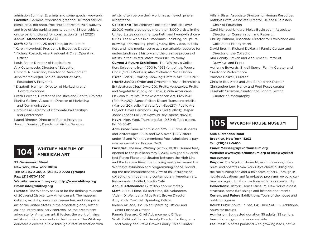admission Summer Evenings and some special weekends **Facilities:** Gardens, woodland, greenhouse, food service, picnic area, gift shop, free shuttle to/from train, subway and free offsite parking (onsite parking \$8 per vehicle; onsite parking closed for construction till fall 2020) **Annual Attendance:** 151,288

**Staff:** 42 full time, 25 part time, 98 volunteers \*Karen Meyerhoff, President & Executive Director \*Michele Rossetti, Vice President & Chief Operating **Officer** 

Louis Bauer, Director of Horticulture Alix Cotumaccio, Director of Education Barbara A. Giordano, Director of Development Jennifer McGregor, Senior Director of Arts, Education & Programs \*Elizabeth Harmon, Director of Marketing and

Communications

Frank Perrone, Director of Facilities and Capital Projects Martha Gellens, Associate Director of Marketing and Communications

Carolyn Liv, Director of Corporate Partnerships and Conferences

Laurel Rimmer, Director of Public Programs Joseph Dominici, Director of Visitor Services

# **104 WHITNEY MUSEUM OF**

**99 Gansevoort Street New York, New York 10014 Tel: (212)570-3600, (212)570-7720 (groups) Fax: (212)570-1807**

#### **Website: www.whitney.org, http://www.whitney.org Email: info@whitney.org**

**Purpose:** The Whitney seeks to be the defining museum of 20th-and 21st-century American art. The museum collects, exhibits, preserves, researches, and interprets art of the United States in the broadest global, historical and interdisciplinary contexts. As the preeminent advocate for American art, it fosters the work of living artists at critical moments in their careers. The Whitney educates a diverse public through direct interaction with artists, often before their work has achieved general acceptance.

**Collections:** The Whitney's collection includes over 22,000 works created by more than 3,000 artists in the United States during the twentieth and twenty-first centuries. These works in all mediums—painting, sculpture, drawing, printmaking, photography, film, video, installation, and new media—serve as a remarkable resource for understanding art history and the creative process of artists in the United States from 1900 to today.

**Current & Future Exhibiitons:** The Whitney's Collection: Selections from 1900 to 1965 (ongoing); Pope.L: Choir (Oct19-Wint20); Alan Michelson: Wolf Nation (Oct19-Jan20); Making Knowing: Craft in Art, 1950-2019 (Nov19-Jan20); Order and Ornament: Roy Lichtenstein's Entablatures (Sept19-Apr20); Fruits, Vegetables: Fruits and Vegetable Salad (Jan-Feb20); Vida Americana: Mexican Muralists Remake American Art, 1925-1945 (Feb-May20); Agnes Pelton: Desert Transcendentalist (Mar-Jun20); Julie Mehretu (Jun-Sept20); Public Art Project: David Hammons, Day's End (Fall20); Jasper Johns (opens Fall20); Dawoud Bey (opens Nov20) **Hours:** Mon, Wed, Thurs and Sat 10:30-6; Tues closed, Fri 10:30-10.

**Admission:** General admission: \$25. Full-time students and visitors ages 19–25 and 62 & over: \$18. Visitors under 18 and Whitney members: free. Admission is paywhat-you-wish on Fridays, 7–10

**Facilities:** The new Whitney (with 200,000 square feet) opened to the public on May 1, 2015. Designed by architect Renzo Piano and situated between the High Line and the Hudson River, the building vastly increased the Whitney's exhibition and programming space, providing the first comprehensive view of its unsurpassed collection of modern and contemporary American art. Restaurants: Untitled, Studio Café

**Annual Attendance:** 1.2 million approximately **Staff:** 297 full time, 151 part time, 160 volunteers \*Adam D. Weinberg, Alice Pratt Brown Director Amy Roth, Co-Chief Operating Officer Idehen Aruede, Co-Chief Operating Officer and

Chief Financial Officer

Pamela Besnard, Chief Advancement Officer Scott Rothkopf, Senior Deputy Director for Programs and Nancy and Steve Crown Family Chief Curator

Hillary Blass, Associate Director for Human Resources Kathryn Potts, Associate Director, Helena Rubinstein Chair of Education

Carol Mancusi-Ungaro, Melva Bucksbaum Associate Director for Conservation and Research

Christy Putnam, Associate Director for Exhibitions and Collections Management

David Breslin, Richard DeMartini Family Curator and Director of the Collection

Kim Conaty, Steven and Ann Ames Curator of Drawings and Prints

Adrienne Edwards, Engell Speyer Family Curator and Curator of Performance

Barbara Haskell, Curator

Chrissie Iles, Anne and Joel Ehrenkranz Curator

Christopher Lew, Nancy and Fred Poses curator

Elisabeth Sussman, Curator and Sondra Gilman Curator of Photography

## **105 WYCKOFF HOUSE MUSEUM**

**5816 Clarendon Road Brooklyn, New York 11203 Tel: (718)629-5400 Email: Melissa@wyckoffmuseum.org** Website: www.wyckoffmuseum.org or info@wyckoff**museum.org**

**Purpose:** The Wyckoff House Museum preserves, interprets, and operates New York City's oldest building and the surrounding one and-a-half acres of park. Through innovate educational and farm-based programs we build cultural and agricultural connections within our community. **Collections:** Historic House Museum, New York's oldest structure, some furnishings and historic documents **Current and Future Exhibitions:** Tours of the house and public programs

**Hours:** Public hours Fri-Sat, 1-4; Third Sat 11-3. Additional hours for groups

Admission: Suggested donation \$5 adults, \$3 seniors, free children, group rates on website

**Facilities:** 1.5 acres parkland with growing beds, native